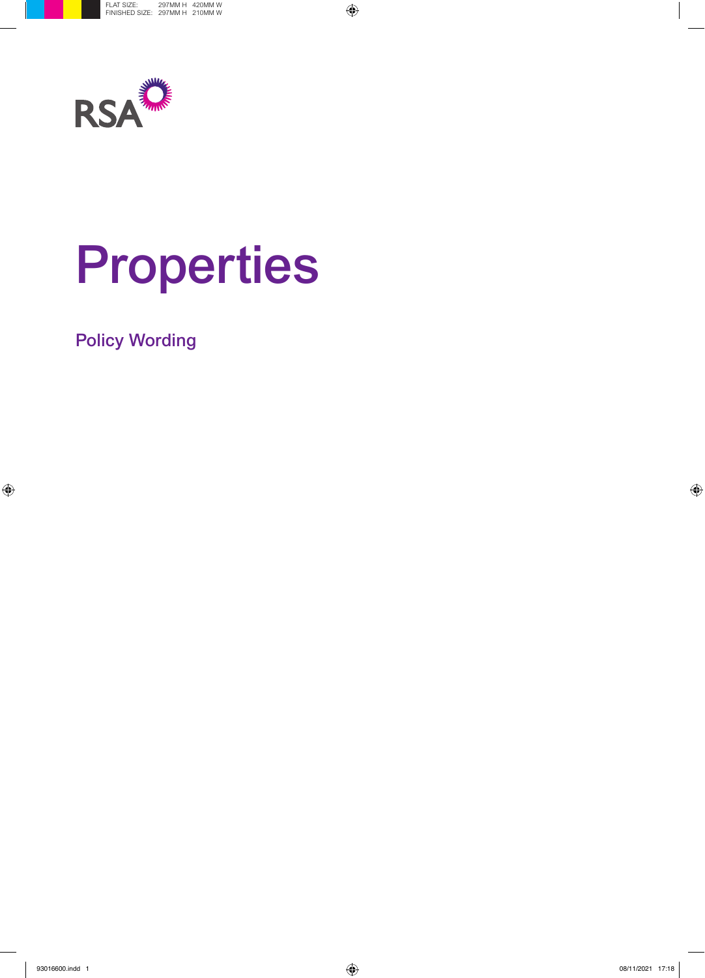

# Properties

Policy Wording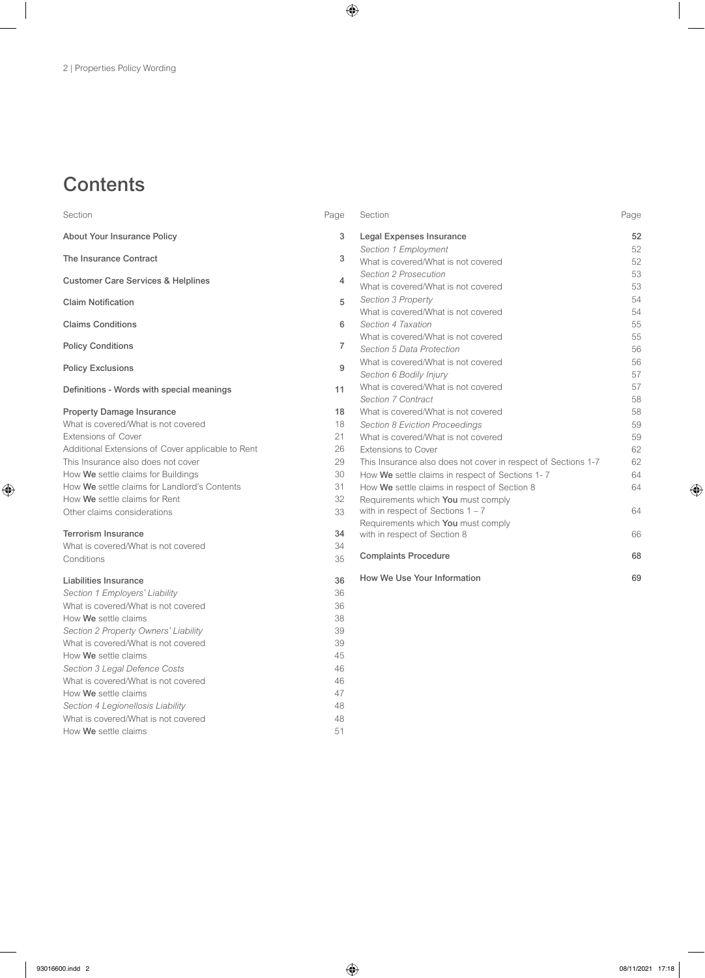# **Contents**

| Section                                           | Page           | Section                                                       | Page |
|---------------------------------------------------|----------------|---------------------------------------------------------------|------|
| <b>About Your Insurance Policy</b>                | 3              | Legal Expenses Insurance                                      | 52   |
|                                                   |                | Section 1 Employment                                          | 52   |
| The Insurance Contract                            | 3              | What is covered/What is not covered                           | 52   |
| <b>Customer Care Services &amp; Helplines</b>     | $\overline{4}$ | <b>Section 2 Prosecution</b>                                  | 53   |
|                                                   |                | What is covered/What is not covered                           | 53   |
| <b>Claim Notification</b>                         | 5              | <b>Section 3 Property</b>                                     | 54   |
|                                                   |                | What is covered/What is not covered                           | 54   |
| <b>Claims Conditions</b>                          | 6              | Section 4 Taxation                                            | 55   |
|                                                   | $\overline{7}$ | What is covered/What is not covered                           | 55   |
| <b>Policy Conditions</b>                          |                | Section 5 Data Protection                                     | 56   |
| <b>Policy Exclusions</b>                          | 9              | What is covered/What is not covered                           | 56   |
|                                                   |                | Section 6 Bodily Injury                                       | 57   |
| Definitions - Words with special meanings         | 11             | What is covered/What is not covered                           | 57   |
|                                                   |                | Section 7 Contract                                            | 58   |
| <b>Property Damage Insurance</b>                  | 18             | What is covered/What is not covered                           | 58   |
| What is covered/What is not covered               | 18             | <b>Section 8 Eviction Proceedings</b>                         | 59   |
| <b>Extensions of Cover</b>                        | 21             | What is covered/What is not covered                           | 59   |
| Additional Extensions of Cover applicable to Rent | 26             | Extensions to Cover                                           | 62   |
| This Insurance also does not cover                | 29             | This Insurance also does not cover in respect of Sections 1-7 | 62   |
| How We settle claims for Buildings                | 30             | How We settle claims in respect of Sections 1-7               | 64   |
| How We settle claims for Landlord's Contents      | 31             | How We settle claims in respect of Section 8                  | 64   |
| How We settle claims for Rent                     | 32             | Requirements which You must comply                            |      |
| Other claims considerations                       | 33             | with in respect of Sections $1 - 7$                           | 64   |
|                                                   |                | Requirements which You must comply                            |      |
| <b>Terrorism Insurance</b>                        | 34             | with in respect of Section 8                                  | 66   |
| What is covered/What is not covered               | 34             | <b>Complaints Procedure</b>                                   | 68   |
| Conditions                                        | 35             |                                                               |      |
| Liabilities Insurance                             | 36             | How We Use Your Information                                   | 69   |
| Section 1 Employers' Liability                    | 36             |                                                               |      |
| What is covered/What is not covered               | 36             |                                                               |      |
| How We settle claims                              | 38             |                                                               |      |
| Section 2 Property Owners' Liability              | 39             |                                                               |      |
| What is covered/What is not covered               | 39             |                                                               |      |
| How We settle claims                              | 45             |                                                               |      |
| Section 3 Legal Defence Costs                     | 46             |                                                               |      |
| What is covered/What is not covered               | 46             |                                                               |      |
| How We settle claims                              | 47             |                                                               |      |
| Section 4 Legionellosis Liability                 | 48             |                                                               |      |
| What is covered/What is not covered               | 48             |                                                               |      |

How We settle claims 51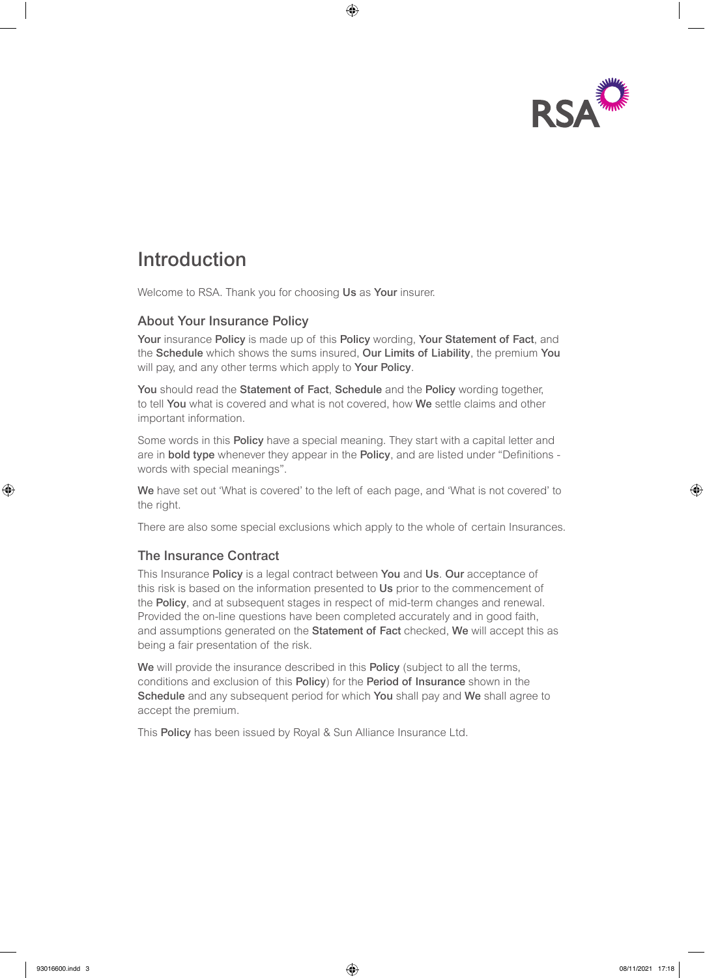

# Introduction

Welcome to RSA. Thank you for choosing Us as Your insurer.

### About Your Insurance Policy

Your insurance Policy is made up of this Policy wording, Your Statement of Fact, and the Schedule which shows the sums insured, Our Limits of Liability, the premium You will pay, and any other terms which apply to **Your Policy**.

You should read the Statement of Fact, Schedule and the Policy wording together, to tell You what is covered and what is not covered, how We settle claims and other important information.

Some words in this Policy have a special meaning. They start with a capital letter and are in bold type whenever they appear in the Policy, and are listed under "Definitions words with special meanings".

We have set out 'What is covered' to the left of each page, and 'What is not covered' to the right.

There are also some special exclusions which apply to the whole of certain Insurances.

### The Insurance Contract

This Insurance Policy is a legal contract between You and Us. Our acceptance of this risk is based on the information presented to Us prior to the commencement of the Policy, and at subsequent stages in respect of mid-term changes and renewal. Provided the on-line questions have been completed accurately and in good faith, and assumptions generated on the Statement of Fact checked, We will accept this as being a fair presentation of the risk.

We will provide the insurance described in this Policy (subject to all the terms, conditions and exclusion of this Policy) for the Period of Insurance shown in the Schedule and any subsequent period for which You shall pay and We shall agree to accept the premium.

This Policy has been issued by Royal & Sun Alliance Insurance Ltd.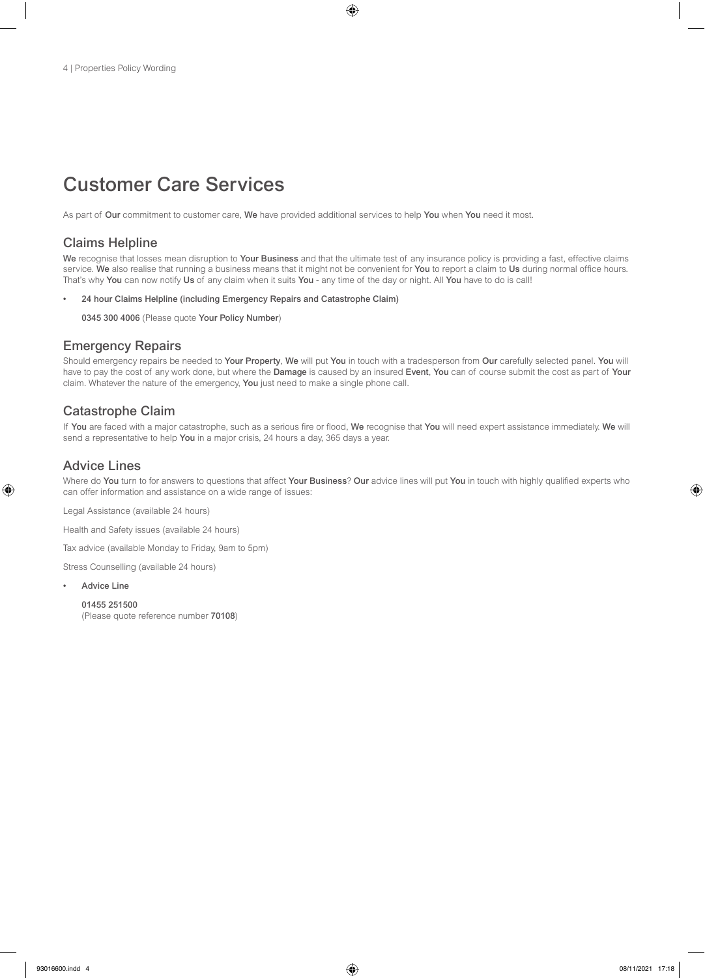# Customer Care Services

As part of Our commitment to customer care, We have provided additional services to help You when You need it most.

### Claims Helpline

We recognise that losses mean disruption to Your Business and that the ultimate test of any insurance policy is providing a fast, effective claims service. We also realise that running a business means that it might not be convenient for You to report a claim to Us during normal office hours. That's why You can now notify Us of any claim when it suits You - any time of the day or night. All You have to do is call!

• 24 hour Claims Helpline (including Emergency Repairs and Catastrophe Claim)

0345 300 4006 (Please quote Your Policy Number)

### Emergency Repairs

Should emergency repairs be needed to Your Property, We will put You in touch with a tradesperson from Our carefully selected panel. You will have to pay the cost of any work done, but where the Damage is caused by an insured Event, You can of course submit the cost as part of Your claim. Whatever the nature of the emergency, You just need to make a single phone call.

### Catastrophe Claim

If You are faced with a major catastrophe, such as a serious fire or flood, We recognise that You will need expert assistance immediately. We will send a representative to help You in a major crisis, 24 hours a day, 365 days a year.

### Advice Lines

Where do You turn to for answers to questions that affect Your Business? Our advice lines will put You in touch with highly qualified experts who can offer information and assistance on a wide range of issues:

Legal Assistance (available 24 hours)

Health and Safety issues (available 24 hours)

Tax advice (available Monday to Friday, 9am to 5pm)

Stress Counselling (available 24 hours)

**Advice Line** 

01455 251500 (Please quote reference number 70108)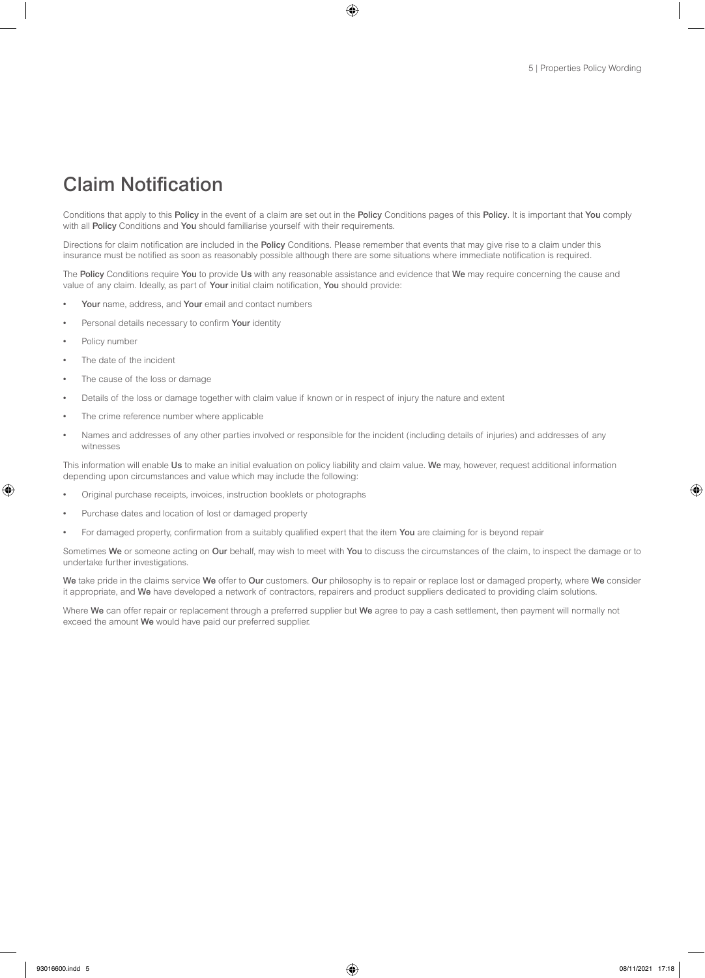## Claim Notification

Conditions that apply to this Policy in the event of a claim are set out in the Policy Conditions pages of this Policy. It is important that You comply with all Policy Conditions and You should familiarise yourself with their requirements.

Directions for claim notification are included in the Policy Conditions. Please remember that events that may give rise to a claim under this insurance must be notified as soon as reasonably possible although there are some situations where immediate notification is required.

The Policy Conditions require You to provide Us with any reasonable assistance and evidence that We may require concerning the cause and value of any claim. Ideally, as part of Your initial claim notification, You should provide:

- Your name, address, and Your email and contact numbers
- Personal details necessary to confirm Your identity
- Policy number
- The date of the incident
- The cause of the loss or damage
- Details of the loss or damage together with claim value if known or in respect of injury the nature and extent
- The crime reference number where applicable
- Names and addresses of any other parties involved or responsible for the incident (including details of injuries) and addresses of any witnesses

This information will enable Us to make an initial evaluation on policy liability and claim value. We may, however, request additional information depending upon circumstances and value which may include the following:

- Original purchase receipts, invoices, instruction booklets or photographs
- Purchase dates and location of lost or damaged property
- For damaged property, confirmation from a suitably qualified expert that the item You are claiming for is beyond repair

Sometimes We or someone acting on Our behalf, may wish to meet with You to discuss the circumstances of the claim, to inspect the damage or to undertake further investigations.

We take pride in the claims service We offer to Our customers. Our philosophy is to repair or replace lost or damaged property, where We consider it appropriate, and We have developed a network of contractors, repairers and product suppliers dedicated to providing claim solutions.

Where We can offer repair or replacement through a preferred supplier but We agree to pay a cash settlement, then payment will normally not exceed the amount We would have paid our preferred supplier.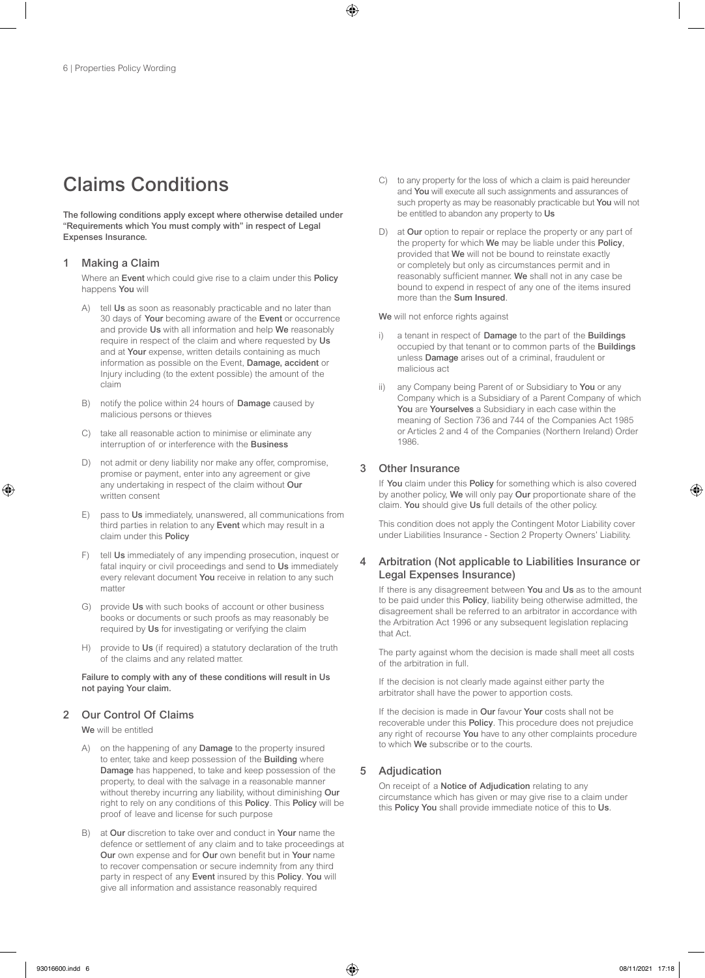# Claims Conditions

The following conditions apply except where otherwise detailed under "Requirements which You must comply with" in respect of Legal Expenses Insurance.

### 1 Making a Claim

Where an Event which could give rise to a claim under this Policy happens You will

- A) tell Us as soon as reasonably practicable and no later than 30 days of Your becoming aware of the Event or occurrence and provide Us with all information and help We reasonably require in respect of the claim and where requested by Us and at Your expense, written details containing as much information as possible on the Event, Damage, accident or Injury including (to the extent possible) the amount of the claim
- B) notify the police within 24 hours of Damage caused by malicious persons or thieves
- C) take all reasonable action to minimise or eliminate any interruption of or interference with the Business
- D) not admit or deny liability nor make any offer, compromise, promise or payment, enter into any agreement or give any undertaking in respect of the claim without Our written consent
- E) pass to Us immediately, unanswered, all communications from third parties in relation to any Event which may result in a claim under this Policy
- tell Us immediately of any impending prosecution, inquest or fatal inquiry or civil proceedings and send to Us immediately every relevant document You receive in relation to any such matter
- G) provide Us with such books of account or other business books or documents or such proofs as may reasonably be required by Us for investigating or verifying the claim
- H) provide to Us (if required) a statutory declaration of the truth of the claims and any related matter.

Failure to comply with any of these conditions will result in Us not paying Your claim.

### 2 Our Control Of Claims

We will be entitled

- A) on the happening of any Damage to the property insured to enter, take and keep possession of the Building where Damage has happened, to take and keep possession of the property, to deal with the salvage in a reasonable manner without thereby incurring any liability, without diminishing Our right to rely on any conditions of this Policy. This Policy will be proof of leave and license for such purpose
- B) at Our discretion to take over and conduct in Your name the defence or settlement of any claim and to take proceedings at Our own expense and for Our own benefit but in Your name to recover compensation or secure indemnity from any third party in respect of any Event insured by this Policy. You will give all information and assistance reasonably required
- C) to any property for the loss of which a claim is paid hereunder and You will execute all such assignments and assurances of such property as may be reasonably practicable but **You** will not be entitled to abandon any property to Us
- D) at Our option to repair or replace the property or any part of the property for which We may be liable under this Policy, provided that We will not be bound to reinstate exactly or completely but only as circumstances permit and in reasonably sufficient manner. We shall not in any case be bound to expend in respect of any one of the items insured more than the Sum Insured.

#### We will not enforce rights against

- i) a tenant in respect of Damage to the part of the Buildings occupied by that tenant or to common parts of the Buildings unless Damage arises out of a criminal, fraudulent or malicious act
- ii) any Company being Parent of or Subsidiary to You or any Company which is a Subsidiary of a Parent Company of which You are Yourselves a Subsidiary in each case within the meaning of Section 736 and 744 of the Companies Act 1985 or Articles 2 and 4 of the Companies (Northern Ireland) Order 1986.

### 3 Other Insurance

If You claim under this Policy for something which is also covered by another policy, We will only pay Our proportionate share of the claim. You should give Us full details of the other policy.

This condition does not apply the Contingent Motor Liability cover under Liabilities Insurance - Section 2 Property Owners' Liability.

### 4 Arbitration (Not applicable to Liabilities Insurance or Legal Expenses Insurance)

If there is any disagreement between You and Us as to the amount to be paid under this Policy, liability being otherwise admitted, the disagreement shall be referred to an arbitrator in accordance with the Arbitration Act 1996 or any subsequent legislation replacing that Act.

The party against whom the decision is made shall meet all costs of the arbitration in full.

If the decision is not clearly made against either party the arbitrator shall have the power to apportion costs.

If the decision is made in Our favour Your costs shall not be recoverable under this Policy. This procedure does not prejudice any right of recourse You have to any other complaints procedure to which We subscribe or to the courts.

### 5 Adjudication

On receipt of a Notice of Adjudication relating to any circumstance which has given or may give rise to a claim under this Policy You shall provide immediate notice of this to Us.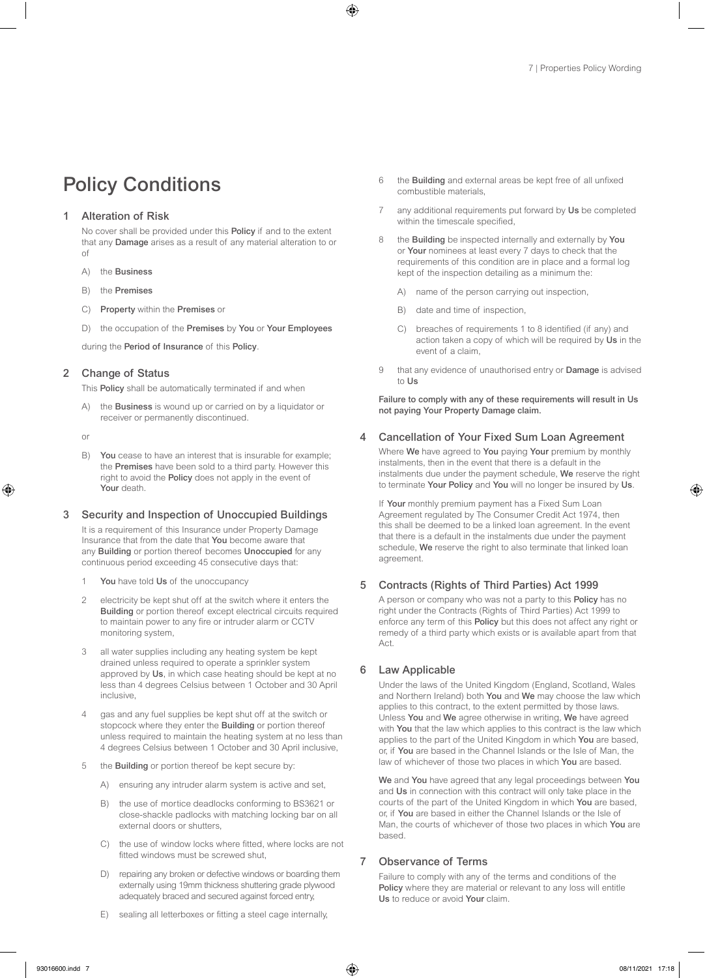# Policy Conditions

#### **Alteration of Risk**

No cover shall be provided under this Policy if and to the extent that any Damage arises as a result of any material alteration to or of

- A) the Business
- B) the Premises
- C) Property within the Premises or
- D) the occupation of the Premises by You or Your Employees

during the Period of Insurance of this Policy.

#### 2 Change of Status

This Policy shall be automatically terminated if and when

A) the Business is wound up or carried on by a liquidator or receiver or permanently discontinued.

or

B) You cease to have an interest that is insurable for example; the Premises have been sold to a third party. However this right to avoid the Policy does not apply in the event of Your death

#### 3 Security and Inspection of Unoccupied Buildings

It is a requirement of this Insurance under Property Damage Insurance that from the date that You become aware that any **Building** or portion thereof becomes **Unoccupied** for any continuous period exceeding 45 consecutive days that:

- 1 You have told Us of the unoccupancy
- 2 electricity be kept shut off at the switch where it enters the Building or portion thereof except electrical circuits required to maintain power to any fire or intruder alarm or CCTV monitoring system,
- 3 all water supplies including any heating system be kept drained unless required to operate a sprinkler system approved by Us, in which case heating should be kept at no less than 4 degrees Celsius between 1 October and 30 April inclusive,
- 4 gas and any fuel supplies be kept shut off at the switch or stopcock where they enter the Building or portion thereof unless required to maintain the heating system at no less than 4 degrees Celsius between 1 October and 30 April inclusive,
- 5 the Building or portion thereof be kept secure by:
	- A) ensuring any intruder alarm system is active and set,
	- B) the use of mortice deadlocks conforming to BS3621 or close-shackle padlocks with matching locking bar on all external doors or shutters,
	- C) the use of window locks where fitted, where locks are not fitted windows must be screwed shut,
	- D) repairing any broken or defective windows or boarding them externally using 19mm thickness shuttering grade plywood adequately braced and secured against forced entry,
	- E) sealing all letterboxes or fitting a steel cage internally,
- 6 the Building and external areas be kept free of all unfixed combustible materials,
- 7 any additional requirements put forward by Us be completed within the timescale specified,
- 8 the Building be inspected internally and externally by You or Your nominees at least every 7 days to check that the requirements of this condition are in place and a formal log kept of the inspection detailing as a minimum the:
	- A) name of the person carrying out inspection,
	- B) date and time of inspection,
	- C) breaches of requirements 1 to 8 identified (if any) and action taken a copy of which will be required by Us in the event of a claim,
- 9 that any evidence of unauthorised entry or **Damage** is advised to Us

Failure to comply with any of these requirements will result in Us not paying Your Property Damage claim.

### 4 Cancellation of Your Fixed Sum Loan Agreement

Where We have agreed to You paying Your premium by monthly instalments, then in the event that there is a default in the instalments due under the payment schedule, We reserve the right to terminate Your Policy and You will no longer be insured by Us.

If Your monthly premium payment has a Fixed Sum Loan Agreement regulated by The Consumer Credit Act 1974, then this shall be deemed to be a linked loan agreement. In the event that there is a default in the instalments due under the payment schedule, We reserve the right to also terminate that linked loan agreement.

### 5 Contracts (Rights of Third Parties) Act 1999

A person or company who was not a party to this Policy has no right under the Contracts (Rights of Third Parties) Act 1999 to enforce any term of this Policy but this does not affect any right or remedy of a third party which exists or is available apart from that Act.

#### 6 Law Applicable

Under the laws of the United Kingdom (England, Scotland, Wales and Northern Ireland) both You and We may choose the law which applies to this contract, to the extent permitted by those laws. Unless You and We agree otherwise in writing, We have agreed with You that the law which applies to this contract is the law which applies to the part of the United Kingdom in which You are based, or, if You are based in the Channel Islands or the Isle of Man, the law of whichever of those two places in which You are based.

We and You have agreed that any legal proceedings between You and Us in connection with this contract will only take place in the courts of the part of the United Kingdom in which You are based, or, if You are based in either the Channel Islands or the Isle of Man, the courts of whichever of those two places in which You are based.

#### 7 Observance of Terms

Failure to comply with any of the terms and conditions of the Policy where they are material or relevant to any loss will entitle Us to reduce or avoid Your claim.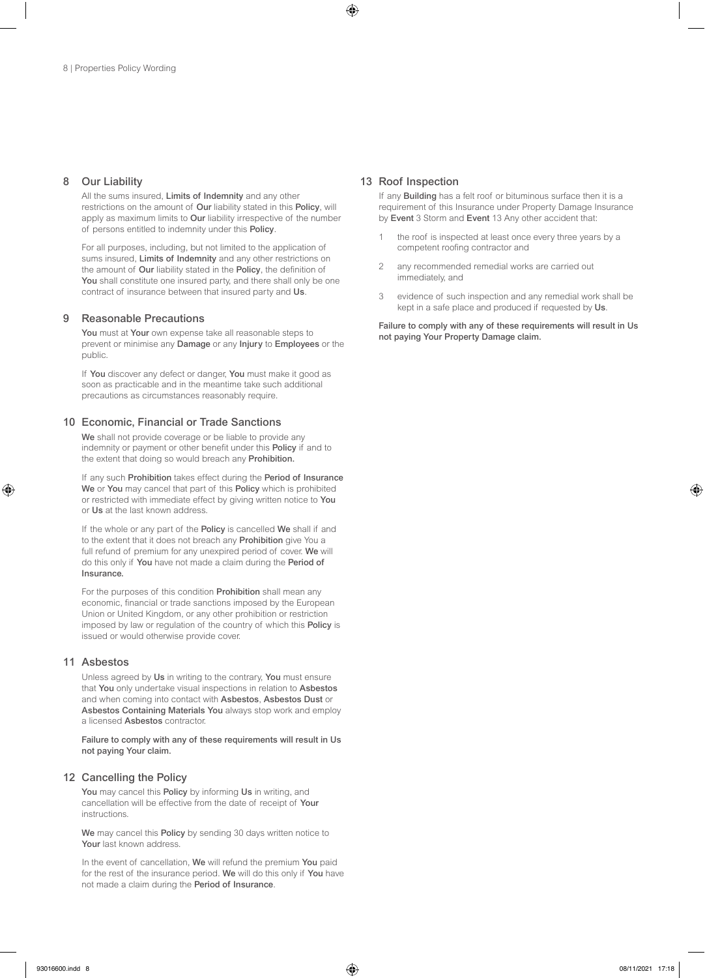#### 8 Our Liability

All the sums insured, Limits of Indemnity and any other restrictions on the amount of Our liability stated in this Policy, will apply as maximum limits to Our liability irrespective of the number of persons entitled to indemnity under this Policy.

For all purposes, including, but not limited to the application of sums insured, Limits of Indemnity and any other restrictions on the amount of Our liability stated in the Policy, the definition of You shall constitute one insured party, and there shall only be one contract of insurance between that insured party and Us.

#### 9 Reasonable Precautions

You must at Your own expense take all reasonable steps to prevent or minimise any Damage or any Injury to Employees or the public.

If You discover any defect or danger, You must make it good as soon as practicable and in the meantime take such additional precautions as circumstances reasonably require.

### 10 Economic, Financial or Trade Sanctions

We shall not provide coverage or be liable to provide any indemnity or payment or other benefit under this Policy if and to the extent that doing so would breach any Prohibition.

If any such Prohibition takes effect during the Period of Insurance We or You may cancel that part of this Policy which is prohibited or restricted with immediate effect by giving written notice to You or Us at the last known address.

If the whole or any part of the Policy is cancelled We shall if and to the extent that it does not breach any Prohibition give You a full refund of premium for any unexpired period of cover. We will do this only if You have not made a claim during the Period of Insurance.

For the purposes of this condition Prohibition shall mean any economic, financial or trade sanctions imposed by the European Union or United Kingdom, or any other prohibition or restriction imposed by law or regulation of the country of which this Policy is issued or would otherwise provide cover.

#### 11 Asbestos

Unless agreed by Us in writing to the contrary, You must ensure that You only undertake visual inspections in relation to Asbestos and when coming into contact with Asbestos, Asbestos Dust or Asbestos Containing Materials You always stop work and employ a licensed Asbestos contractor.

Failure to comply with any of these requirements will result in Us not paying Your claim.

### 12 Cancelling the Policy

You may cancel this Policy by informing Us in writing, and cancellation will be effective from the date of receipt of Your instructions.

We may cancel this Policy by sending 30 days written notice to Your last known address.

In the event of cancellation, We will refund the premium You paid for the rest of the insurance period. We will do this only if You have not made a claim during the Period of Insurance.

#### 13 Roof Inspection

If any **Building** has a felt roof or bituminous surface then it is a requirement of this Insurance under Property Damage Insurance by Event 3 Storm and Event 13 Any other accident that:

- the roof is inspected at least once every three years by a competent roofing contractor and
- 2 any recommended remedial works are carried out immediately, and
- 3 evidence of such inspection and any remedial work shall be kept in a safe place and produced if requested by Us.

Failure to comply with any of these requirements will result in Us not paying Your Property Damage claim.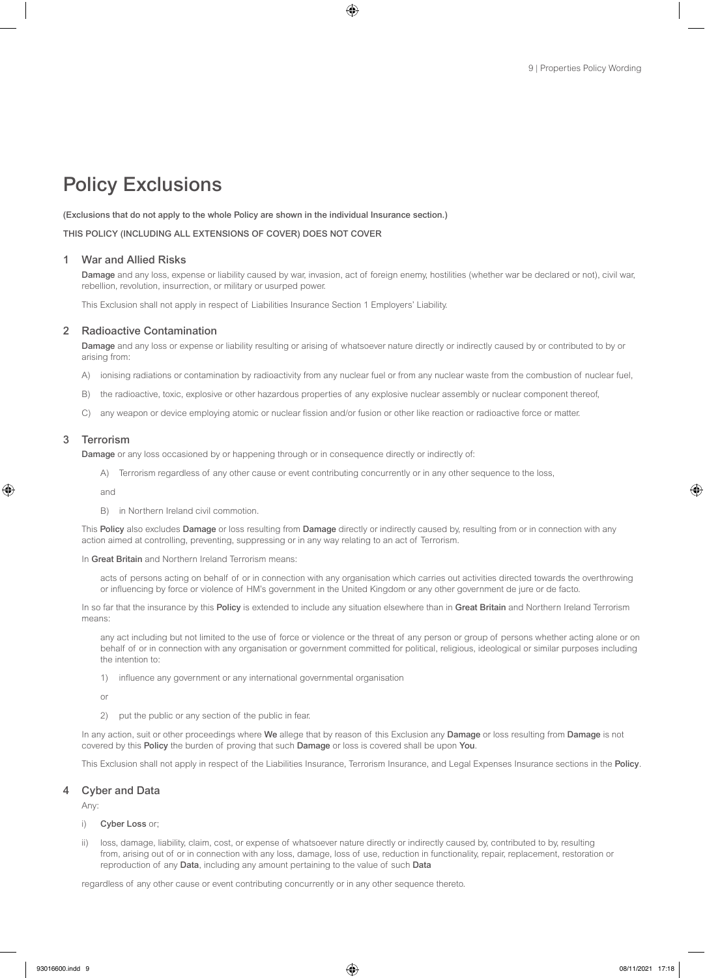# Policy Exclusions

(Exclusions that do not apply to the whole Policy are shown in the individual Insurance section.)

THIS POLICY (INCLUDING ALL EXTENSIONS OF COVER) DOES NOT COVER

#### 1 War and Allied Risks

Damage and any loss, expense or liability caused by war, invasion, act of foreign enemy, hostilities (whether war be declared or not), civil war, rebellion, revolution, insurrection, or military or usurped power.

This Exclusion shall not apply in respect of Liabilities Insurance Section 1 Employers' Liability.

#### 2 Radioactive Contamination

Damage and any loss or expense or liability resulting or arising of whatsoever nature directly or indirectly caused by or contributed to by or arising from:

- A) ionising radiations or contamination by radioactivity from any nuclear fuel or from any nuclear waste from the combustion of nuclear fuel,
- B) the radioactive, toxic, explosive or other hazardous properties of any explosive nuclear assembly or nuclear component thereof,
- C) any weapon or device employing atomic or nuclear fission and/or fusion or other like reaction or radioactive force or matter.

#### 3 Terrorism

Damage or any loss occasioned by or happening through or in consequence directly or indirectly of:

A) Terrorism regardless of any other cause or event contributing concurrently or in any other sequence to the loss,

and

B) in Northern Ireland civil commotion.

This Policy also excludes Damage or loss resulting from Damage directly or indirectly caused by, resulting from or in connection with any action aimed at controlling, preventing, suppressing or in any way relating to an act of Terrorism.

In Great Britain and Northern Ireland Terrorism means:

acts of persons acting on behalf of or in connection with any organisation which carries out activities directed towards the overthrowing or influencing by force or violence of HM's government in the United Kingdom or any other government de jure or de facto.

In so far that the insurance by this Policy is extended to include any situation elsewhere than in Great Britain and Northern Ireland Terrorism means:

any act including but not limited to the use of force or violence or the threat of any person or group of persons whether acting alone or on behalf of or in connection with any organisation or government committed for political, religious, ideological or similar purposes including the intention to:

1) influence any government or any international governmental organisation

or

2) put the public or any section of the public in fear.

In any action, suit or other proceedings where We allege that by reason of this Exclusion any Damage or loss resulting from Damage is not covered by this Policy the burden of proving that such Damage or loss is covered shall be upon You.

This Exclusion shall not apply in respect of the Liabilities Insurance, Terrorism Insurance, and Legal Expenses Insurance sections in the Policy.

#### 4 Cyber and Data

Any:

- i) Cyber Loss or;
- ii) loss, damage, liability, claim, cost, or expense of whatsoever nature directly or indirectly caused by, contributed to by, resulting from, arising out of or in connection with any loss, damage, loss of use, reduction in functionality, repair, replacement, restoration or reproduction of any Data, including any amount pertaining to the value of such Data

regardless of any other cause or event contributing concurrently or in any other sequence thereto.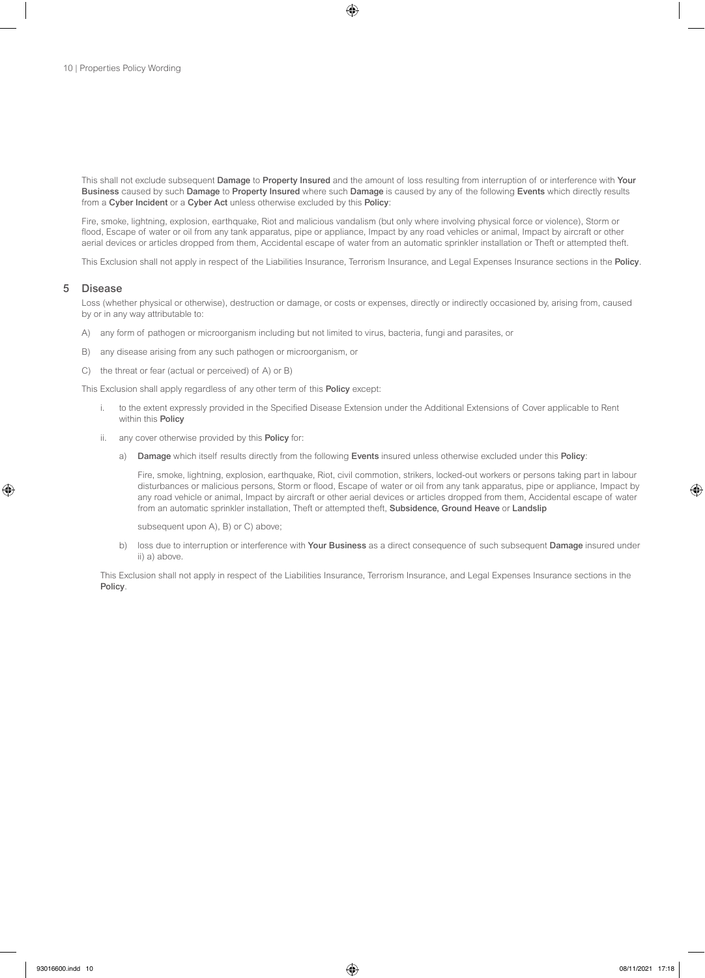This shall not exclude subsequent Damage to Property Insured and the amount of loss resulting from interruption of or interference with Your Business caused by such Damage to Property Insured where such Damage is caused by any of the following Events which directly results from a Cyber Incident or a Cyber Act unless otherwise excluded by this Policy:

Fire, smoke, lightning, explosion, earthquake, Riot and malicious vandalism (but only where involving physical force or violence), Storm or flood, Escape of water or oil from any tank apparatus, pipe or appliance, Impact by any road vehicles or animal, Impact by aircraft or other aerial devices or articles dropped from them, Accidental escape of water from an automatic sprinkler installation or Theft or attempted theft.

This Exclusion shall not apply in respect of the Liabilities Insurance, Terrorism Insurance, and Legal Expenses Insurance sections in the Policy.

#### 5 Disease

Loss (whether physical or otherwise), destruction or damage, or costs or expenses, directly or indirectly occasioned by, arising from, caused by or in any way attributable to:

- A) any form of pathogen or microorganism including but not limited to virus, bacteria, fungi and parasites, or
- B) any disease arising from any such pathogen or microorganism, or
- C) the threat or fear (actual or perceived) of A) or B)

This Exclusion shall apply regardless of any other term of this Policy except:

- i. to the extent expressly provided in the Specified Disease Extension under the Additional Extensions of Cover applicable to Rent within this Policy
- ii. any cover otherwise provided by this Policy for:
	- a) Damage which itself results directly from the following Events insured unless otherwise excluded under this Policy:

Fire, smoke, lightning, explosion, earthquake, Riot, civil commotion, strikers, locked-out workers or persons taking part in labour disturbances or malicious persons, Storm or flood, Escape of water or oil from any tank apparatus, pipe or appliance, Impact by any road vehicle or animal, Impact by aircraft or other aerial devices or articles dropped from them, Accidental escape of water from an automatic sprinkler installation, Theft or attempted theft, Subsidence, Ground Heave or Landslip

subsequent upon A), B) or C) above;

b) loss due to interruption or interference with Your Business as a direct consequence of such subsequent Damage insured under ii) a) above.

This Exclusion shall not apply in respect of the Liabilities Insurance, Terrorism Insurance, and Legal Expenses Insurance sections in the Policy.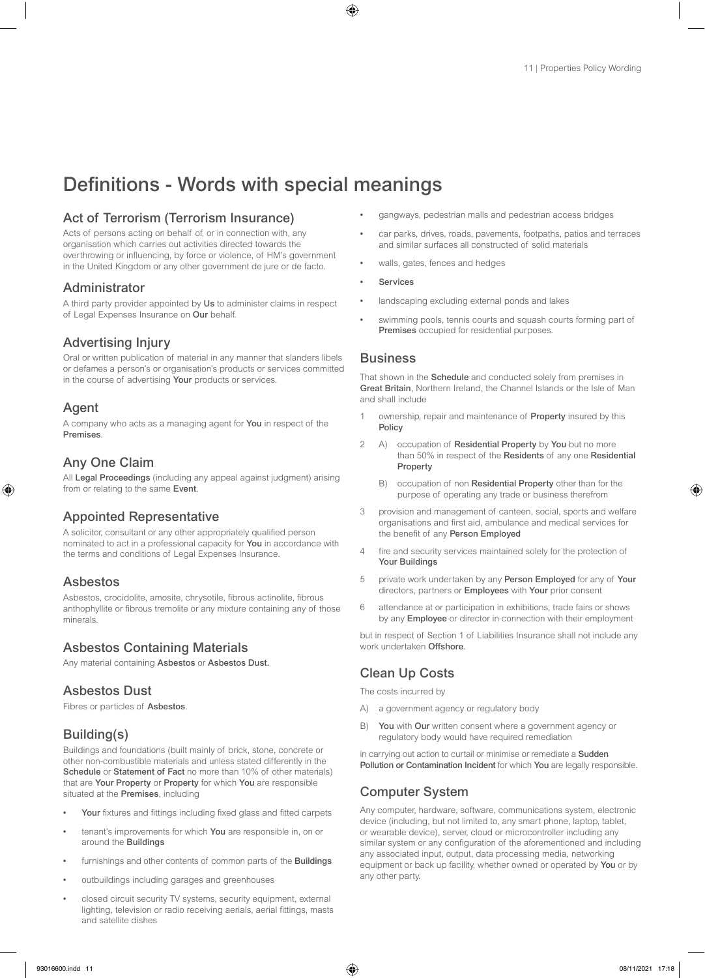# Definitions - Words with special meanings

### Act of Terrorism (Terrorism Insurance)

Acts of persons acting on behalf of, or in connection with, any organisation which carries out activities directed towards the overthrowing or influencing, by force or violence, of HM's government in the United Kingdom or any other government de jure or de facto.

### Administrator

A third party provider appointed by Us to administer claims in respect of Legal Expenses Insurance on Our behalf.

### Advertising Injury

Oral or written publication of material in any manner that slanders libels or defames a person's or organisation's products or services committed in the course of advertising Your products or services.

### Agent

A company who acts as a managing agent for You in respect of the Premises.

## Any One Claim

All Legal Proceedings (including any appeal against judgment) arising from or relating to the same Event.

### Appointed Representative

A solicitor, consultant or any other appropriately qualified person nominated to act in a professional capacity for You in accordance with the terms and conditions of Legal Expenses Insurance.

### Asbestos

Asbestos, crocidolite, amosite, chrysotile, fibrous actinolite, fibrous anthophyllite or fibrous tremolite or any mixture containing any of those minerals.

## Asbestos Containing Materials

Any material containing Asbestos or Asbestos Dust.

### Asbestos Dust

Fibres or particles of Asbestos.

## Building(s)

Buildings and foundations (built mainly of brick, stone, concrete or other non-combustible materials and unless stated differently in the Schedule or Statement of Fact no more than 10% of other materials) that are Your Property or Property for which You are responsible situated at the Premises, including

- Your fixtures and fittings including fixed glass and fitted carpets
- tenant's improvements for which You are responsible in, on or around the Buildings
- furnishings and other contents of common parts of the **Buildings**
- outbuildings including garages and greenhouses
- closed circuit security TV systems, security equipment, external lighting, television or radio receiving aerials, aerial fittings, masts and satellite dishes
- gangways, pedestrian malls and pedestrian access bridges
- car parks, drives, roads, pavements, footpaths, patios and terraces and similar surfaces all constructed of solid materials
- walls, gates, fences and hedges
- **Services**
- landscaping excluding external ponds and lakes
- swimming pools, tennis courts and squash courts forming part of Premises occupied for residential purposes.

### **Business**

That shown in the **Schedule** and conducted solely from premises in Great Britain, Northern Ireland, the Channel Islands or the Isle of Man and shall include

- ownership, repair and maintenance of Property insured by this Policy
- 2 A) occupation of Residential Property by You but no more than 50% in respect of the Residents of any one Residential Property
	- B) occupation of non Residential Property other than for the purpose of operating any trade or business therefrom
- 3 provision and management of canteen, social, sports and welfare organisations and first aid, ambulance and medical services for the benefit of any Person Employed
- 4 fire and security services maintained solely for the protection of Your Buildings
- 5 private work undertaken by any Person Employed for any of Your directors, partners or **Employees** with Your prior consent
- 6 attendance at or participation in exhibitions, trade fairs or shows by any Employee or director in connection with their employment

but in respect of Section 1 of Liabilities Insurance shall not include any work undertaken Offshore.

## Clean Up Costs

The costs incurred by

- A) a government agency or regulatory body
- B) You with Our written consent where a government agency or regulatory body would have required remediation

in carrying out action to curtail or minimise or remediate a Sudden Pollution or Contamination Incident for which You are legally responsible.

### Computer System

Any computer, hardware, software, communications system, electronic device (including, but not limited to, any smart phone, laptop, tablet, or wearable device), server, cloud or microcontroller including any similar system or any configuration of the aforementioned and including any associated input, output, data processing media, networking equipment or back up facility, whether owned or operated by You or by any other party.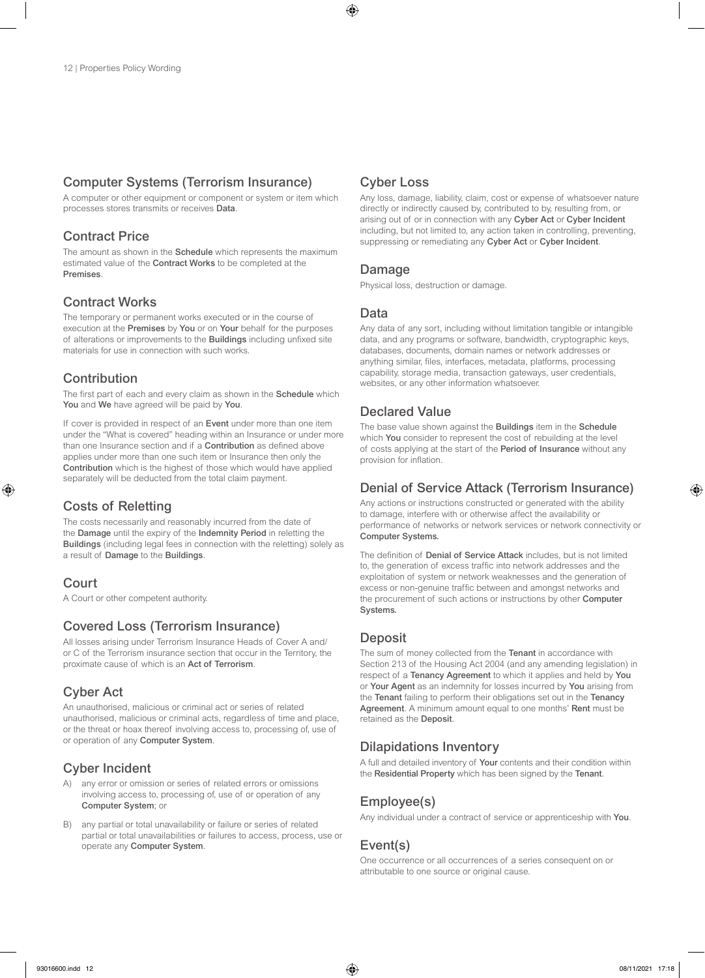### Computer Systems (Terrorism Insurance)

A computer or other equipment or component or system or item which processes stores transmits or receives Data.

### Contract Price

The amount as shown in the **Schedule** which represents the maximum estimated value of the Contract Works to be completed at the Premises.

### Contract Works

The temporary or permanent works executed or in the course of execution at the Premises by You or on Your behalf for the purposes of alterations or improvements to the Buildings including unfixed site materials for use in connection with such works.

## Contribution

The first part of each and every claim as shown in the **Schedule** which You and We have agreed will be paid by You.

If cover is provided in respect of an Event under more than one item under the "What is covered" heading within an Insurance or under more than one Insurance section and if a **Contribution** as defined above applies under more than one such item or Insurance then only the Contribution which is the highest of those which would have applied separately will be deducted from the total claim payment.

### Costs of Reletting

The costs necessarily and reasonably incurred from the date of the Damage until the expiry of the Indemnity Period in reletting the Buildings (including legal fees in connection with the reletting) solely as a result of Damage to the Buildings.

### Court

A Court or other competent authority.

### Covered Loss (Terrorism Insurance)

All losses arising under Terrorism Insurance Heads of Cover A and/ or C of the Terrorism insurance section that occur in the Territory, the proximate cause of which is an Act of Terrorism.

## Cyber Act

An unauthorised, malicious or criminal act or series of related unauthorised, malicious or criminal acts, regardless of time and place, or the threat or hoax thereof involving access to, processing of, use of or operation of any Computer System.

## Cyber Incident

- A) any error or omission or series of related errors or omissions involving access to, processing of, use of or operation of any Computer System; or
- B) any partial or total unavailability or failure or series of related partial or total unavailabilities or failures to access, process, use or operate any Computer System.

### Cyber Loss

Any loss, damage, liability, claim, cost or expense of whatsoever nature directly or indirectly caused by, contributed to by, resulting from, or arising out of or in connection with any Cyber Act or Cyber Incident including, but not limited to, any action taken in controlling, preventing, suppressing or remediating any Cyber Act or Cyber Incident.

### Damage

Physical loss, destruction or damage.

### Data

Any data of any sort, including without limitation tangible or intangible data, and any programs or software, bandwidth, cryptographic keys, databases, documents, domain names or network addresses or anything similar, files, interfaces, metadata, platforms, processing capability, storage media, transaction gateways, user credentials, websites, or any other information whatsoever.

### Declared Value

The base value shown against the Buildings item in the Schedule which You consider to represent the cost of rebuilding at the level of costs applying at the start of the Period of Insurance without any provision for inflation.

### Denial of Service Attack (Terrorism Insurance)

Any actions or instructions constructed or generated with the ability to damage, interfere with or otherwise affect the availability or performance of networks or network services or network connectivity or Computer Systems.

The definition of Denial of Service Attack includes, but is not limited to, the generation of excess traffic into network addresses and the exploitation of system or network weaknesses and the generation of excess or non-genuine traffic between and amongst networks and the procurement of such actions or instructions by other Computer Systems.

### **Deposit**

The sum of money collected from the Tenant in accordance with Section 213 of the Housing Act 2004 (and any amending legislation) in respect of a Tenancy Agreement to which it applies and held by You or Your Agent as an indemnity for losses incurred by You arising from the Tenant failing to perform their obligations set out in the Tenancy Agreement. A minimum amount equal to one months' Rent must be retained as the Deposit.

## Dilapidations Inventory

A full and detailed inventory of Your contents and their condition within the Residential Property which has been signed by the Tenant.

## Employee(s)

Any individual under a contract of service or apprenticeship with You.

## Event(s)

One occurrence or all occurrences of a series consequent on or attributable to one source or original cause.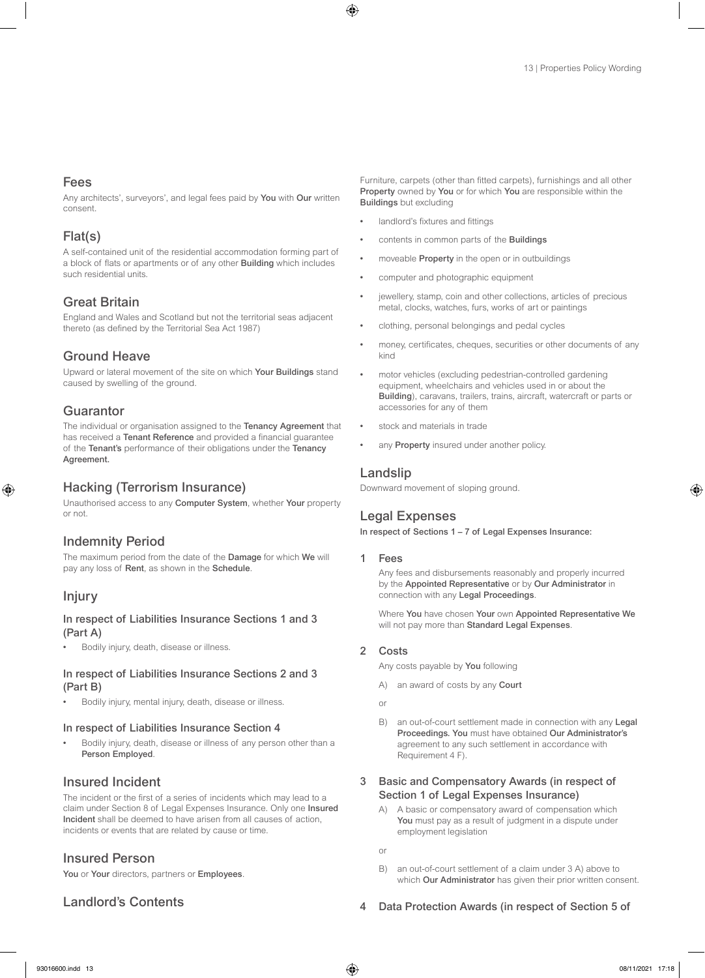### Fees

Any architects', surveyors', and legal fees paid by You with Our written consent.

### Flat(s)

A self-contained unit of the residential accommodation forming part of a block of flats or apartments or of any other Building which includes such residential units.

### Great Britain

England and Wales and Scotland but not the territorial seas adjacent thereto (as defined by the Territorial Sea Act 1987)

### Ground Heave

Upward or lateral movement of the site on which Your Buildings stand caused by swelling of the ground.

### **Guarantor**

The individual or organisation assigned to the Tenancy Agreement that has received a Tenant Reference and provided a financial guarantee of the Tenant's performance of their obligations under the Tenancy Agreement.

### Hacking (Terrorism Insurance)

Unauthorised access to any Computer System, whether Your property or not.

### Indemnity Period

The maximum period from the date of the Damage for which We will pay any loss of Rent, as shown in the Schedule.

### Injury

### In respect of Liabilities Insurance Sections 1 and 3 (Part A)

• Bodily injury, death, disease or illness.

### In respect of Liabilities Insurance Sections 2 and 3 (Part B)

• Bodily injury, mental injury, death, disease or illness.

### In respect of Liabilities Insurance Section 4

• Bodily injury, death, disease or illness of any person other than a Person Employed.

### Insured Incident

The incident or the first of a series of incidents which may lead to a claim under Section 8 of Legal Expenses Insurance. Only one Insured Incident shall be deemed to have arisen from all causes of action, incidents or events that are related by cause or time.

### Insured Person

You or Your directors, partners or Employees.

### Landlord's Contents

Furniture, carpets (other than fitted carpets), furnishings and all other Property owned by You or for which You are responsible within the Buildings but excluding

- landlord's fixtures and fittings
- contents in common parts of the Buildings
- moveable **Property** in the open or in outbuildings
- computer and photographic equipment
- jewellery, stamp, coin and other collections, articles of precious metal, clocks, watches, furs, works of art or paintings
- clothing, personal belongings and pedal cycles
- money, certificates, cheques, securities or other documents of any kind
- motor vehicles (excluding pedestrian-controlled gardening equipment, wheelchairs and vehicles used in or about the Building), caravans, trailers, trains, aircraft, watercraft or parts or accessories for any of them
- stock and materials in trade
- any Property insured under another policy.

### Landslip

Downward movement of sloping ground.

### Legal Expenses

In respect of Sections 1 – 7 of Legal Expenses Insurance:

### **Fees**

Any fees and disbursements reasonably and properly incurred by the Appointed Representative or by Our Administrator in connection with any Legal Proceedings.

Where You have chosen Your own Appointed Representative We will not pay more than Standard Legal Expenses.

### 2 Costs

Any costs payable by You following

- A) an award of costs by any Court
- or
- B) an out-of-court settlement made in connection with any Legal Proceedings. You must have obtained Our Administrator's agreement to any such settlement in accordance with Requirement 4 F).

### 3 Basic and Compensatory Awards (in respect of Section 1 of Legal Expenses Insurance)

A) A basic or compensatory award of compensation which You must pay as a result of judgment in a dispute under employment legislation

or

B) an out-of-court settlement of a claim under 3 A) above to which Our Administrator has given their prior written consent.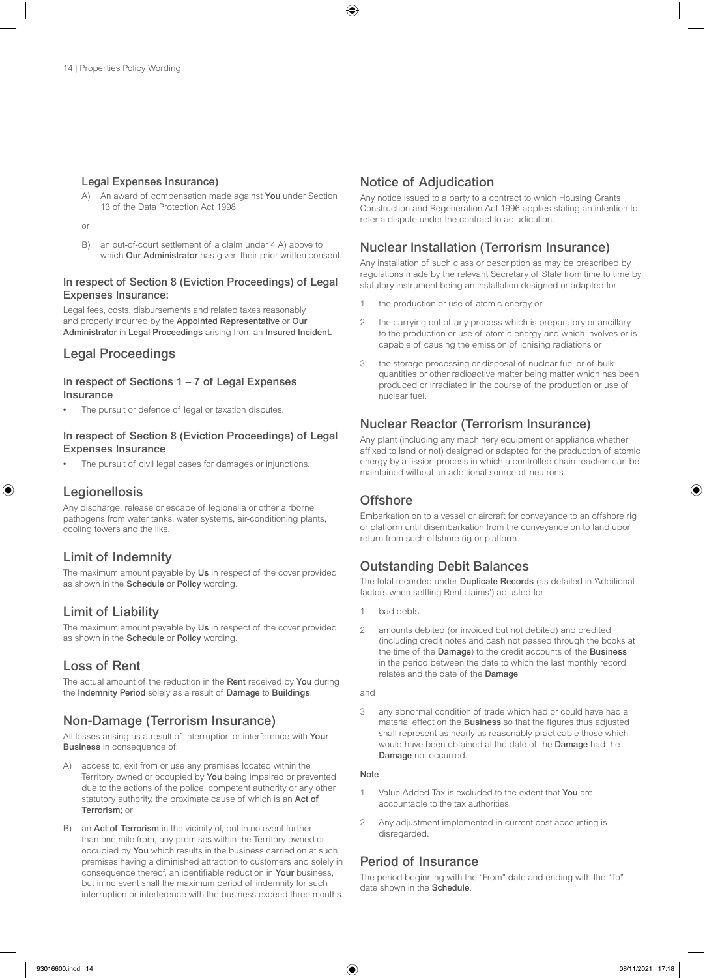#### Legal Expenses Insurance)

- An award of compensation made against You under Section 13 of the Data Protection Act 1998
- or
- B) an out-of-court settlement of a claim under 4 A) above to which Our Administrator has given their prior written consent.

### In respect of Section 8 (Eviction Proceedings) of Legal Expenses Insurance:

Legal fees, costs, disbursements and related taxes reasonably and properly incurred by the Appointed Representative or Our Administrator in Legal Proceedings arising from an Insured Incident.

### Legal Proceedings

#### In respect of Sections 1 – 7 of Legal Expenses Insurance

The pursuit or defence of legal or taxation disputes.

### In respect of Section 8 (Eviction Proceedings) of Legal Expenses Insurance

The pursuit of civil legal cases for damages or injunctions.

### **Legionellosis**

Any discharge, release or escape of legionella or other airborne pathogens from water tanks, water systems, air-conditioning plants, cooling towers and the like.

### Limit of Indemnity

The maximum amount payable by Us in respect of the cover provided as shown in the Schedule or Policy wording.

### Limit of Liability

The maximum amount payable by Us in respect of the cover provided as shown in the Schedule or Policy wording.

### Loss of Rent

The actual amount of the reduction in the Rent received by You during the Indemnity Period solely as a result of Damage to Buildings.

### Non-Damage (Terrorism Insurance)

All losses arising as a result of interruption or interference with Your Business in consequence of:

- access to, exit from or use any premises located within the Territory owned or occupied by You being impaired or prevented due to the actions of the police, competent authority or any other statutory authority, the proximate cause of which is an Act of Terrorism; or
- B) an Act of Terrorism in the vicinity of, but in no event further than one mile from, any premises within the Territory owned or occupied by You which results in the business carried on at such premises having a diminished attraction to customers and solely in consequence thereof, an identifiable reduction in Your business, but in no event shall the maximum period of indemnity for such interruption or interference with the business exceed three months.

### Notice of Adjudication

Any notice issued to a party to a contract to which Housing Grants Construction and Regeneration Act 1996 applies stating an intention to refer a dispute under the contract to adjudication.

### Nuclear Installation (Terrorism Insurance)

Any installation of such class or description as may be prescribed by regulations made by the relevant Secretary of State from time to time by statutory instrument being an installation designed or adapted for

- 1 the production or use of atomic energy or
- 2 the carrying out of any process which is preparatory or ancillary to the production or use of atomic energy and which involves or is capable of causing the emission of ionising radiations or
- 3 the storage processing or disposal of nuclear fuel or of bulk quantities or other radioactive matter being matter which has been produced or irradiated in the course of the production or use of nuclear fuel.

## Nuclear Reactor (Terrorism Insurance)

Any plant (including any machinery equipment or appliance whether affixed to land or not) designed or adapted for the production of atomic energy by a fission process in which a controlled chain reaction can be maintained without an additional source of neutrons.

### **Offshore**

Embarkation on to a vessel or aircraft for conveyance to an offshore rig or platform until disembarkation from the conveyance on to land upon return from such offshore rig or platform.

## Outstanding Debit Balances

The total recorded under Duplicate Records (as detailed in 'Additional factors when settling Rent claims') adjusted for

- 1 bad debts
- 2 amounts debited (or invoiced but not debited) and credited (including credit notes and cash not passed through the books at the time of the Damage) to the credit accounts of the Business in the period between the date to which the last monthly record relates and the date of the Damage

and

3 any abnormal condition of trade which had or could have had a material effect on the Business so that the figures thus adjusted shall represent as nearly as reasonably practicable those which would have been obtained at the date of the Damage had the Damage not occurred.

#### Note

- Value Added Tax is excluded to the extent that You are accountable to the tax authorities.
- 2 Any adjustment implemented in current cost accounting is disregarded.

### Period of Insurance

The period beginning with the "From" date and ending with the "To" date shown in the Schedule.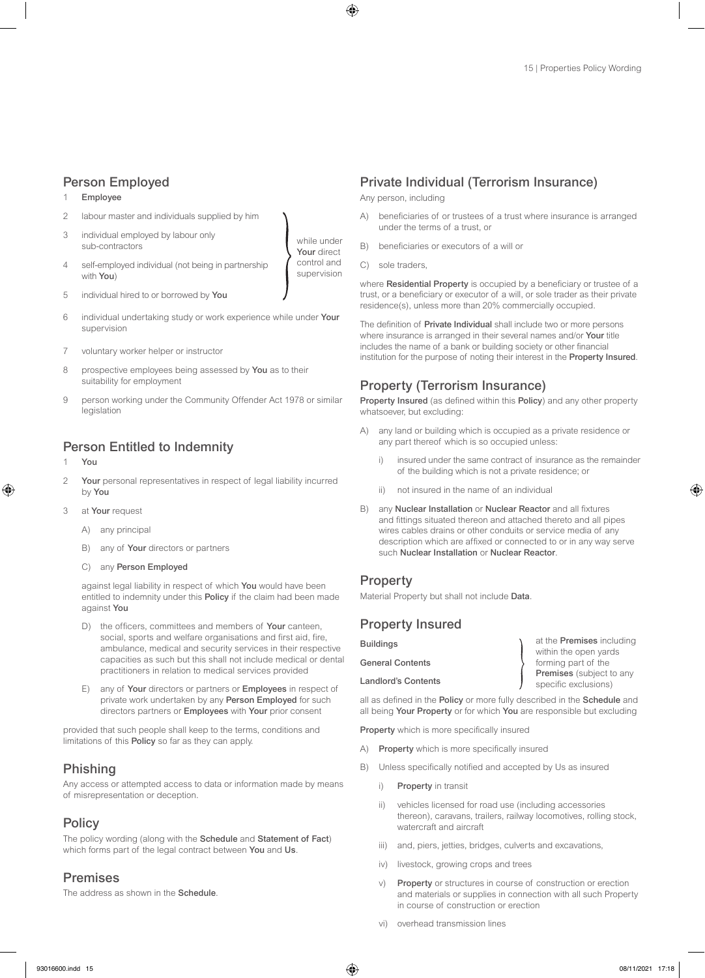### Person Employed

#### 1 Employee

- 2 labour master and individuals supplied by him
- 3 individual employed by labour only sub-contractors
- 4 self-employed individual (not being in partnership with You)
- 5 individual hired to or borrowed by You
- 6 individual undertaking study or work experience while under Your supervision
- 7 voluntary worker helper or instructor
- 8 prospective employees being assessed by You as to their suitability for employment
- 9 person working under the Community Offender Act 1978 or similar legislation

### Person Entitled to Indemnity

- **You**
- 2 Your personal representatives in respect of legal liability incurred by You
- 3 at Your request
	- A) any principal
	- B) any of **Your** directors or partners
	- C) any Person Employed

against legal liability in respect of which You would have been entitled to indemnity under this Policy if the claim had been made against You

- D) the officers, committees and members of Your canteen, social, sports and welfare organisations and first aid, fire, ambulance, medical and security services in their respective capacities as such but this shall not include medical or dental practitioners in relation to medical services provided
- E) any of Your directors or partners or Employees in respect of private work undertaken by any Person Employed for such directors partners or Employees with Your prior consent

provided that such people shall keep to the terms, conditions and limitations of this Policy so far as they can apply.

### Phishing

Any access or attempted access to data or information made by means of misrepresentation or deception.

### **Policy**

The policy wording (along with the Schedule and Statement of Fact) which forms part of the legal contract between You and Us.

### Premises

The address as shown in the Schedule

### Private Individual (Terrorism Insurance)

Any person, including

- A) beneficiaries of or trustees of a trust where insurance is arranged under the terms of a trust, or
- B) beneficiaries or executors of a will or
- C) sole traders,

while under Your direct control and supervision

> where Residential Property is occupied by a beneficiary or trustee of a trust, or a beneficiary or executor of a will, or sole trader as their private residence(s), unless more than 20% commercially occupied.

> The definition of Private Individual shall include two or more persons where insurance is arranged in their several names and/or Your title includes the name of a bank or building society or other financial institution for the purpose of noting their interest in the Property Insured.

### Property (Terrorism Insurance)

Property Insured (as defined within this Policy) and any other property whatsoever, but excluding:

- A) any land or building which is occupied as a private residence or any part thereof which is so occupied unless:
	- insured under the same contract of insurance as the remainder of the building which is not a private residence; or
	- ii) not insured in the name of an individual
- B) any Nuclear Installation or Nuclear Reactor and all fixtures and fittings situated thereon and attached thereto and all pipes wires cables drains or other conduits or service media of any description which are affixed or connected to or in any way serve such Nuclear Installation or Nuclear Reactor.

### **Property**

Material Property but shall not include Data.

### Property Insured

| <b>Buildings</b>           | at the <b>Premises</b> including |
|----------------------------|----------------------------------|
|                            | within the open yards            |
| <b>General Contents</b>    | forming part of the              |
|                            | Premises (subject to any         |
| <b>Landlord's Contents</b> | specific exclusions)             |

all as defined in the Policy or more fully described in the Schedule and all being Your Property or for which You are responsible but excluding

Property which is more specifically insured

- A) Property which is more specifically insured
- B) Unless specifically notified and accepted by Us as insured
	- i) Property in transit
	- ii) vehicles licensed for road use (including accessories thereon), caravans, trailers, railway locomotives, rolling stock, watercraft and aircraft
	- iii) and, piers, jetties, bridges, culverts and excavations,
	- iv) livestock, growing crops and trees
	- v) Property or structures in course of construction or erection and materials or supplies in connection with all such Property in course of construction or erection
	- vi) overhead transmission lines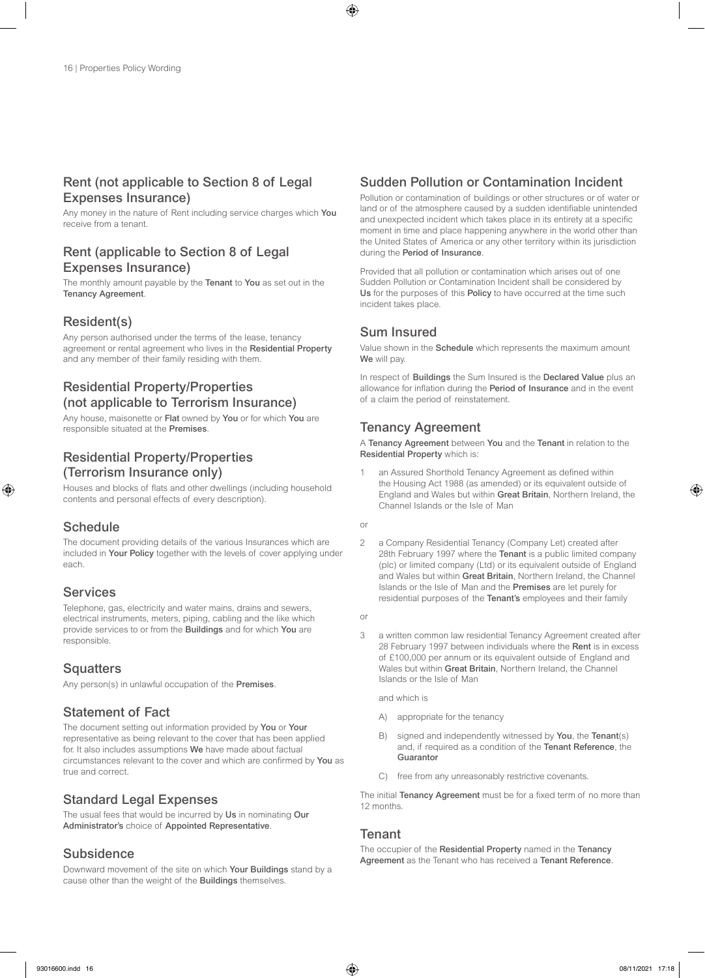### Rent (not applicable to Section 8 of Legal Expenses Insurance)

Any money in the nature of Rent including service charges which You receive from a tenant.

### Rent (applicable to Section 8 of Legal Expenses Insurance)

The monthly amount payable by the Tenant to You as set out in the Tenancy Agreement.

### Resident(s)

Any person authorised under the terms of the lease, tenancy agreement or rental agreement who lives in the Residential Property and any member of their family residing with them.

## Residential Property/Properties (not applicable to Terrorism Insurance)

Any house, maisonette or Flat owned by You or for which You are responsible situated at the Premises.

## Residential Property/Properties (Terrorism Insurance only)

Houses and blocks of flats and other dwellings (including household contents and personal effects of every description).

### **Schedule**

The document providing details of the various Insurances which are included in Your Policy together with the levels of cover applying under each.

### Services

Telephone, gas, electricity and water mains, drains and sewers, electrical instruments, meters, piping, cabling and the like which provide services to or from the Buildings and for which You are responsible.

### **Squatters**

Any person(s) in unlawful occupation of the Premises.

### Statement of Fact

The document setting out information provided by You or Your representative as being relevant to the cover that has been applied for. It also includes assumptions We have made about factual circumstances relevant to the cover and which are confirmed by You as true and correct.

### Standard Legal Expenses

The usual fees that would be incurred by Us in nominating Our Administrator's choice of Appointed Representative.

### **Subsidence**

Downward movement of the site on which Your Buildings stand by a cause other than the weight of the Buildings themselves.

## Sudden Pollution or Contamination Incident

Pollution or contamination of buildings or other structures or of water or land or of the atmosphere caused by a sudden identifiable unintended and unexpected incident which takes place in its entirety at a specific moment in time and place happening anywhere in the world other than the United States of America or any other territory within its jurisdiction during the Period of Insurance.

Provided that all pollution or contamination which arises out of one Sudden Pollution or Contamination Incident shall be considered by Us for the purposes of this Policy to have occurred at the time such incident takes place.

### Sum Insured

Value shown in the **Schedule** which represents the maximum amount We will pay.

In respect of **Buildings** the Sum Insured is the **Declared Value** plus an allowance for inflation during the Period of Insurance and in the event of a claim the period of reinstatement.

### Tenancy Agreement

A Tenancy Agreement between You and the Tenant in relation to the Residential Property which is:

an Assured Shorthold Tenancy Agreement as defined within the Housing Act 1988 (as amended) or its equivalent outside of England and Wales but within Great Britain, Northern Ireland, the Channel Islands or the Isle of Man

or

2 a Company Residential Tenancy (Company Let) created after 28th February 1997 where the Tenant is a public limited company (plc) or limited company (Ltd) or its equivalent outside of England and Wales but within Great Britain, Northern Ireland, the Channel Islands or the Isle of Man and the Premises are let purely for residential purposes of the Tenant's employees and their family

or

3 a written common law residential Tenancy Agreement created after 28 February 1997 between individuals where the Rent is in excess of £100,000 per annum or its equivalent outside of England and Wales but within Great Britain, Northern Ireland, the Channel Islands or the Isle of Man

and which is

- A) appropriate for the tenancy
- B) signed and independently witnessed by You, the Tenant(s) and, if required as a condition of the Tenant Reference, the **Guarantor**
- C) free from any unreasonably restrictive covenants.

The initial Tenancy Agreement must be for a fixed term of no more than 12 months.

### **Tenant**

The occupier of the Residential Property named in the Tenancy Agreement as the Tenant who has received a Tenant Reference.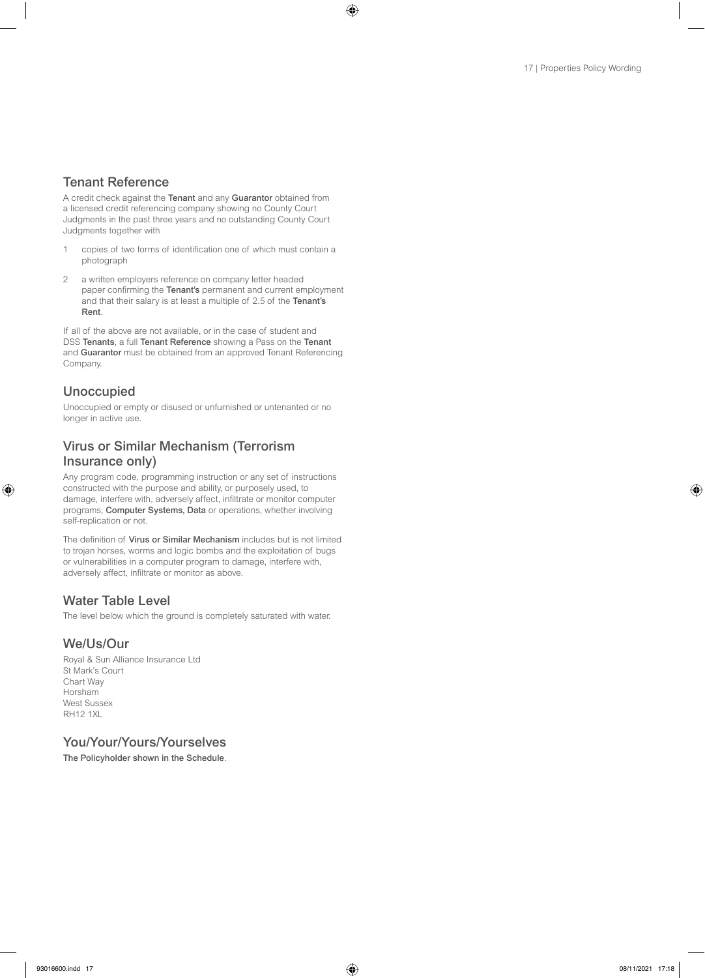### Tenant Reference

A credit check against the Tenant and any Guarantor obtained from a licensed credit referencing company showing no County Court Judgments in the past three years and no outstanding County Court Judgments together with

- 1 copies of two forms of identification one of which must contain a photograph
- 2 a written employers reference on company letter headed paper confirming the Tenant's permanent and current employment and that their salary is at least a multiple of 2.5 of the Tenant's Rent.

If all of the above are not available, or in the case of student and DSS Tenants, a full Tenant Reference showing a Pass on the Tenant and Guarantor must be obtained from an approved Tenant Referencing Company.

### Unoccupied

Unoccupied or empty or disused or unfurnished or untenanted or no longer in active use.

### Virus or Similar Mechanism (Terrorism Insurance only)

Any program code, programming instruction or any set of instructions constructed with the purpose and ability, or purposely used, to damage, interfere with, adversely affect, infiltrate or monitor computer programs, Computer Systems, Data or operations, whether involving self-replication or not.

The definition of Virus or Similar Mechanism includes but is not limited to trojan horses, worms and logic bombs and the exploitation of bugs or vulnerabilities in a computer program to damage, interfere with, adversely affect, infiltrate or monitor as above.

## Water Table Level

The level below which the ground is completely saturated with water.

### We/Us/Our

Royal & Sun Alliance Insurance Ltd St Mark's Court Chart Way Horsham West Sussex RH12 1XL

### You/Your/Yours/Yourselves

The Policyholder shown in the Schedule.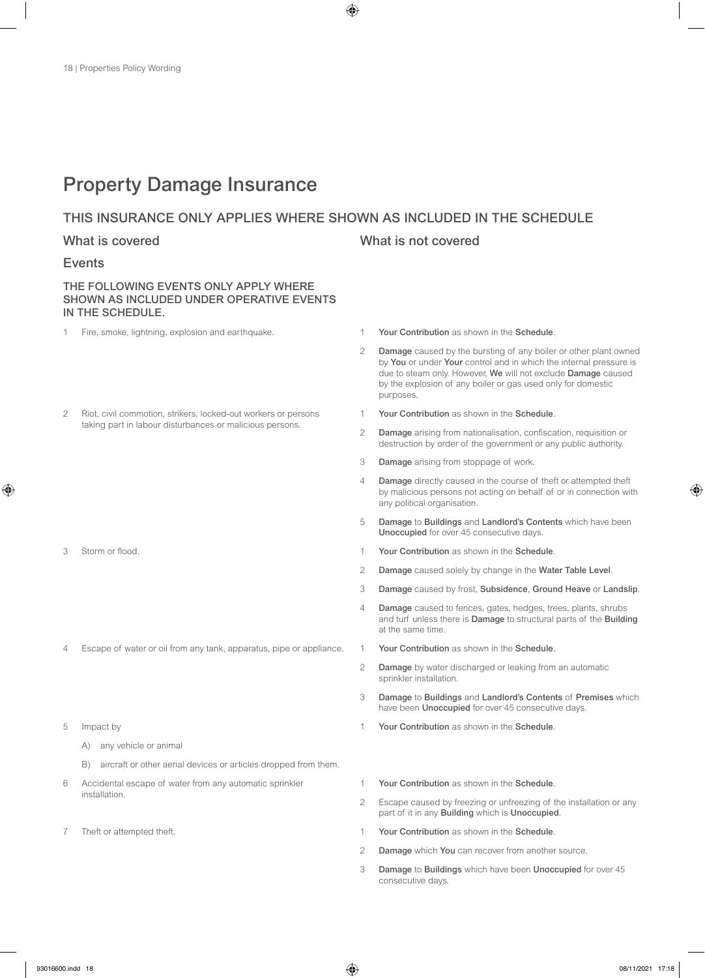## Property Damage Insurance

### THIS INSURANCE ONLY APPLIES WHERE SHOWN AS INCLUDED IN THE SCHEDULE

### What is covered **What is not covered** What is not covered

### Events

### THE FOLLOWING EVENTS ONLY APPLY WHERE SHOWN AS INCLUDED UNDER OPERATIVE EVENTS IN THE SCHEDULE.

- 1 Fire, smoke, lightning, explosion and earthquake. 1 Your Contribution as shown in the Schedule.
- 2 Riot, civil commotion, strikers, locked-out workers or persons taking part in labour disturbances or malicious persons.

- 
- 4 Escape of water or oil from any tank, apparatus, pipe or appliance. 1 Your Contribution as shown in the Schedule
- 5 Impact by
	- A) any vehicle or animal
	- B) aircraft or other aerial devices or articles dropped from them.
- 6 Accidental escape of water from any automatic sprinkler installation.
- 

- 
- 2 Damage caused by the bursting of any boiler or other plant owned by You or under Your control and in which the internal pressure is due to steam only. However, We will not exclude Damage caused by the explosion of any boiler or gas used only for domestic purposes.
- 1 Your Contribution as shown in the Schedule.
- 2 Damage arising from nationalisation, confiscation, requisition or destruction by order of the government or any public authority.
- 3 Damage arising from stoppage of work.
- 4 Damage directly caused in the course of theft or attempted theft by malicious persons not acting on behalf of or in connection with any political organisation.
- 5 Damage to Buildings and Landlord's Contents which have been Unoccupied for over 45 consecutive days.
- 3 Storm or flood. 1 Your Contribution as shown in the Schedule.
	- 2 Damage caused solely by change in the Water Table Level.
	- 3 Damage caused by frost, Subsidence, Ground Heave or Landslip.
	- 4 Damage caused to fences, gates, hedges, trees, plants, shrubs and turf unless there is Damage to structural parts of the Building at the same time.
	-
	- 2 Damage by water discharged or leaking from an automatic sprinkler installation.
	- 3 Damage to Buildings and Landlord's Contents of Premises which have been **Unoccupied** for over 45 consecutive days.
	- 1 Your Contribution as shown in the Schedule.
	- 1 Your Contribution as shown in the Schedule.
	- 2 Escape caused by freezing or unfreezing of the installation or any part of it in any Building which is Unoccupied.
- 7 Theft or attempted theft. 1 Your Contribution as shown in the Schedule.
	- 2 Damage which You can recover from another source.
	- 3 Damage to Buildings which have been Unoccupied for over 45 consecutive days.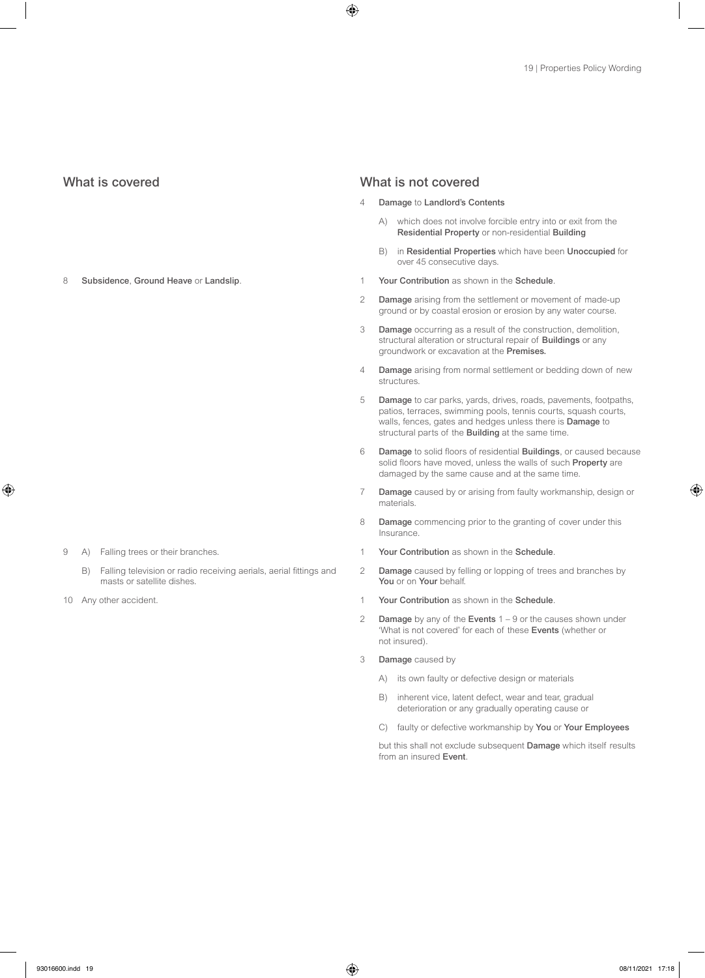8 Subsidence, Ground Heave or Landslip. 1 1 Your Contribution as shown in the Schedule.

- 9 A) Falling trees or their branches.
	- B) Falling television or radio receiving aerials, aerial fittings and masts or satellite dishes.
- 

#### What is covered **What is not covered** What is not covered

- 4 Damage to Landlord's Contents
	- A) which does not involve forcible entry into or exit from the Residential Property or non-residential Building
	- B) in Residential Properties which have been Unoccupied for over 45 consecutive days.
- 
- 2 Damage arising from the settlement or movement of made-up ground or by coastal erosion or erosion by any water course.
- 3 Damage occurring as a result of the construction, demolition, structural alteration or structural repair of **Buildings** or any groundwork or excavation at the Premises.
- 4 Damage arising from normal settlement or bedding down of new structures.
- 5 Damage to car parks, yards, drives, roads, pavements, footpaths, patios, terraces, swimming pools, tennis courts, squash courts, walls, fences, gates and hedges unless there is Damage to structural parts of the Building at the same time.
- 6 Damage to solid floors of residential Buildings, or caused because solid floors have moved, unless the walls of such Property are damaged by the same cause and at the same time.
- 7 Damage caused by or arising from faulty workmanship, design or materials.
- 8 Damage commencing prior to the granting of cover under this Insurance.
- 1 Your Contribution as shown in the Schedule.
- 2 Damage caused by felling or lopping of trees and branches by You or on Your behalf.
- 10 Any other accident. 1 1 Your Contribution as shown in the Schedule.
	- 2 Damage by any of the Events  $1 9$  or the causes shown under 'What is not covered' for each of these Events (whether or not insured).
	- 3 Damage caused by
		- A) its own faulty or defective design or materials
		- B) inherent vice, latent defect, wear and tear, gradual deterioration or any gradually operating cause or
		- C) faulty or defective workmanship by You or Your Employees

but this shall not exclude subsequent Damage which itself results from an insured Event.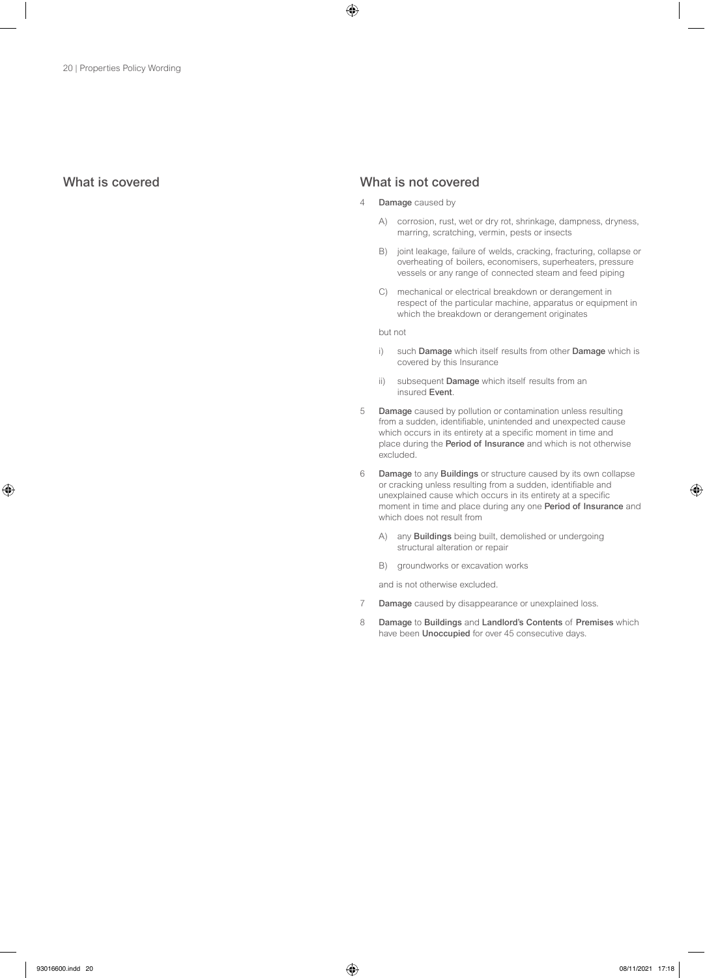### What is covered What is not covered

- 4 **Damage** caused by
	- A) corrosion, rust, wet or dry rot, shrinkage, dampness, dryness, marring, scratching, vermin, pests or insects
	- B) joint leakage, failure of welds, cracking, fracturing, collapse or overheating of boilers, economisers, superheaters, pressure vessels or any range of connected steam and feed piping
	- C) mechanical or electrical breakdown or derangement in respect of the particular machine, apparatus or equipment in which the breakdown or derangement originates

but not

- i) such Damage which itself results from other Damage which is covered by this Insurance
- ii) subsequent Damage which itself results from an insured Event.
- 5 Damage caused by pollution or contamination unless resulting from a sudden, identifiable, unintended and unexpected cause which occurs in its entirety at a specific moment in time and place during the Period of Insurance and which is not otherwise excluded.
- 6 Damage to any Buildings or structure caused by its own collapse or cracking unless resulting from a sudden, identifiable and unexplained cause which occurs in its entirety at a specific moment in time and place during any one Period of Insurance and which does not result from
	- A) any **Buildings** being built, demolished or undergoing structural alteration or repair
	- B) groundworks or excavation works

and is not otherwise excluded.

- 7 Damage caused by disappearance or unexplained loss.
- 8 Damage to Buildings and Landlord's Contents of Premises which have been Unoccupied for over 45 consecutive days.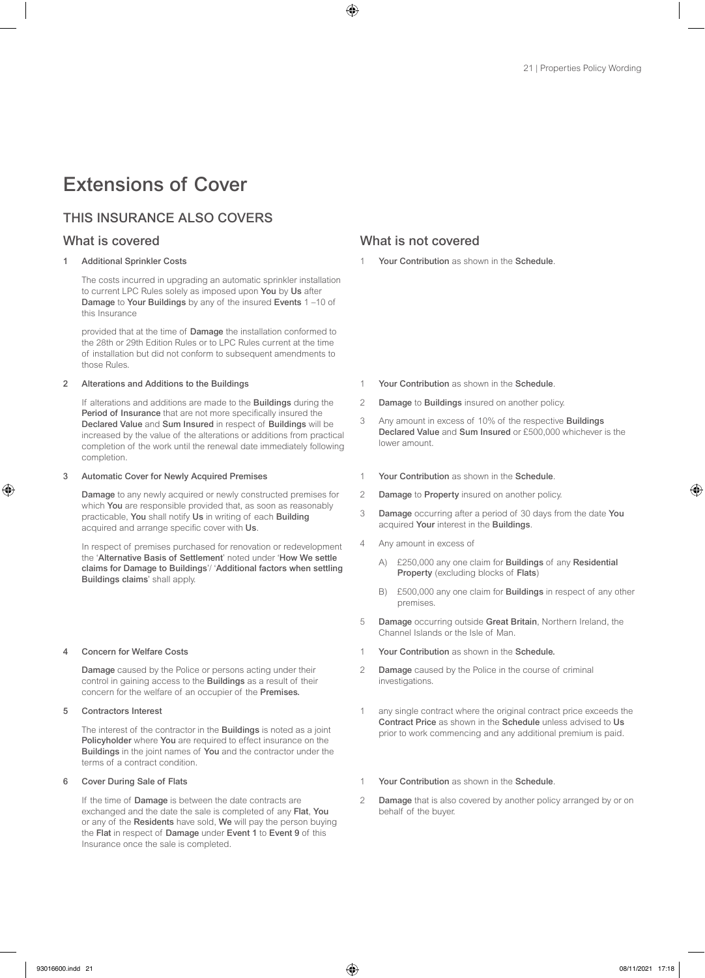# Extensions of Cover

### THIS INSURANCE ALSO COVERS

#### Additional Sprinkler Costs

The costs incurred in upgrading an automatic sprinkler installation to current LPC Rules solely as imposed upon You by Us after Damage to Your Buildings by any of the insured Events 1 –10 of this Insurance

provided that at the time of Damage the installation conformed to the 28th or 29th Edition Rules or to LPC Rules current at the time of installation but did not conform to subsequent amendments to those Rules.

#### 2 Alterations and Additions to the Buildings

If alterations and additions are made to the Buildings during the Period of Insurance that are not more specifically insured the Declared Value and Sum Insured in respect of Buildings will be increased by the value of the alterations or additions from practical completion of the work until the renewal date immediately following completion.

#### 3 Automatic Cover for Newly Acquired Premises

Damage to any newly acquired or newly constructed premises for which You are responsible provided that, as soon as reasonably practicable, You shall notify Us in writing of each Building acquired and arrange specific cover with Us.

In respect of premises purchased for renovation or redevelopment the 'Alternative Basis of Settlement' noted under 'How We settle claims for Damage to Buildings'/ 'Additional factors when settling Buildings claims' shall apply.

#### 4 Concern for Welfare Costs

Damage caused by the Police or persons acting under their control in gaining access to the Buildings as a result of their concern for the welfare of an occupier of the Premises.

#### 5 Contractors Interest

The interest of the contractor in the **Buildings** is noted as a joint Policyholder where You are required to effect insurance on the Buildings in the joint names of You and the contractor under the terms of a contract condition.

#### 6 Cover During Sale of Flats

If the time of Damage is between the date contracts are exchanged and the date the sale is completed of any Flat, You or any of the Residents have sold, We will pay the person buying the Flat in respect of Damage under Event 1 to Event 9 of this Insurance once the sale is completed.

### What is covered What is not covered

Your Contribution as shown in the Schedule.

- 1 Your Contribution as shown in the Schedule.
- 2 Damage to Buildings insured on another policy.
- 3 Any amount in excess of 10% of the respective Buildings Declared Value and Sum Insured or £500,000 whichever is the lower amount.
- 1 Your Contribution as shown in the Schedule.
- 2 Damage to Property insured on another policy.
- 3 Damage occurring after a period of 30 days from the date You acquired Your interest in the Buildings.
- 4 Any amount in excess of
	- A) £250,000 any one claim for Buildings of any Residential Property (excluding blocks of Flats)
	- B) £500,000 any one claim for Buildings in respect of any other premises.
- 5 Damage occurring outside Great Britain, Northern Ireland, the Channel Islands or the Isle of Man.
- 1 Your Contribution as shown in the Schedule.
- 2 Damage caused by the Police in the course of criminal investigations.
- 1 any single contract where the original contract price exceeds the Contract Price as shown in the Schedule unless advised to Us prior to work commencing and any additional premium is paid.
- 1 Your Contribution as shown in the Schedule.
- 2 Damage that is also covered by another policy arranged by or on behalf of the buyer.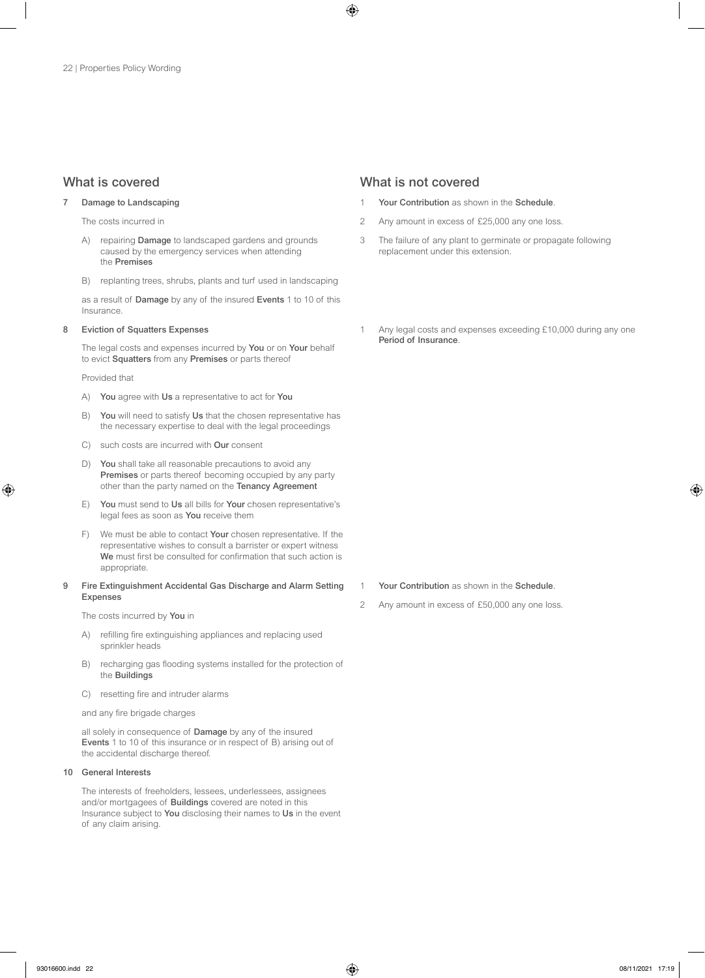#### 7 Damage to Landscaping

The costs incurred in

- A) repairing **Damage** to landscaped gardens and grounds caused by the emergency services when attending the Premises
- B) replanting trees, shrubs, plants and turf used in landscaping

as a result of Damage by any of the insured Events 1 to 10 of this Insurance.

#### 8 Eviction of Squatters Expenses

The legal costs and expenses incurred by You or on Your behalf to evict Squatters from any Premises or parts thereof

Provided that

- A) You agree with Us a representative to act for You
- B) You will need to satisfy Us that the chosen representative has the necessary expertise to deal with the legal proceedings
- C) such costs are incurred with Our consent
- D) You shall take all reasonable precautions to avoid any Premises or parts thereof becoming occupied by any party other than the party named on the Tenancy Agreement
- E) You must send to Us all bills for Your chosen representative's legal fees as soon as You receive them
- F) We must be able to contact **Your** chosen representative. If the representative wishes to consult a barrister or expert witness We must first be consulted for confirmation that such action is appropriate.

#### 9 Fire Extinguishment Accidental Gas Discharge and Alarm Setting Expenses

The costs incurred by You in

- A) refilling fire extinguishing appliances and replacing used sprinkler heads
- B) recharging gas flooding systems installed for the protection of the Buildings
- C) resetting fire and intruder alarms

and any fire brigade charges

all solely in consequence of Damage by any of the insured Events 1 to 10 of this insurance or in respect of B) arising out of the accidental discharge thereof.

#### 10 General Interests

The interests of freeholders, lessees, underlessees, assignees and/or mortgagees of Buildings covered are noted in this Insurance subject to You disclosing their names to Us in the event of any claim arising.

### What is covered What is not covered

- Your Contribution as shown in the Schedule.
- 2 Any amount in excess of £25,000 any one loss.
- 3 The failure of any plant to germinate or propagate following replacement under this extension.
- 1 Any legal costs and expenses exceeding £10,000 during any one Period of Insurance.

#### 1 Your Contribution as shown in the Schedule.

2 Any amount in excess of £50,000 any one loss.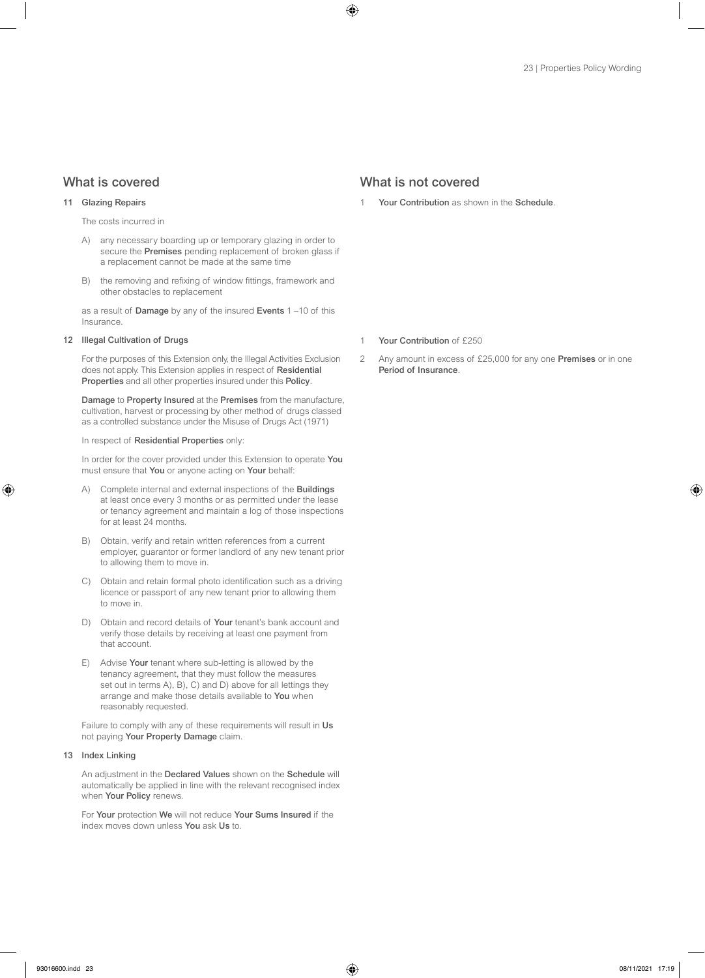#### 11 Glazing Repairs

The costs incurred in

- A) any necessary boarding up or temporary glazing in order to secure the **Premises** pending replacement of broken glass if a replacement cannot be made at the same time
- B) the removing and refixing of window fittings, framework and other obstacles to replacement

as a result of Damage by any of the insured Events 1 –10 of this Insurance.

#### 12 **Illegal Cultivation of Drugs**

For the purposes of this Extension only, the Illegal Activities Exclusion does not apply. This Extension applies in respect of Residential Properties and all other properties insured under this Policy.

Damage to Property Insured at the Premises from the manufacture, cultivation, harvest or processing by other method of drugs classed as a controlled substance under the Misuse of Drugs Act (1971)

#### In respect of Residential Properties only:

In order for the cover provided under this Extension to operate You must ensure that You or anyone acting on Your behalf:

- A) Complete internal and external inspections of the Buildings at least once every 3 months or as permitted under the lease or tenancy agreement and maintain a log of those inspections for at least 24 months.
- B) Obtain, verify and retain written references from a current employer, guarantor or former landlord of any new tenant prior to allowing them to move in.
- C) Obtain and retain formal photo identification such as a driving licence or passport of any new tenant prior to allowing them to move in.
- D) Obtain and record details of Your tenant's bank account and verify those details by receiving at least one payment from that account.
- E) Advise Your tenant where sub-letting is allowed by the tenancy agreement, that they must follow the measures set out in terms A), B), C) and D) above for all lettings they arrange and make those details available to You when reasonably requested.

Failure to comply with any of these requirements will result in Us not paying Your Property Damage claim.

#### 13 Index Linking

An adjustment in the Declared Values shown on the Schedule will automatically be applied in line with the relevant recognised index when Your Policy renews.

For Your protection We will not reduce Your Sums Insured if the index moves down unless You ask Us to.

### What is covered **What is not covered** What is not covered

Your Contribution as shown in the Schedule.

- 1 Your Contribution of £250
- 2 Any amount in excess of £25,000 for any one **Premises** or in one Period of Insurance.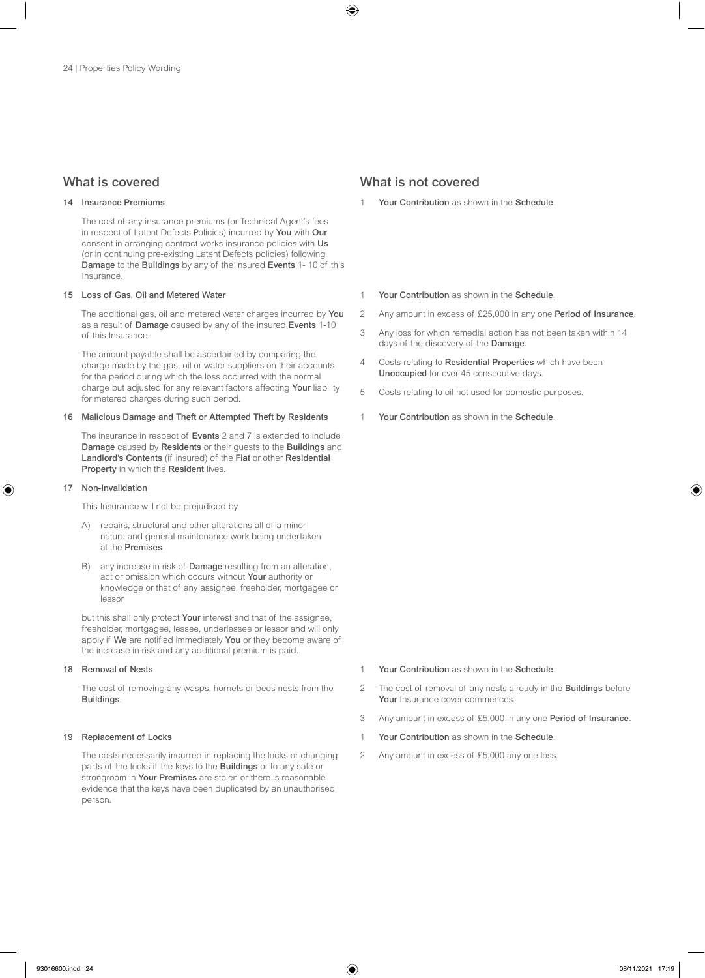#### 14 Insurance Premiums

The cost of any insurance premiums (or Technical Agent's fees in respect of Latent Defects Policies) incurred by You with Our consent in arranging contract works insurance policies with Us (or in continuing pre-existing Latent Defects policies) following Damage to the Buildings by any of the insured Events 1- 10 of this Insurance.

#### 15 Loss of Gas, Oil and Metered Water

The additional gas, oil and metered water charges incurred by You as a result of Damage caused by any of the insured Events 1-10 of this Insurance.

The amount payable shall be ascertained by comparing the charge made by the gas, oil or water suppliers on their accounts for the period during which the loss occurred with the normal charge but adjusted for any relevant factors affecting Your liability for metered charges during such period.

#### 16 Malicious Damage and Theft or Attempted Theft by Residents

The insurance in respect of Events 2 and 7 is extended to include Damage caused by Residents or their guests to the Buildings and Landlord's Contents (if insured) of the Flat or other Residential Property in which the Resident lives.

#### 17 Non-Invalidation

This Insurance will not be prejudiced by

- A) repairs, structural and other alterations all of a minor nature and general maintenance work being undertaken at the Premises
- B) any increase in risk of **Damage** resulting from an alteration, act or omission which occurs without Your authority or knowledge or that of any assignee, freeholder, mortgagee or lessor

but this shall only protect Your interest and that of the assignee, freeholder, mortgagee, lessee, underlessee or lessor and will only apply if We are notified immediately You or they become aware of the increase in risk and any additional premium is paid.

#### 18 Removal of Nests

The cost of removing any wasps, hornets or bees nests from the Buildings.

#### 19 Replacement of Locks

The costs necessarily incurred in replacing the locks or changing parts of the locks if the keys to the Buildings or to any safe or strongroom in Your Premises are stolen or there is reasonable evidence that the keys have been duplicated by an unauthorised person.

### What is covered **What is not covered** What is not covered

- Your Contribution as shown in the Schedule.
- 1 Your Contribution as shown in the Schedule
- 2 Any amount in excess of £25,000 in any one Period of Insurance.
- 3 Any loss for which remedial action has not been taken within 14 days of the discovery of the Damage.
- 4 Costs relating to Residential Properties which have been Unoccupied for over 45 consecutive days.
- 5 Costs relating to oil not used for domestic purposes.
- Your Contribution as shown in the Schedule.

- 1 Your Contribution as shown in the Schedule.
- 2 The cost of removal of any nests already in the **Buildings** before Your Insurance cover commences.
- 3 Any amount in excess of £5,000 in any one Period of Insurance.
- 1 Your Contribution as shown in the Schedule.
- 2 Any amount in excess of £5,000 any one loss.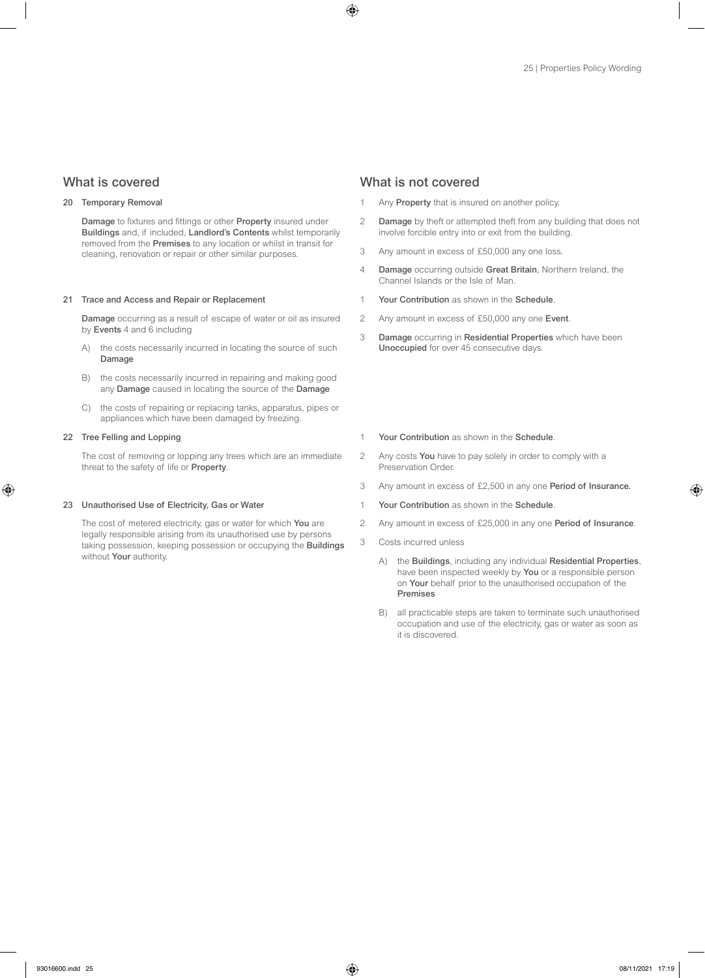#### 20 Temporary Removal

Damage to fixtures and fittings or other Property insured under Buildings and, if included, Landlord's Contents whilst temporarily removed from the Premises to any location or whilst in transit for cleaning, renovation or repair or other similar purposes.

#### 21 Trace and Access and Repair or Replacement

Damage occurring as a result of escape of water or oil as insured by Events 4 and 6 including

- A) the costs necessarily incurred in locating the source of such Damage
- B) the costs necessarily incurred in repairing and making good any Damage caused in locating the source of the Damage
- C) the costs of repairing or replacing tanks, apparatus, pipes or appliances which have been damaged by freezing.

### 22 Tree Felling and Lopping

The cost of removing or lopping any trees which are an immediate threat to the safety of life or Property.

#### 23 Unauthorised Use of Electricity, Gas or Water

The cost of metered electricity, gas or water for which You are legally responsible arising from its unauthorised use by persons taking possession, keeping possession or occupying the Buildings without Your authority.

#### What is covered **What is not covered** What is not covered

- Any Property that is insured on another policy.
- 2 Damage by theft or attempted theft from any building that does not involve forcible entry into or exit from the building.
- 3 Any amount in excess of £50,000 any one loss.
- 4 Damage occurring outside Great Britain, Northern Ireland, the Channel Islands or the Isle of Man.
- 1 Your Contribution as shown in the Schedule.
- 2 Any amount in excess of £50,000 any one Event.
- 3 Damage occurring in Residential Properties which have been Unoccupied for over 45 consecutive days.
- 1 Your Contribution as shown in the Schedule
- 2 Any costs You have to pay solely in order to comply with a Preservation Order.
- 3 Any amount in excess of £2,500 in any one Period of Insurance.
- 1 Your Contribution as shown in the Schedule.
- 2 Any amount in excess of £25,000 in any one Period of Insurance.
- 3 Costs incurred unless
	- A) the Buildings, including any individual Residential Properties, have been inspected weekly by You or a responsible person on Your behalf prior to the unauthorised occupation of the Premises
	- B) all practicable steps are taken to terminate such unauthorised occupation and use of the electricity, gas or water as soon as it is discovered.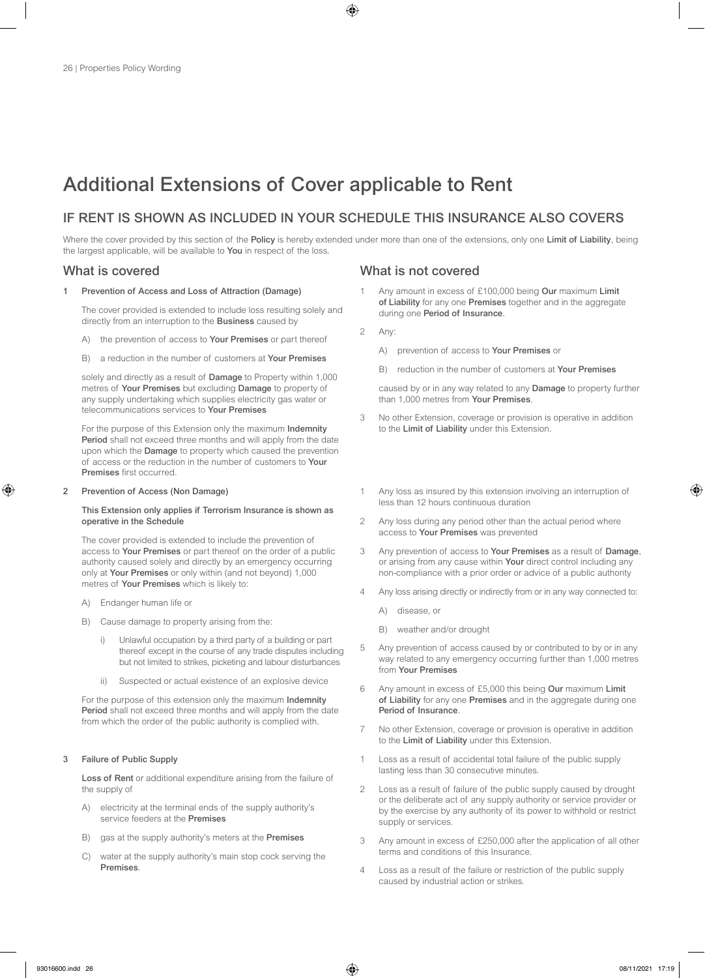# Additional Extensions of Cover applicable to Rent

### IF RENT IS SHOWN AS INCLUDED IN YOUR SCHEDULE THIS INSURANCE ALSO COVERS

Where the cover provided by this section of the Policy is hereby extended under more than one of the extensions, only one Limit of Liability, being the largest applicable, will be available to You in respect of the loss.

#### Prevention of Access and Loss of Attraction (Damage)

The cover provided is extended to include loss resulting solely and directly from an interruption to the Business caused by

- A) the prevention of access to Your Premises or part thereof
- B) a reduction in the number of customers at Your Premises

solely and directly as a result of **Damage** to Property within 1,000 metres of Your Premises but excluding Damage to property of any supply undertaking which supplies electricity gas water or telecommunications services to Your Premises

For the purpose of this Extension only the maximum Indemnity Period shall not exceed three months and will apply from the date upon which the Damage to property which caused the prevention of access or the reduction in the number of customers to Your Premises first occurred.

#### 2 Prevention of Access (Non Damage)

#### This Extension only applies if Terrorism Insurance is shown as operative in the Schedule

The cover provided is extended to include the prevention of access to Your Premises or part thereof on the order of a public authority caused solely and directly by an emergency occurring only at Your Premises or only within (and not beyond) 1,000 metres of Your Premises which is likely to:

- A) Endanger human life or
- B) Cause damage to property arising from the:
	- i) Unlawful occupation by a third party of a building or part thereof except in the course of any trade disputes including but not limited to strikes, picketing and labour disturbances
	- ii) Suspected or actual existence of an explosive device

For the purpose of this extension only the maximum Indemnity Period shall not exceed three months and will apply from the date from which the order of the public authority is complied with.

#### 3 Failure of Public Supply

Loss of Rent or additional expenditure arising from the failure of the supply of

- A) electricity at the terminal ends of the supply authority's service feeders at the Premises
- B) gas at the supply authority's meters at the Premises
- C) water at the supply authority's main stop cock serving the Premises.

### What is covered What is not covered

- Any amount in excess of £100,000 being Our maximum Limit of Liability for any one Premises together and in the aggregate during one Period of Insurance.
- 2 Any:
	- A) prevention of access to Your Premises or
	- B) reduction in the number of customers at Your Premises

caused by or in any way related to any Damage to property further than 1,000 metres from Your Premises.

- 3 No other Extension, coverage or provision is operative in addition to the Limit of Liability under this Extension.
- Any loss as insured by this extension involving an interruption of less than 12 hours continuous duration
- 2 Any loss during any period other than the actual period where access to Your Premises was prevented
- 3 Any prevention of access to Your Premises as a result of Damage, or arising from any cause within Your direct control including any non-compliance with a prior order or advice of a public authority
- 4 Any loss arising directly or indirectly from or in any way connected to:
	- A) disease, or
	- B) weather and/or drought
- 5 Any prevention of access caused by or contributed to by or in any way related to any emergency occurring further than 1,000 metres from Your Premises
- 6 Any amount in excess of £5,000 this being Our maximum Limit of Liability for any one Premises and in the aggregate during one Period of Insurance.
- 7 No other Extension, coverage or provision is operative in addition to the Limit of Liability under this Extension.
- 1 Loss as a result of accidental total failure of the public supply lasting less than 30 consecutive minutes.
- 2 Loss as a result of failure of the public supply caused by drought or the deliberate act of any supply authority or service provider or by the exercise by any authority of its power to withhold or restrict supply or services.
- 3 Any amount in excess of £250,000 after the application of all other terms and conditions of this Insurance.
- 4 Loss as a result of the failure or restriction of the public supply caused by industrial action or strikes.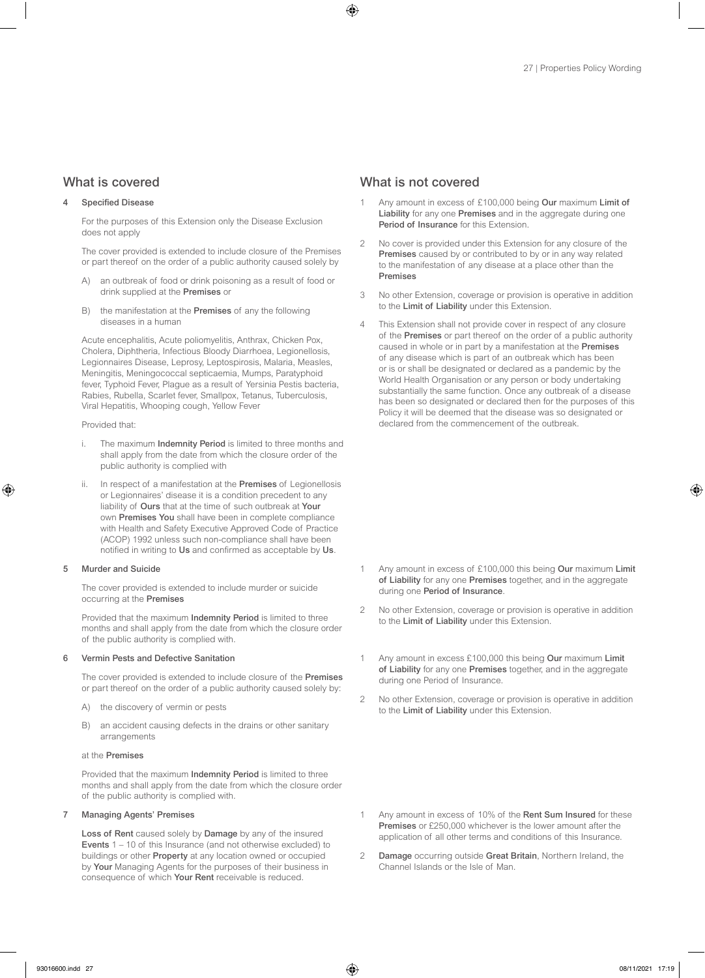#### Specified Disease

For the purposes of this Extension only the Disease Exclusion does not apply

The cover provided is extended to include closure of the Premises or part thereof on the order of a public authority caused solely by

- an outbreak of food or drink poisoning as a result of food or drink supplied at the Premises or
- B) the manifestation at the Premises of any the following diseases in a human

Acute encephalitis, Acute poliomyelitis, Anthrax, Chicken Pox, Cholera, Diphtheria, Infectious Bloody Diarrhoea, Legionellosis, Legionnaires Disease, Leprosy, Leptospirosis, Malaria, Measles, Meningitis, Meningococcal septicaemia, Mumps, Paratyphoid fever, Typhoid Fever, Plague as a result of Yersinia Pestis bacteria, Rabies, Rubella, Scarlet fever, Smallpox, Tetanus, Tuberculosis, Viral Hepatitis, Whooping cough, Yellow Fever

#### Provided that:

- i. The maximum Indemnity Period is limited to three months and shall apply from the date from which the closure order of the public authority is complied with
- ii. In respect of a manifestation at the **Premises** of Legionellosis or Legionnaires' disease it is a condition precedent to any liability of Ours that at the time of such outbreak at Your own Premises You shall have been in complete compliance with Health and Safety Executive Approved Code of Practice (ACOP) 1992 unless such non-compliance shall have been notified in writing to Us and confirmed as acceptable by Us.

#### 5 Murder and Suicide

The cover provided is extended to include murder or suicide occurring at the Premises

Provided that the maximum Indemnity Period is limited to three months and shall apply from the date from which the closure order of the public authority is complied with.

#### 6 Vermin Pests and Defective Sanitation

The cover provided is extended to include closure of the Premises or part thereof on the order of a public authority caused solely by:

- A) the discovery of vermin or pests
- B) an accident causing defects in the drains or other sanitary arrangements

#### at the Premises

Provided that the maximum Indemnity Period is limited to three months and shall apply from the date from which the closure order of the public authority is complied with.

#### 7 Managing Agents' Premises

Loss of Rent caused solely by Damage by any of the insured Events 1 – 10 of this Insurance (and not otherwise excluded) to buildings or other Property at any location owned or occupied by Your Managing Agents for the purposes of their business in consequence of which Your Rent receivable is reduced.

### What is covered **What is not covered** What is not covered

- Anv amount in excess of £100,000 being Our maximum Limit of Liability for any one Premises and in the aggregate during one Period of Insurance for this Extension.
- 2 No cover is provided under this Extension for any closure of the Premises caused by or contributed to by or in any way related to the manifestation of any disease at a place other than the Premises
- 3 No other Extension, coverage or provision is operative in addition to the Limit of Liability under this Extension.
- 4 This Extension shall not provide cover in respect of any closure of the Premises or part thereof on the order of a public authority caused in whole or in part by a manifestation at the Premises of any disease which is part of an outbreak which has been or is or shall be designated or declared as a pandemic by the World Health Organisation or any person or body undertaking substantially the same function. Once any outbreak of a disease has been so designated or declared then for the purposes of this Policy it will be deemed that the disease was so designated or declared from the commencement of the outbreak.

- 1 Any amount in excess of £100,000 this being Our maximum Limit of Liability for any one Premises together, and in the aggregate during one Period of Insurance.
- 2 No other Extension, coverage or provision is operative in addition to the Limit of Liability under this Extension.
- 1 Any amount in excess £100,000 this being Our maximum Limit of Liability for any one Premises together, and in the aggregate during one Period of Insurance.
- 2 No other Extension, coverage or provision is operative in addition to the Limit of Liability under this Extension.

- 1 Any amount in excess of 10% of the Rent Sum Insured for these Premises or £250,000 whichever is the lower amount after the application of all other terms and conditions of this Insurance.
- 2 Damage occurring outside Great Britain, Northern Ireland, the Channel Islands or the Isle of Man.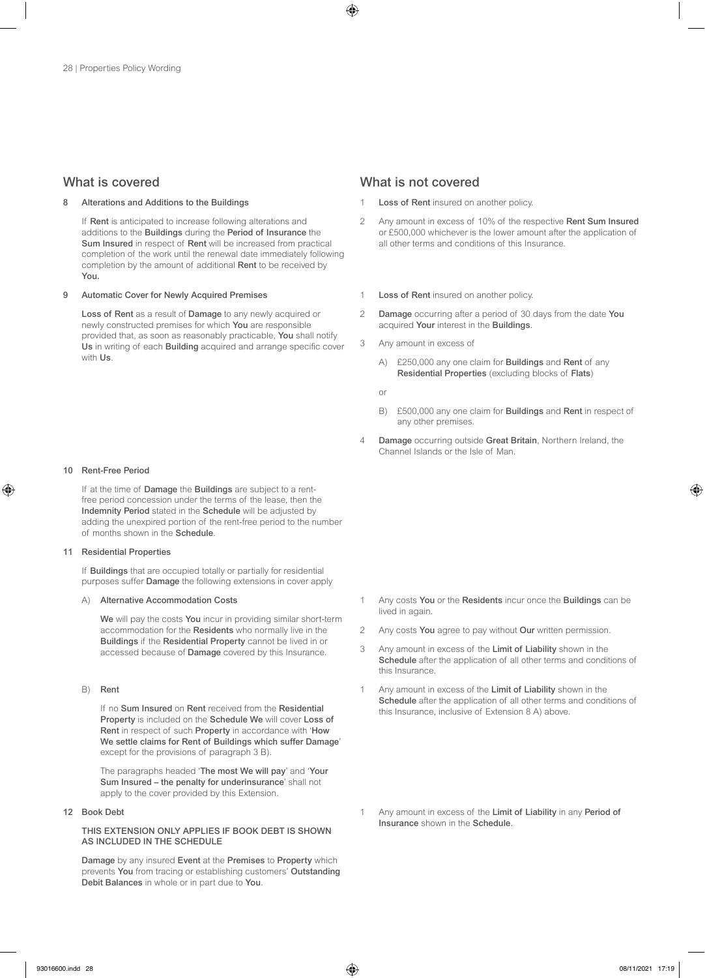#### Alterations and Additions to the Buildings

If Rent is anticipated to increase following alterations and additions to the Buildings during the Period of Insurance the Sum Insured in respect of Rent will be increased from practical completion of the work until the renewal date immediately following completion by the amount of additional Rent to be received by You.

#### 9 Automatic Cover for Newly Acquired Premises

Loss of Rent as a result of Damage to any newly acquired or newly constructed premises for which You are responsible provided that, as soon as reasonably practicable, You shall notify Us in writing of each Building acquired and arrange specific cover with Us.

#### 10 Rent-Free Period

If at the time of Damage the Buildings are subject to a rentfree period concession under the terms of the lease, then the Indemnity Period stated in the Schedule will be adjusted by adding the unexpired portion of the rent-free period to the number of months shown in the Schedule.

#### 11 Residential Properties

If Buildings that are occupied totally or partially for residential purposes suffer Damage the following extensions in cover apply

#### A) Alternative Accommodation Costs

We will pay the costs You incur in providing similar short-term accommodation for the Residents who normally live in the Buildings if the Residential Property cannot be lived in or accessed because of Damage covered by this Insurance.

#### B) Rent

If no Sum Insured on Rent received from the Residential Property is included on the Schedule We will cover Loss of Rent in respect of such Property in accordance with 'How We settle claims for Rent of Buildings which suffer Damage' except for the provisions of paragraph 3 B).

The paragraphs headed 'The most We will pay' and 'Your Sum Insured – the penalty for underinsurance' shall not apply to the cover provided by this Extension.

#### 12 Book Debt

#### THIS EXTENSION ONLY APPLIES IF BOOK DEBT IS SHOWN AS INCLUDED IN THE SCHEDULE

Damage by any insured Event at the Premises to Property which prevents You from tracing or establishing customers' Outstanding Debit Balances in whole or in part due to You.

### What is covered **What is not covered** What is not covered

- Loss of Rent insured on another policy.
- 2 Any amount in excess of 10% of the respective Rent Sum Insured or £500,000 whichever is the lower amount after the application of all other terms and conditions of this Insurance.
- 1 **Loss of Rent** insured on another policy
- 2 Damage occurring after a period of 30 days from the date You acquired Your interest in the Buildings.
- 3 Any amount in excess of
	- A) £250,000 any one claim for **Buildings** and **Rent** of any Residential Properties (excluding blocks of Flats)
	- or
	- B) £500,000 any one claim for **Buildings** and **Rent** in respect of any other premises.
- 4 Damage occurring outside Great Britain, Northern Ireland, the Channel Islands or the Isle of Man.

- 1 Any costs You or the Residents incur once the Buildings can be lived in again.
- 2 Any costs You agree to pay without Our written permission.
- 3 Any amount in excess of the Limit of Liability shown in the Schedule after the application of all other terms and conditions of this Insurance.
- 1 Any amount in excess of the Limit of Liability shown in the Schedule after the application of all other terms and conditions of this Insurance, inclusive of Extension 8 A) above.
- 1 Any amount in excess of the Limit of Liability in any Period of Insurance shown in the Schedule.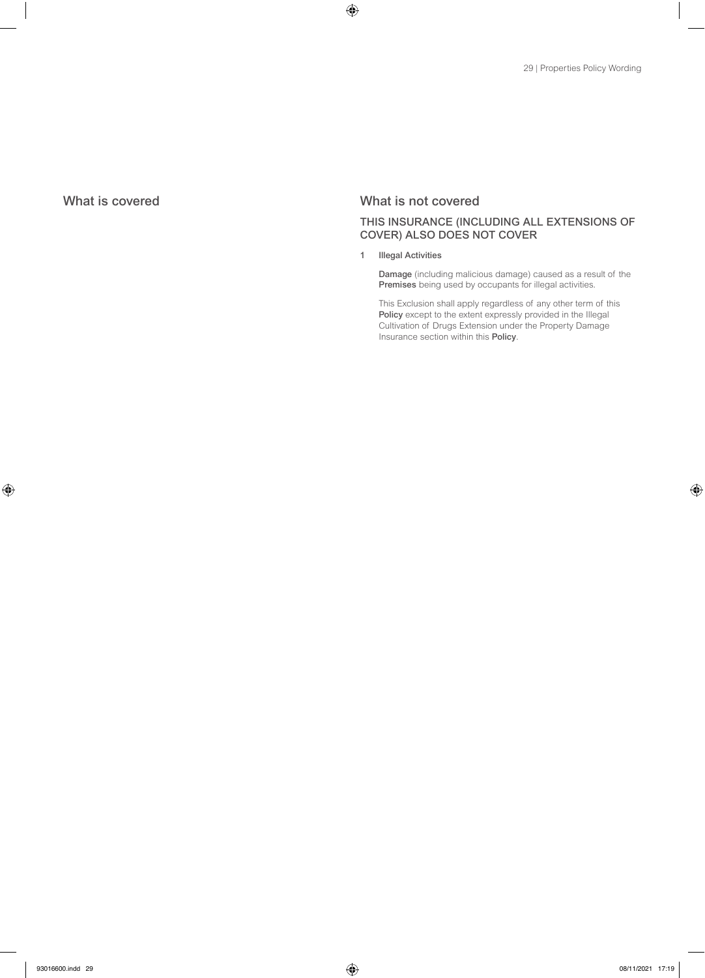### What is covered What is not covered

### THIS INSURANCE (INCLUDING ALL EXTENSIONS OF COVER) ALSO DOES NOT COVER

1 Illegal Activities

Damage (including malicious damage) caused as a result of the Premises being used by occupants for illegal activities.

This Exclusion shall apply regardless of any other term of this Policy except to the extent expressly provided in the Illegal Cultivation of Drugs Extension under the Property Damage Insurance section within this Policy.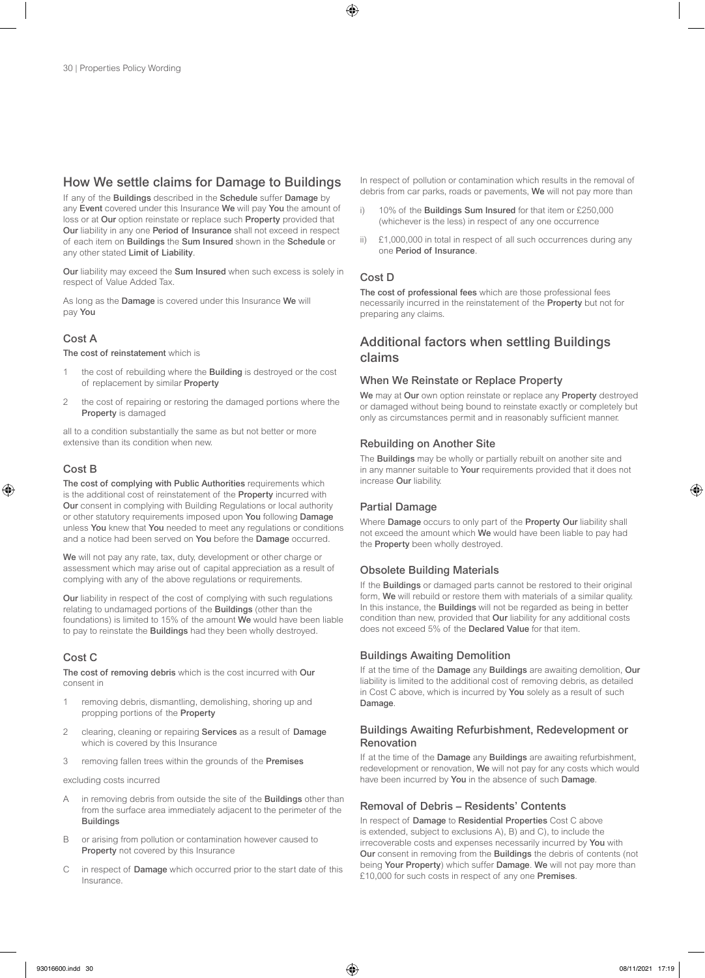### How We settle claims for Damage to Buildings

If any of the Buildings described in the Schedule suffer Damage by any Event covered under this Insurance We will pay You the amount of loss or at Our option reinstate or replace such Property provided that Our liability in any one Period of Insurance shall not exceed in respect of each item on Buildings the Sum Insured shown in the Schedule or any other stated Limit of Liability.

Our liability may exceed the Sum Insured when such excess is solely in respect of Value Added Tax.

As long as the Damage is covered under this Insurance We will pay You

### Cost A

The cost of reinstatement which is

- 1 the cost of rebuilding where the **Building** is destroyed or the cost of replacement by similar Property
- 2 the cost of repairing or restoring the damaged portions where the Property is damaged

all to a condition substantially the same as but not better or more extensive than its condition when new.

### Cost B

The cost of complying with Public Authorities requirements which is the additional cost of reinstatement of the **Property** incurred with Our consent in complying with Building Regulations or local authority or other statutory requirements imposed upon You following Damage unless You knew that You needed to meet any regulations or conditions and a notice had been served on You before the Damage occurred.

We will not pay any rate, tax, duty, development or other charge or assessment which may arise out of capital appreciation as a result of complying with any of the above regulations or requirements.

Our liability in respect of the cost of complying with such regulations relating to undamaged portions of the Buildings (other than the foundations) is limited to 15% of the amount We would have been liable to pay to reinstate the Buildings had they been wholly destroyed.

### Cost C

The cost of removing debris which is the cost incurred with Our consent in

- 1 removing debris, dismantling, demolishing, shoring up and propping portions of the Property
- 2 clearing, cleaning or repairing Services as a result of Damage which is covered by this Insurance
- 3 removing fallen trees within the grounds of the Premises

excluding costs incurred

- A in removing debris from outside the site of the **Buildings** other than from the surface area immediately adjacent to the perimeter of the **Buildings**
- B or arising from pollution or contamination however caused to Property not covered by this Insurance
- C in respect of Damage which occurred prior to the start date of this Insurance.

In respect of pollution or contamination which results in the removal of debris from car parks, roads or pavements. We will not pay more than

- i) 10% of the Buildings Sum Insured for that item or £250,000 (whichever is the less) in respect of any one occurrence
- ii) £1,000,000 in total in respect of all such occurrences during any one Period of Insurance.

### Cost D

The cost of professional fees which are those professional fees necessarily incurred in the reinstatement of the Property but not for preparing any claims.

### Additional factors when settling Buildings claims

#### When We Reinstate or Replace Property

We may at Our own option reinstate or replace any Property destroyed or damaged without being bound to reinstate exactly or completely but only as circumstances permit and in reasonably sufficient manner.

### Rebuilding on Another Site

The **Buildings** may be wholly or partially rebuilt on another site and in any manner suitable to **Your** requirements provided that it does not increase Our liability.

### Partial Damage

Where Damage occurs to only part of the Property Our liability shall not exceed the amount which We would have been liable to pay had the **Property** been wholly destroyed.

### Obsolete Building Materials

If the **Buildings** or damaged parts cannot be restored to their original form, We will rebuild or restore them with materials of a similar quality. In this instance, the **Buildings** will not be regarded as being in better condition than new, provided that Our liability for any additional costs does not exceed 5% of the Declared Value for that item.

### Buildings Awaiting Demolition

If at the time of the Damage any Buildings are awaiting demolition, Our liability is limited to the additional cost of removing debris, as detailed in Cost C above, which is incurred by You solely as a result of such Damage.

#### Buildings Awaiting Refurbishment, Redevelopment or Renovation

If at the time of the Damage any Buildings are awaiting refurbishment, redevelopment or renovation, We will not pay for any costs which would have been incurred by You in the absence of such Damage.

### Removal of Debris – Residents' Contents

In respect of Damage to Residential Properties Cost C above is extended, subject to exclusions A), B) and C), to include the irrecoverable costs and expenses necessarily incurred by You with Our consent in removing from the Buildings the debris of contents (not being Your Property) which suffer Damage. We will not pay more than £10,000 for such costs in respect of any one Premises.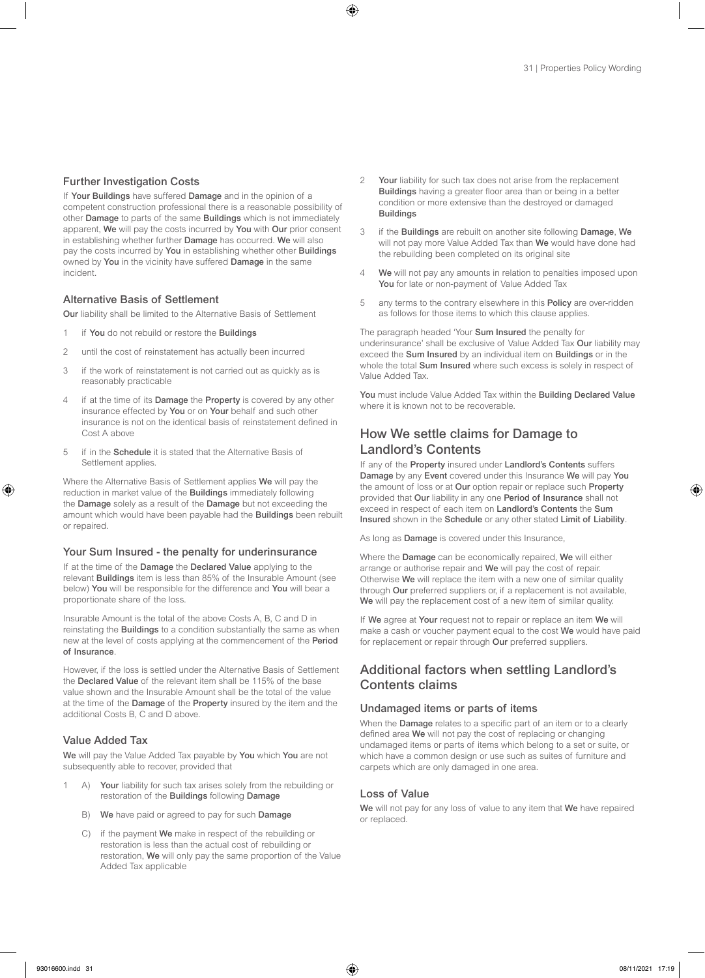#### Further Investigation Costs

If Your Buildings have suffered Damage and in the opinion of a competent construction professional there is a reasonable possibility of other Damage to parts of the same Buildings which is not immediately apparent, We will pay the costs incurred by You with Our prior consent in establishing whether further Damage has occurred. We will also pay the costs incurred by You in establishing whether other Buildings owned by You in the vicinity have suffered Damage in the same incident.

#### Alternative Basis of Settlement

Our liability shall be limited to the Alternative Basis of Settlement

- 1 if You do not rebuild or restore the Buildings
- 2 until the cost of reinstatement has actually been incurred
- 3 if the work of reinstatement is not carried out as quickly as is reasonably practicable
- 4 if at the time of its Damage the Property is covered by any other insurance effected by You or on Your behalf and such other insurance is not on the identical basis of reinstatement defined in Cost A above
- 5 if in the Schedule it is stated that the Alternative Basis of Settlement applies.

Where the Alternative Basis of Settlement applies We will pay the reduction in market value of the Buildings immediately following the Damage solely as a result of the Damage but not exceeding the amount which would have been payable had the Buildings been rebuilt or repaired.

#### Your Sum Insured - the penalty for underinsurance

If at the time of the Damage the Declared Value applying to the relevant Buildings item is less than 85% of the Insurable Amount (see below) You will be responsible for the difference and You will bear a proportionate share of the loss.

Insurable Amount is the total of the above Costs A, B, C and D in reinstating the Buildings to a condition substantially the same as when new at the level of costs applying at the commencement of the Period of Insurance.

However, if the loss is settled under the Alternative Basis of Settlement the Declared Value of the relevant item shall be 115% of the base value shown and the Insurable Amount shall be the total of the value at the time of the Damage of the Property insured by the item and the additional Costs B, C and D above.

#### Value Added Tax

We will pay the Value Added Tax payable by You which You are not subsequently able to recover, provided that

- 1 A) Your liability for such tax arises solely from the rebuilding or restoration of the Buildings following Damage
	- B) We have paid or agreed to pay for such Damage
	- C) if the payment We make in respect of the rebuilding or restoration is less than the actual cost of rebuilding or restoration, We will only pay the same proportion of the Value Added Tax applicable
- 2 Your liability for such tax does not arise from the replacement Buildings having a greater floor area than or being in a better condition or more extensive than the destroyed or damaged **Buildings**
- 3 if the Buildings are rebuilt on another site following Damage, We will not pay more Value Added Tax than We would have done had the rebuilding been completed on its original site
- 4 We will not pay any amounts in relation to penalties imposed upon You for late or non-payment of Value Added Tax
- 5 any terms to the contrary elsewhere in this **Policy** are over-ridden as follows for those items to which this clause applies.

The paragraph headed 'Your Sum Insured the penalty for underinsurance' shall be exclusive of Value Added Tax Our liability may exceed the Sum Insured by an individual item on Buildings or in the whole the total **Sum Insured** where such excess is solely in respect of Value Added Tax.

You must include Value Added Tax within the Building Declared Value where it is known not to be recoverable.

### How We settle claims for Damage to Landlord's Contents

If any of the Property insured under Landlord's Contents suffers Damage by any Event covered under this Insurance We will pay You the amount of loss or at Our option repair or replace such Property provided that Our liability in any one Period of Insurance shall not exceed in respect of each item on Landlord's Contents the Sum Insured shown in the Schedule or any other stated Limit of Liability.

As long as **Damage** is covered under this Insurance,

Where the Damage can be economically repaired, We will either arrange or authorise repair and We will pay the cost of repair. Otherwise We will replace the item with a new one of similar quality through Our preferred suppliers or, if a replacement is not available, We will pay the replacement cost of a new item of similar quality.

If We agree at Your request not to repair or replace an item We will make a cash or voucher payment equal to the cost We would have paid for replacement or repair through Our preferred suppliers.

### Additional factors when settling Landlord's Contents claims

#### Undamaged items or parts of items

When the **Damage** relates to a specific part of an item or to a clearly defined area We will not pay the cost of replacing or changing undamaged items or parts of items which belong to a set or suite, or which have a common design or use such as suites of furniture and carpets which are only damaged in one area.

#### Loss of Value

We will not pay for any loss of value to any item that We have repaired or replaced.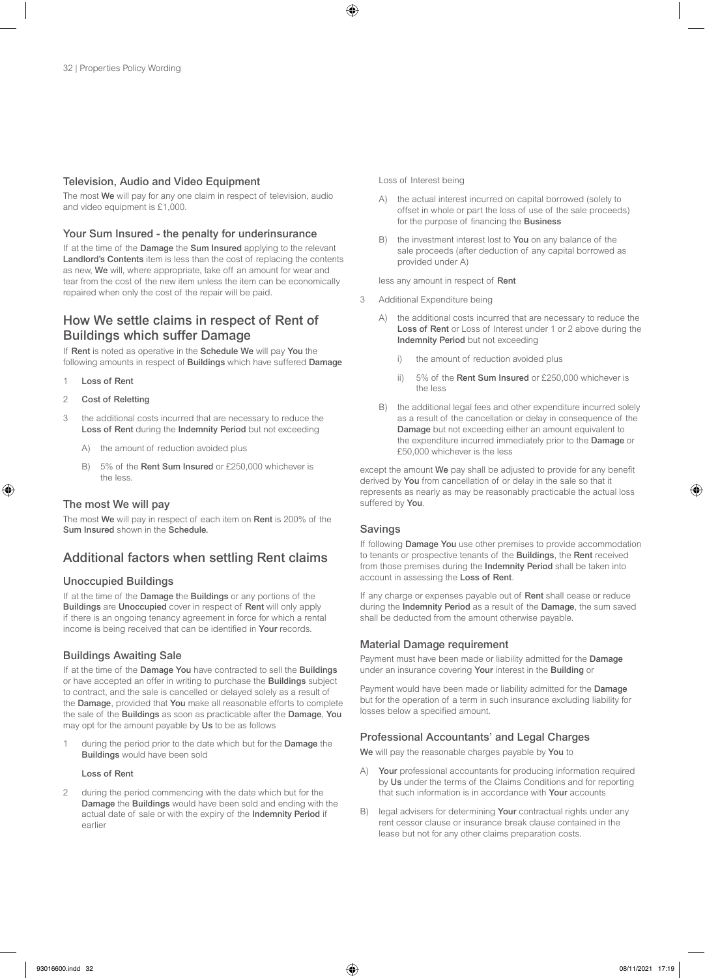#### Television, Audio and Video Equipment

The most We will pay for any one claim in respect of television, audio and video equipment is £1,000.

#### Your Sum Insured - the penalty for underinsurance

If at the time of the **Damage** the **Sum Insured** applying to the relevant Landlord's Contents item is less than the cost of replacing the contents as new, We will, where appropriate, take off an amount for wear and tear from the cost of the new item unless the item can be economically repaired when only the cost of the repair will be paid.

### How We settle claims in respect of Rent of Buildings which suffer Damage

If Rent is noted as operative in the Schedule We will pay You the following amounts in respect of Buildings which have suffered Damage

- 1 Loss of Rent
- 2 Cost of Reletting
- 3 the additional costs incurred that are necessary to reduce the Loss of Rent during the Indemnity Period but not exceeding
	- A) the amount of reduction avoided plus
	- B) 5% of the Rent Sum Insured or £250,000 whichever is the less.

#### The most We will pay

The most We will pay in respect of each item on Rent is 200% of the Sum Insured shown in the Schedule.

### Additional factors when settling Rent claims

#### Unoccupied Buildings

If at the time of the Damage the Buildings or any portions of the Buildings are Unoccupied cover in respect of Rent will only apply if there is an ongoing tenancy agreement in force for which a rental income is being received that can be identified in Your records.

#### Buildings Awaiting Sale

If at the time of the Damage You have contracted to sell the Buildings or have accepted an offer in writing to purchase the Buildings subject to contract, and the sale is cancelled or delayed solely as a result of the Damage, provided that You make all reasonable efforts to complete the sale of the Buildings as soon as practicable after the Damage, You may opt for the amount payable by Us to be as follows

1 during the period prior to the date which but for the **Damage** the Buildings would have been sold

#### Loss of Rent

2 during the period commencing with the date which but for the Damage the Buildings would have been sold and ending with the actual date of sale or with the expiry of the Indemnity Period if earlier

Loss of Interest being

- A) the actual interest incurred on capital borrowed (solely to offset in whole or part the loss of use of the sale proceeds) for the purpose of financing the Business
- B) the investment interest lost to You on any balance of the sale proceeds (after deduction of any capital borrowed as provided under A)

less any amount in respect of Rent

- 3 Additional Expenditure being
	- A) the additional costs incurred that are necessary to reduce the Loss of Rent or Loss of Interest under 1 or 2 above during the Indemnity Period but not exceeding
		- i) the amount of reduction avoided plus
		- ii) 5% of the Rent Sum Insured or £250,000 whichever is the less
	- B) the additional legal fees and other expenditure incurred solely as a result of the cancellation or delay in consequence of the Damage but not exceeding either an amount equivalent to the expenditure incurred immediately prior to the Damage or £50,000 whichever is the less

except the amount We pay shall be adjusted to provide for any benefit derived by You from cancellation of or delay in the sale so that it represents as nearly as may be reasonably practicable the actual loss suffered by You.

#### Savings

If following **Damage You** use other premises to provide accommodation to tenants or prospective tenants of the Buildings, the Rent received from those premises during the Indemnity Period shall be taken into account in assessing the Loss of Rent.

If any charge or expenses payable out of Rent shall cease or reduce during the Indemnity Period as a result of the Damage, the sum saved shall be deducted from the amount otherwise payable.

#### Material Damage requirement

Payment must have been made or liability admitted for the Damage under an insurance covering Your interest in the Building or

Payment would have been made or liability admitted for the Damage but for the operation of a term in such insurance excluding liability for losses below a specified amount.

#### Professional Accountants' and Legal Charges

We will pay the reasonable charges payable by You to

- A) Your professional accountants for producing information required by Us under the terms of the Claims Conditions and for reporting that such information is in accordance with **Your** accounts
- B) legal advisers for determining Your contractual rights under any rent cessor clause or insurance break clause contained in the lease but not for any other claims preparation costs.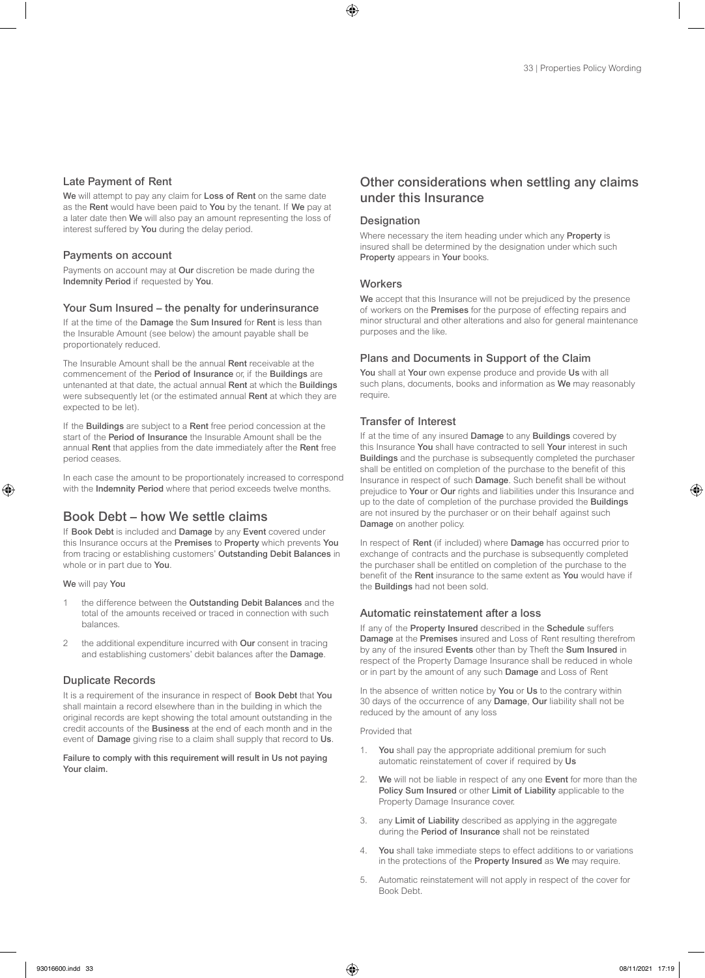#### Late Payment of Rent

We will attempt to pay any claim for Loss of Rent on the same date as the Rent would have been paid to You by the tenant. If We pay at a later date then We will also pay an amount representing the loss of interest suffered by You during the delay period.

#### Payments on account

Payments on account may at Our discretion be made during the Indemnity Period if requested by You.

#### Your Sum Insured – the penalty for underinsurance

If at the time of the Damage the Sum Insured for Rent is less than the Insurable Amount (see below) the amount payable shall be proportionately reduced.

The Insurable Amount shall be the annual Rent receivable at the commencement of the Period of Insurance or, if the Buildings are untenanted at that date, the actual annual Rent at which the Buildings were subsequently let (or the estimated annual Rent at which they are expected to be let).

If the Buildings are subject to a Rent free period concession at the start of the Period of Insurance the Insurable Amount shall be the annual Rent that applies from the date immediately after the Rent free period ceases.

In each case the amount to be proportionately increased to correspond with the Indemnity Period where that period exceeds twelve months.

### Book Debt – how We settle claims

If Book Debt is included and Damage by any Event covered under this Insurance occurs at the Premises to Property which prevents You from tracing or establishing customers' Outstanding Debit Balances in whole or in part due to You.

We will pay You

- 1 the difference between the Outstanding Debit Balances and the total of the amounts received or traced in connection with such balances.
- 2 the additional expenditure incurred with Our consent in tracing and establishing customers' debit balances after the Damage.

#### Duplicate Records

It is a requirement of the insurance in respect of Book Debt that You shall maintain a record elsewhere than in the building in which the original records are kept showing the total amount outstanding in the credit accounts of the Business at the end of each month and in the event of **Damage** giving rise to a claim shall supply that record to Us.

Failure to comply with this requirement will result in Us not paying Your claim.

### Other considerations when settling any claims under this Insurance

#### **Designation**

Where necessary the item heading under which any **Property** is insured shall be determined by the designation under which such Property appears in Your books.

#### **Workers**

We accept that this Insurance will not be prejudiced by the presence of workers on the Premises for the purpose of effecting repairs and minor structural and other alterations and also for general maintenance purposes and the like.

#### Plans and Documents in Support of the Claim

You shall at Your own expense produce and provide Us with all such plans, documents, books and information as We may reasonably require.

#### Transfer of Interest

If at the time of any insured Damage to any Buildings covered by this Insurance You shall have contracted to sell Your interest in such Buildings and the purchase is subsequently completed the purchaser shall be entitled on completion of the purchase to the benefit of this Insurance in respect of such Damage. Such benefit shall be without prejudice to Your or Our rights and liabilities under this Insurance and up to the date of completion of the purchase provided the Buildings are not insured by the purchaser or on their behalf against such Damage on another policy.

In respect of Rent (if included) where Damage has occurred prior to exchange of contracts and the purchase is subsequently completed the purchaser shall be entitled on completion of the purchase to the benefit of the Rent insurance to the same extent as You would have if the Buildings had not been sold.

#### Automatic reinstatement after a loss

If any of the Property Insured described in the Schedule suffers Damage at the Premises insured and Loss of Rent resulting therefrom by any of the insured Events other than by Theft the Sum Insured in respect of the Property Damage Insurance shall be reduced in whole or in part by the amount of any such Damage and Loss of Rent

In the absence of written notice by You or Us to the contrary within 30 days of the occurrence of any Damage, Our liability shall not be reduced by the amount of any loss

Provided that

- 1. You shall pay the appropriate additional premium for such automatic reinstatement of cover if required by Us
- 2. We will not be liable in respect of any one Event for more than the Policy Sum Insured or other Limit of Liability applicable to the Property Damage Insurance cover.
- 3. any Limit of Liability described as applying in the aggregate during the Period of Insurance shall not be reinstated
- 4. You shall take immediate steps to effect additions to or variations in the protections of the Property Insured as We may require.
- 5. Automatic reinstatement will not apply in respect of the cover for Book Debt.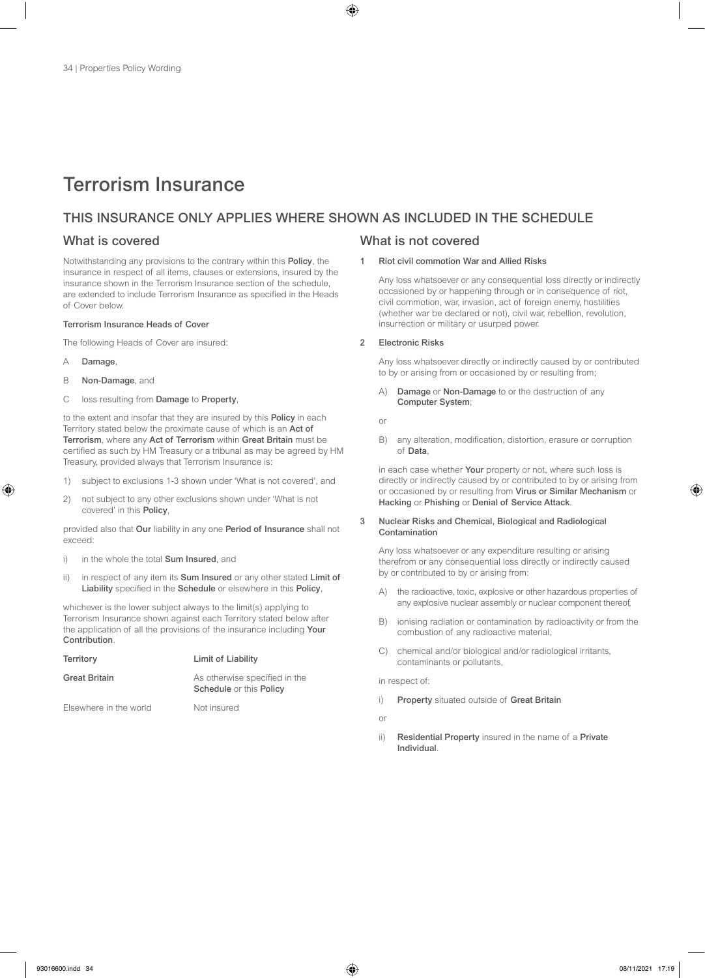# Terrorism Insurance

### THIS INSURANCE ONLY APPLIES WHERE SHOWN AS INCLUDED IN THE SCHEDULE

Notwithstanding any provisions to the contrary within this Policy, the insurance in respect of all items, clauses or extensions, insured by the insurance shown in the Terrorism Insurance section of the schedule, are extended to include Terrorism Insurance as specified in the Heads of Cover below.

#### Terrorism Insurance Heads of Cover

The following Heads of Cover are insured:

- A Damage,
- B Non-Damage, and
- C loss resulting from Damage to Property,

to the extent and insofar that they are insured by this Policy in each Territory stated below the proximate cause of which is an Act of Terrorism, where any Act of Terrorism within Great Britain must be certified as such by HM Treasury or a tribunal as may be agreed by HM Treasury, provided always that Terrorism Insurance is:

- 1) subject to exclusions 1-3 shown under 'What is not covered', and
- 2) not subject to any other exclusions shown under 'What is not covered' in this Policy,

provided also that Our liability in any one Period of Insurance shall not exceed:

- i) in the whole the total **Sum Insured**, and
- ii) in respect of any item its **Sum Insured** or any other stated Limit of Liability specified in the Schedule or elsewhere in this Policy,

whichever is the lower subject always to the limit(s) applying to Terrorism Insurance shown against each Territory stated below after the application of all the provisions of the insurance including Your **Contribution** 

| Territory              | Limit of Liability                                                     |
|------------------------|------------------------------------------------------------------------|
| Great Britain          | As otherwise specified in the<br><b>Schedule</b> or this <b>Policy</b> |
| Elsewhere in the world | Not insured                                                            |

### What is covered What is not covered

#### 1 Riot civil commotion War and Allied Risks

Any loss whatsoever or any consequential loss directly or indirectly occasioned by or happening through or in consequence of riot, civil commotion, war, invasion, act of foreign enemy, hostilities (whether war be declared or not), civil war, rebellion, revolution, insurrection or military or usurped power.

#### 2 Electronic Risks

Any loss whatsoever directly or indirectly caused by or contributed to by or arising from or occasioned by or resulting from;

A) Damage or Non-Damage to or the destruction of any Computer System;

or

B) any alteration, modification, distortion, erasure or corruption of Data,

in each case whether Your property or not, where such loss is directly or indirectly caused by or contributed to by or arising from or occasioned by or resulting from Virus or Similar Mechanism or Hacking or Phishing or Denial of Service Attack.

#### 3 Nuclear Risks and Chemical, Biological and Radiological Contamination

Any loss whatsoever or any expenditure resulting or arising therefrom or any consequential loss directly or indirectly caused by or contributed to by or arising from:

- A) the radioactive, toxic, explosive or other hazardous properties of any explosive nuclear assembly or nuclear component thereof,
- B) ionising radiation or contamination by radioactivity or from the combustion of any radioactive material,
- C) chemical and/or biological and/or radiological irritants, contaminants or pollutants,

#### in respect of:

i) Property situated outside of Great Britain

or

ii) Residential Property insured in the name of a Private Individual.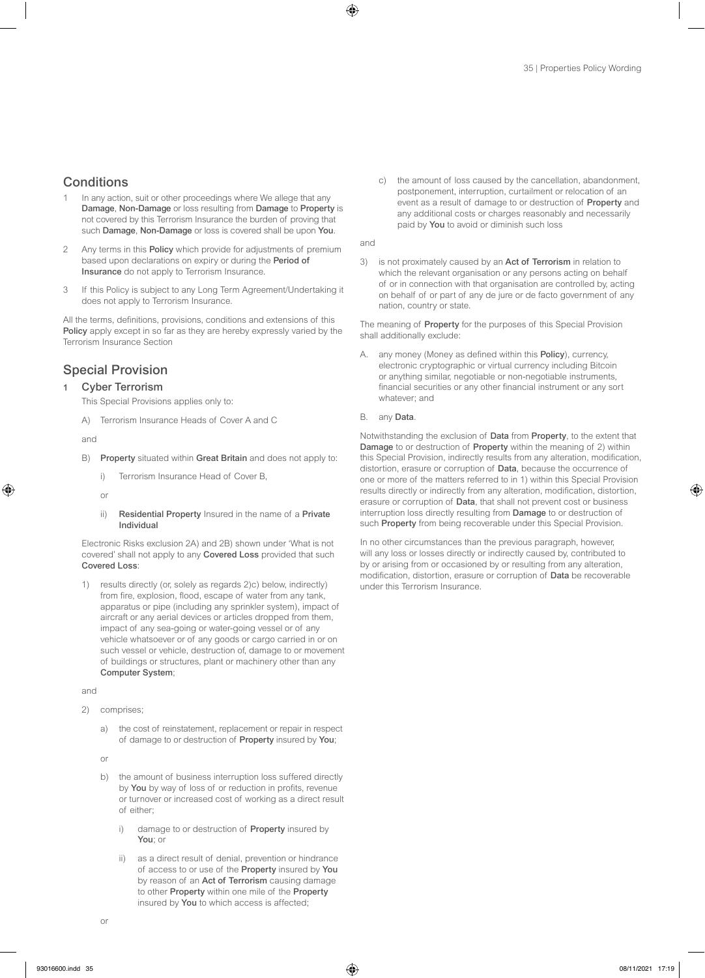### **Conditions**

- In any action, suit or other proceedings where We allege that any Damage, Non-Damage or loss resulting from Damage to Property is not covered by this Terrorism Insurance the burden of proving that such Damage, Non-Damage or loss is covered shall be upon You.
- 2 Any terms in this Policy which provide for adjustments of premium based upon declarations on expiry or during the Period of Insurance do not apply to Terrorism Insurance.
- 3 If this Policy is subject to any Long Term Agreement/Undertaking it does not apply to Terrorism Insurance.

All the terms, definitions, provisions, conditions and extensions of this Policy apply except in so far as they are hereby expressly varied by the Terrorism Insurance Section

### Special Provision

### 1 Cyber Terrorism

This Special Provisions applies only to:

A) Terrorism Insurance Heads of Cover A and C

and

- B) Property situated within Great Britain and does not apply to:
	- i) Terrorism Insurance Head of Cover B,

or

ii) Residential Property Insured in the name of a Private Individual

Electronic Risks exclusion 2A) and 2B) shown under 'What is not covered' shall not apply to any Covered Loss provided that such Covered Loss:

1) results directly (or, solely as regards 2)c) below, indirectly) from fire, explosion, flood, escape of water from any tank, apparatus or pipe (including any sprinkler system), impact of aircraft or any aerial devices or articles dropped from them, impact of any sea-going or water-going vessel or of any vehicle whatsoever or of any goods or cargo carried in or on such vessel or vehicle, destruction of, damage to or movement of buildings or structures, plant or machinery other than any Computer System;

and

- 2) comprises;
	- a) the cost of reinstatement, replacement or repair in respect of damage to or destruction of Property insured by You;

or

- b) the amount of business interruption loss suffered directly by You by way of loss of or reduction in profits, revenue or turnover or increased cost of working as a direct result of either;
	- i) damage to or destruction of **Property** insured by You; or
	- ii) as a direct result of denial, prevention or hindrance of access to or use of the Property insured by You by reason of an Act of Terrorism causing damage to other Property within one mile of the Property insured by You to which access is affected;

c) the amount of loss caused by the cancellation, abandonment, postponement, interruption, curtailment or relocation of an event as a result of damage to or destruction of Property and any additional costs or charges reasonably and necessarily paid by You to avoid or diminish such loss

and

3) is not proximately caused by an Act of Terrorism in relation to which the relevant organisation or any persons acting on behalf of or in connection with that organisation are controlled by, acting on behalf of or part of any de jure or de facto government of any nation, country or state.

The meaning of Property for the purposes of this Special Provision shall additionally exclude:

- A. any money (Money as defined within this **Policy**), currency, electronic cryptographic or virtual currency including Bitcoin or anything similar, negotiable or non-negotiable instruments, financial securities or any other financial instrument or any sort whatever; and
- B. any Data.

Notwithstanding the exclusion of Data from Property, to the extent that Damage to or destruction of Property within the meaning of 2) within this Special Provision, indirectly results from any alteration, modification, distortion, erasure or corruption of Data, because the occurrence of one or more of the matters referred to in 1) within this Special Provision results directly or indirectly from any alteration, modification, distortion, erasure or corruption of Data, that shall not prevent cost or business interruption loss directly resulting from Damage to or destruction of such Property from being recoverable under this Special Provision.

In no other circumstances than the previous paragraph, however, will any loss or losses directly or indirectly caused by, contributed to by or arising from or occasioned by or resulting from any alteration, modification, distortion, erasure or corruption of Data be recoverable under this Terrorism Insurance.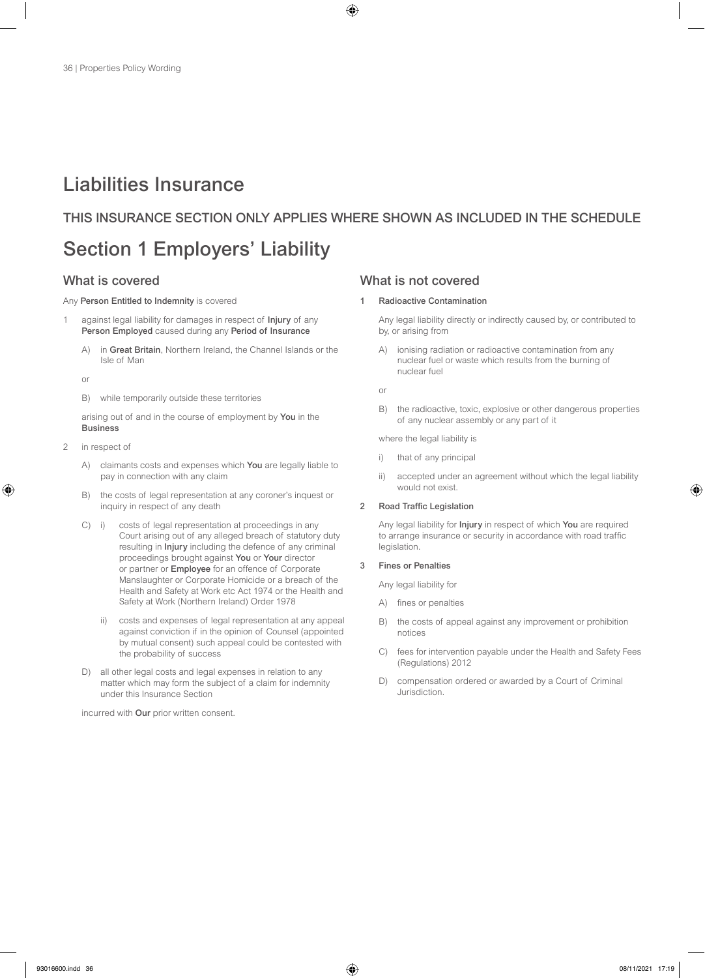# Liabilities Insurance

### THIS INSURANCE SECTION ONLY APPLIES WHERE SHOWN AS INCLUDED IN THE SCHEDULE

# Section 1 Employers' Liability

#### Any Person Entitled to Indemnity is covered

- 1 against legal liability for damages in respect of Injury of any Person Employed caused during any Period of Insurance
	- A) in Great Britain, Northern Ireland, the Channel Islands or the Isle of Man
	- or
	- B) while temporarily outside these territories

arising out of and in the course of employment by You in the **Business** 

- 2 in respect of
	- A) claimants costs and expenses which You are legally liable to pay in connection with any claim
	- B) the costs of legal representation at any coroner's inquest or inquiry in respect of any death
	- C) i) costs of legal representation at proceedings in any Court arising out of any alleged breach of statutory duty resulting in Injury including the defence of any criminal proceedings brought against You or Your director or partner or Employee for an offence of Corporate Manslaughter or Corporate Homicide or a breach of the Health and Safety at Work etc Act 1974 or the Health and Safety at Work (Northern Ireland) Order 1978
		- ii) costs and expenses of legal representation at any appeal against conviction if in the opinion of Counsel (appointed by mutual consent) such appeal could be contested with the probability of success
	- D) all other legal costs and legal expenses in relation to any matter which may form the subject of a claim for indemnity under this Insurance Section

incurred with Our prior written consent.

### What is covered What is not covered

#### 1 Radioactive Contamination

Any legal liability directly or indirectly caused by, or contributed to by, or arising from

A) ionising radiation or radioactive contamination from any nuclear fuel or waste which results from the burning of nuclear fuel

or

B) the radioactive, toxic, explosive or other dangerous properties of any nuclear assembly or any part of it

where the legal liability is

- i) that of any principal
- ii) accepted under an agreement without which the legal liability would not exist.

#### 2 Road Traffic Legislation

Any legal liability for Injury in respect of which You are required to arrange insurance or security in accordance with road traffic legislation.

#### 3 Fines or Penalties

Any legal liability for

- A) fines or penalties
- B) the costs of appeal against any improvement or prohibition notices
- C) fees for intervention payable under the Health and Safety Fees (Regulations) 2012
- D) compensation ordered or awarded by a Court of Criminal Jurisdiction.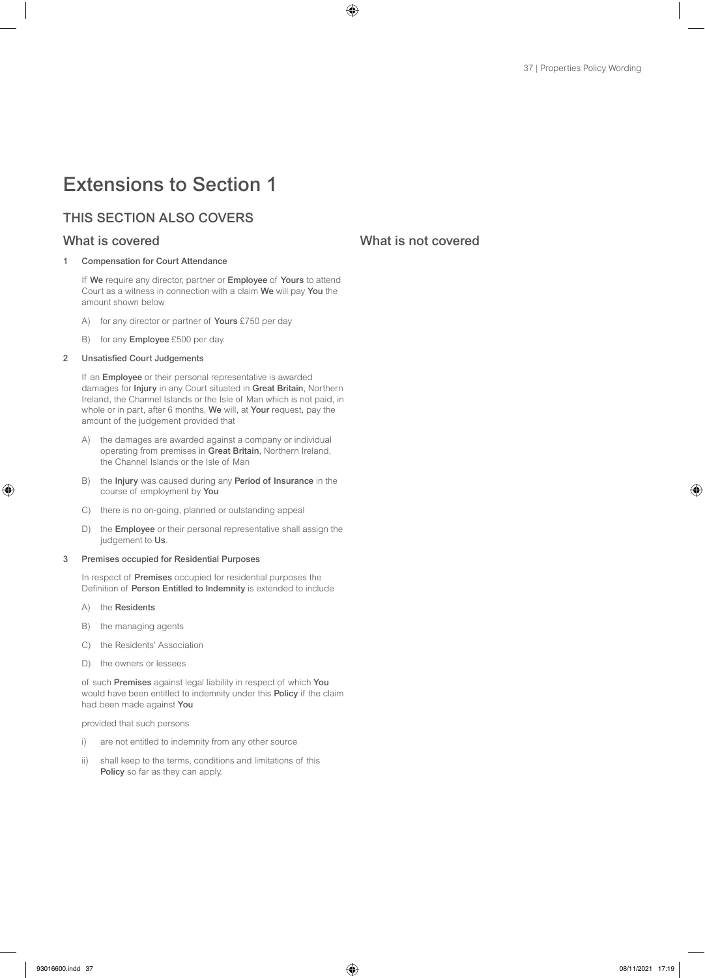# Extensions to Section 1

# THIS SECTION ALSO COVERS

### 1 Compensation for Court Attendance

If We require any director, partner or Employee of Yours to attend Court as a witness in connection with a claim We will pay You the amount shown below

- A) for any director or partner of Yours £750 per day
- B) for any **Employee** £500 per day.

# 2 Unsatisfied Court Judgements

If an Employee or their personal representative is awarded damages for Injury in any Court situated in Great Britain, Northern Ireland, the Channel Islands or the Isle of Man which is not paid, in whole or in part, after 6 months, We will, at Your request, pay the amount of the judgement provided that

- A) the damages are awarded against a company or individual operating from premises in Great Britain, Northern Ireland, the Channel Islands or the Isle of Man
- B) the Injury was caused during any Period of Insurance in the course of employment by You
- C) there is no on-going, planned or outstanding appeal
- D) the Employee or their personal representative shall assign the judgement to Us.

### 3 Premises occupied for Residential Purposes

In respect of Premises occupied for residential purposes the Definition of Person Entitled to Indemnity is extended to include

- A) the Residents
- B) the managing agents
- C) the Residents' Association
- D) the owners or lessees

of such Premises against legal liability in respect of which You would have been entitled to indemnity under this Policy if the claim had been made against You

provided that such persons

- i) are not entitled to indemnity from any other source
- ii) shall keep to the terms, conditions and limitations of this Policy so far as they can apply.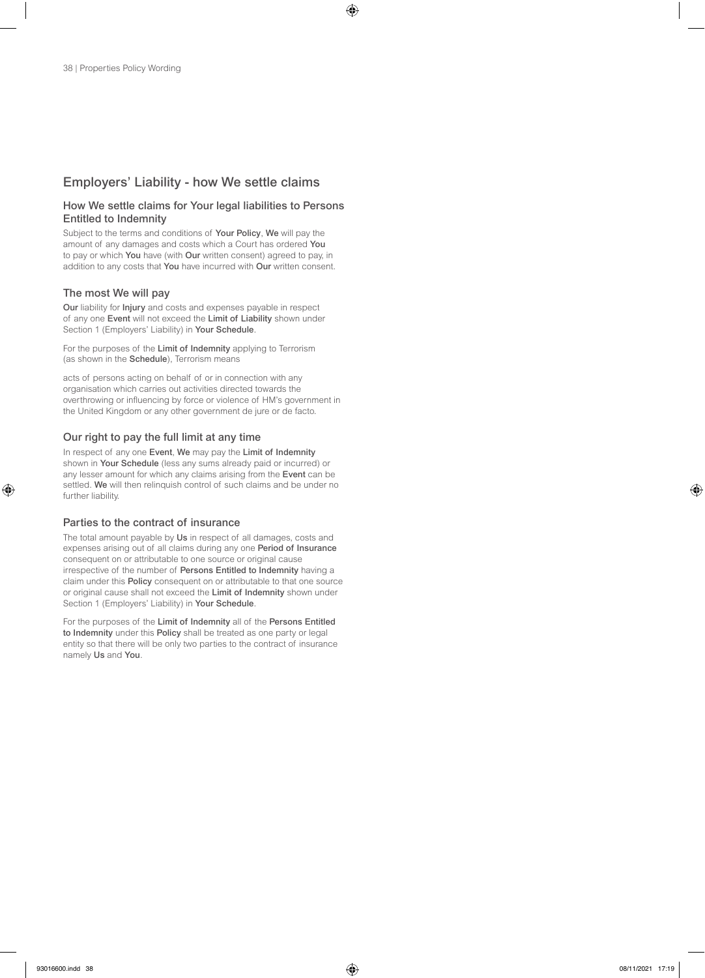# Employers' Liability - how We settle claims

# How We settle claims for Your legal liabilities to Persons Entitled to Indemnity

Subject to the terms and conditions of Your Policy, We will pay the amount of any damages and costs which a Court has ordered You to pay or which You have (with Our written consent) agreed to pay, in addition to any costs that You have incurred with Our written consent.

# The most We will pay

Our liability for Injury and costs and expenses payable in respect of any one Event will not exceed the Limit of Liability shown under Section 1 (Employers' Liability) in Your Schedule.

For the purposes of the Limit of Indemnity applying to Terrorism (as shown in the **Schedule**), Terrorism means

acts of persons acting on behalf of or in connection with any organisation which carries out activities directed towards the overthrowing or influencing by force or violence of HM's government in the United Kingdom or any other government de jure or de facto.

# Our right to pay the full limit at any time

In respect of any one Event, We may pay the Limit of Indemnity shown in Your Schedule (less any sums already paid or incurred) or any lesser amount for which any claims arising from the Event can be settled. We will then relinquish control of such claims and be under no further liability.

# Parties to the contract of insurance

The total amount payable by Us in respect of all damages, costs and expenses arising out of all claims during any one Period of Insurance consequent on or attributable to one source or original cause irrespective of the number of Persons Entitled to Indemnity having a claim under this Policy consequent on or attributable to that one source or original cause shall not exceed the Limit of Indemnity shown under Section 1 (Employers' Liability) in Your Schedule.

For the purposes of the Limit of Indemnity all of the Persons Entitled to Indemnity under this Policy shall be treated as one party or legal entity so that there will be only two parties to the contract of insurance namely Us and You.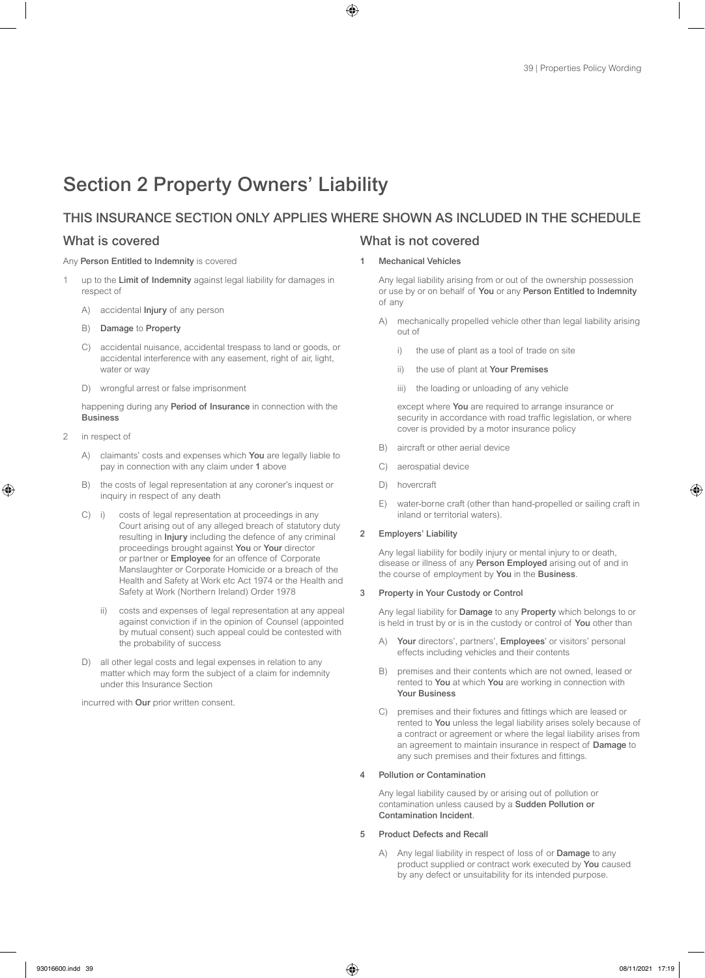# Section 2 Property Owners' Liability

# THIS INSURANCE SECTION ONLY APPLIES WHERE SHOWN AS INCLUDED IN THE SCHEDULE

### Any Person Entitled to Indemnity is covered

- 1 up to the Limit of Indemnity against legal liability for damages in respect of
	- A) accidental **Injury** of any person
	- B) Damage to Property
	- C) accidental nuisance, accidental trespass to land or goods, or accidental interference with any easement, right of air, light, water or way
	- D) wrongful arrest or false imprisonment

happening during any Period of Insurance in connection with the Business

- in respect of
	- A) claimants' costs and expenses which You are legally liable to pay in connection with any claim under 1 above
	- B) the costs of legal representation at any coroner's inquest or inquiry in respect of any death
	- C) i) costs of legal representation at proceedings in any Court arising out of any alleged breach of statutory duty resulting in Injury including the defence of any criminal proceedings brought against You or Your director or partner or **Employee** for an offence of Corporate Manslaughter or Corporate Homicide or a breach of the Health and Safety at Work etc Act 1974 or the Health and Safety at Work (Northern Ireland) Order 1978
		- ii) costs and expenses of legal representation at any appeal against conviction if in the opinion of Counsel (appointed by mutual consent) such appeal could be contested with the probability of success
	- D) all other legal costs and legal expenses in relation to any matter which may form the subject of a claim for indemnity under this Insurance Section

incurred with Our prior written consent.

# What is covered What is not covered

### Mechanical Vehicles

Any legal liability arising from or out of the ownership possession or use by or on behalf of You or any Person Entitled to Indemnity of any

- A) mechanically propelled vehicle other than legal liability arising out of
	- i) the use of plant as a tool of trade on site
	- ii) the use of plant at Your Premises
	- iii) the loading or unloading of any vehicle

except where You are required to arrange insurance or security in accordance with road traffic legislation, or where cover is provided by a motor insurance policy

- B) aircraft or other aerial device
- C) aerospatial device
- D) hovercraft
- E) water-borne craft (other than hand-propelled or sailing craft in inland or territorial waters).

## 2 Employers' Liability

Any legal liability for bodily injury or mental injury to or death, disease or illness of any Person Employed arising out of and in the course of employment by You in the Business.

## 3 Property in Your Custody or Control

Any legal liability for **Damage** to any **Property** which belongs to or is held in trust by or is in the custody or control of You other than

- A) Your directors', partners', Employees' or visitors' personal effects including vehicles and their contents
- B) premises and their contents which are not owned, leased or rented to You at which You are working in connection with Your Business
- C) premises and their fixtures and fittings which are leased or rented to You unless the legal liability arises solely because of a contract or agreement or where the legal liability arises from an agreement to maintain insurance in respect of Damage to any such premises and their fixtures and fittings.

## 4 Pollution or Contamination

Any legal liability caused by or arising out of pollution or contamination unless caused by a Sudden Pollution or Contamination Incident.

## 5 Product Defects and Recall

A) Any legal liability in respect of loss of or Damage to any product supplied or contract work executed by You caused by any defect or unsuitability for its intended purpose.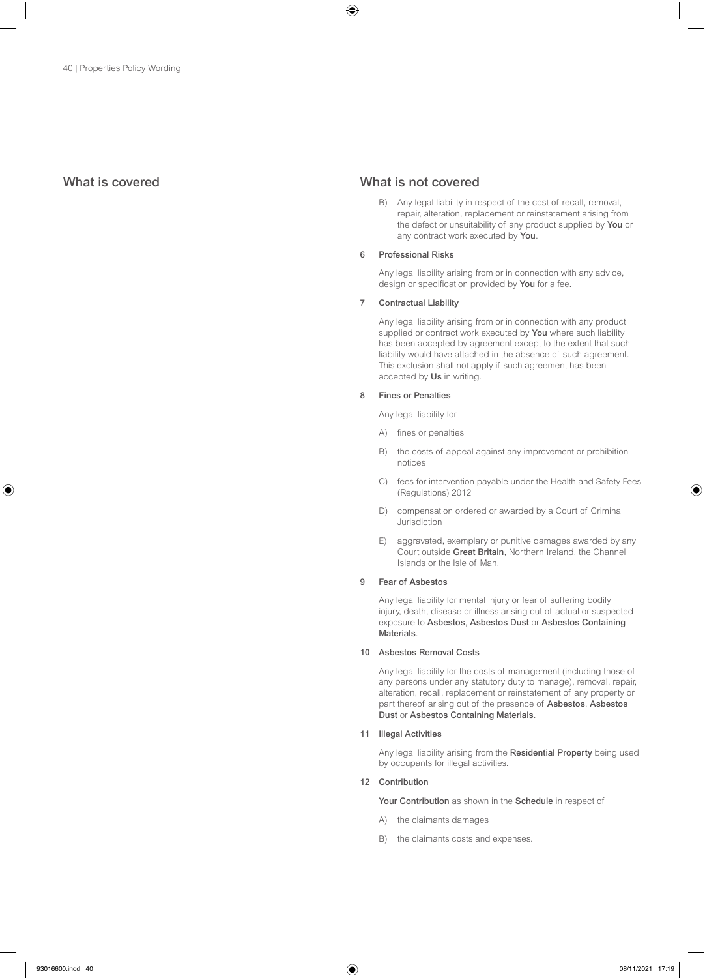# What is covered What is not covered

B) Any legal liability in respect of the cost of recall, removal, repair, alteration, replacement or reinstatement arising from the defect or unsuitability of any product supplied by You or any contract work executed by You.

### 6 Professional Risks

Any legal liability arising from or in connection with any advice, design or specification provided by You for a fee.

### 7 Contractual Liability

Any legal liability arising from or in connection with any product supplied or contract work executed by You where such liability has been accepted by agreement except to the extent that such liability would have attached in the absence of such agreement. This exclusion shall not apply if such agreement has been accepted by Us in writing.

### 8 Fines or Penalties

Any legal liability for

- A) fines or penalties
- B) the costs of appeal against any improvement or prohibition notices
- C) fees for intervention payable under the Health and Safety Fees (Regulations) 2012
- D) compensation ordered or awarded by a Court of Criminal Jurisdiction
- E) aggravated, exemplary or punitive damages awarded by any Court outside Great Britain, Northern Ireland, the Channel Islands or the Isle of Man.

## 9 Fear of Asbestos

Any legal liability for mental injury or fear of suffering bodily injury, death, disease or illness arising out of actual or suspected exposure to Asbestos, Asbestos Dust or Asbestos Containing **Materials** 

### 10 Asbestos Removal Costs

Any legal liability for the costs of management (including those of any persons under any statutory duty to manage), removal, repair, alteration, recall, replacement or reinstatement of any property or part thereof arising out of the presence of Asbestos, Asbestos Dust or Asbestos Containing Materials.

### 11 Illegal Activities

Any legal liability arising from the Residential Property being used by occupants for illegal activities.

## 12 Contribution

Your Contribution as shown in the Schedule in respect of

- A) the claimants damages
- B) the claimants costs and expenses.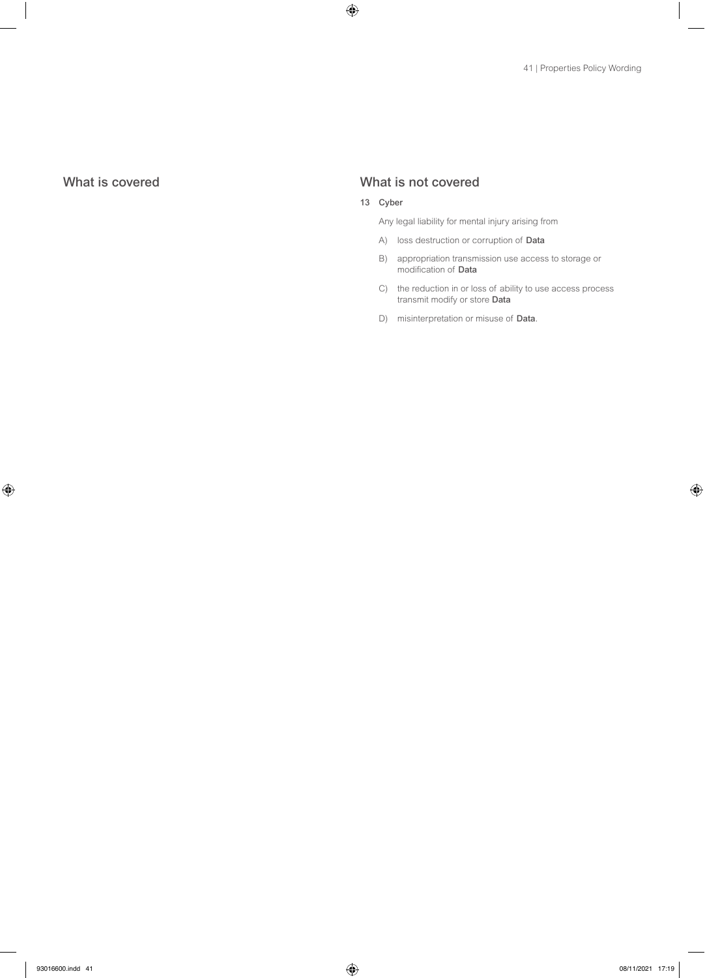# What is covered What is not covered

# 13 Cyber

Any legal liability for mental injury arising from

- A) loss destruction or corruption of Data
- B) appropriation transmission use access to storage or modification of Data
- C) the reduction in or loss of ability to use access process transmit modify or store Data
- D) misinterpretation or misuse of Data.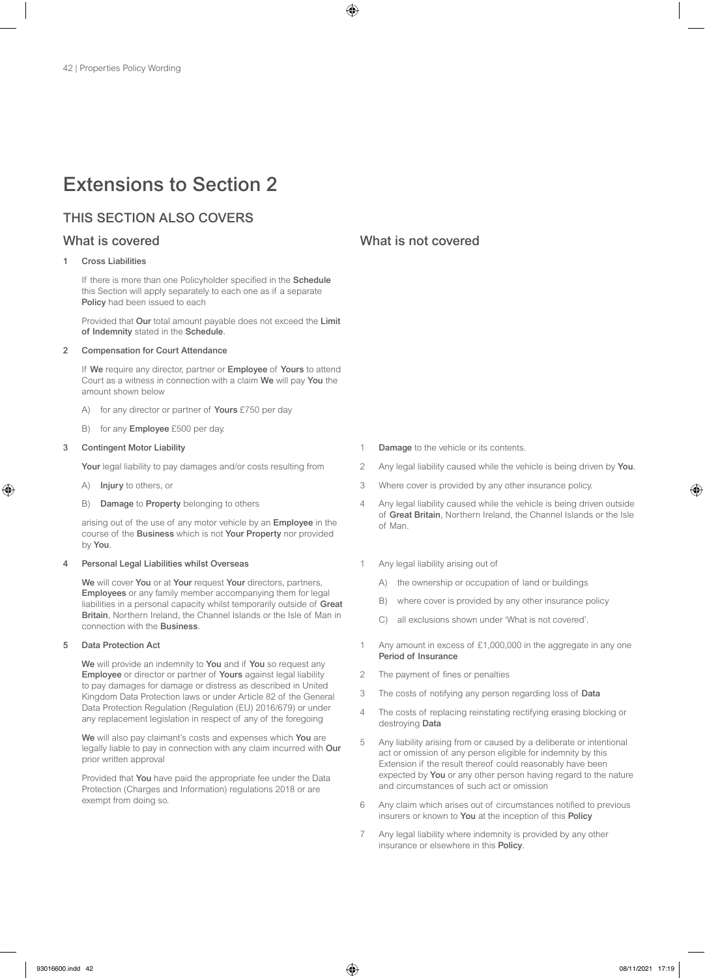# Extensions to Section 2

# THIS SECTION ALSO COVERS

# Cross Liabilities

If there is more than one Policyholder specified in the Schedule this Section will apply separately to each one as if a separate Policy had been issued to each

Provided that Our total amount payable does not exceed the Limit of Indemnity stated in the Schedule.

### 2 Compensation for Court Attendance

If We require any director, partner or Employee of Yours to attend Court as a witness in connection with a claim We will pay You the amount shown below

- A) for any director or partner of Yours £750 per day
- B) for any **Employee** £500 per day.

### **Contingent Motor Liability**

Your legal liability to pay damages and/or costs resulting from

- A) Injury to others, or
- B) Damage to Property belonging to others

arising out of the use of any motor vehicle by an Employee in the course of the Business which is not Your Property nor provided by You.

### 4 Personal Legal Liabilities whilst Overseas

We will cover You or at Your request Your directors, partners, Employees or any family member accompanying them for legal liabilities in a personal capacity whilst temporarily outside of Great Britain, Northern Ireland, the Channel Islands or the Isle of Man in connection with the Business.

### 5 Data Protection Act

We will provide an indemnity to You and if You so request any Employee or director or partner of Yours against legal liability to pay damages for damage or distress as described in United Kingdom Data Protection laws or under Article 82 of the General Data Protection Regulation (Regulation (EU) 2016/679) or under any replacement legislation in respect of any of the foregoing

We will also pay claimant's costs and expenses which You are legally liable to pay in connection with any claim incurred with Our prior written approval

Provided that You have paid the appropriate fee under the Data Protection (Charges and Information) regulations 2018 or are exempt from doing so.

# What is covered **What is not covered** What is not covered

- 1 Damage to the vehicle or its contents.
- 2 Any legal liability caused while the vehicle is being driven by You.
- 3 Where cover is provided by any other insurance policy.
- 4 Any legal liability caused while the vehicle is being driven outside of Great Britain, Northern Ireland, the Channel Islands or the Isle of Man.
- Any legal liability arising out of
	- A) the ownership or occupation of land or buildings
	- B) where cover is provided by any other insurance policy
	- C) all exclusions shown under 'What is not covered'.
- 1 Any amount in excess of £1,000,000 in the aggregate in any one Period of Insurance
- 2 The payment of fines or penalties
- 3 The costs of notifying any person regarding loss of Data
- 4 The costs of replacing reinstating rectifying erasing blocking or destroying Data
- 5 Any liability arising from or caused by a deliberate or intentional act or omission of any person eligible for indemnity by this Extension if the result thereof could reasonably have been expected by You or any other person having regard to the nature and circumstances of such act or omission
- 6 Any claim which arises out of circumstances notified to previous insurers or known to You at the inception of this Policy
- 7 Any legal liability where indemnity is provided by any other insurance or elsewhere in this Policy.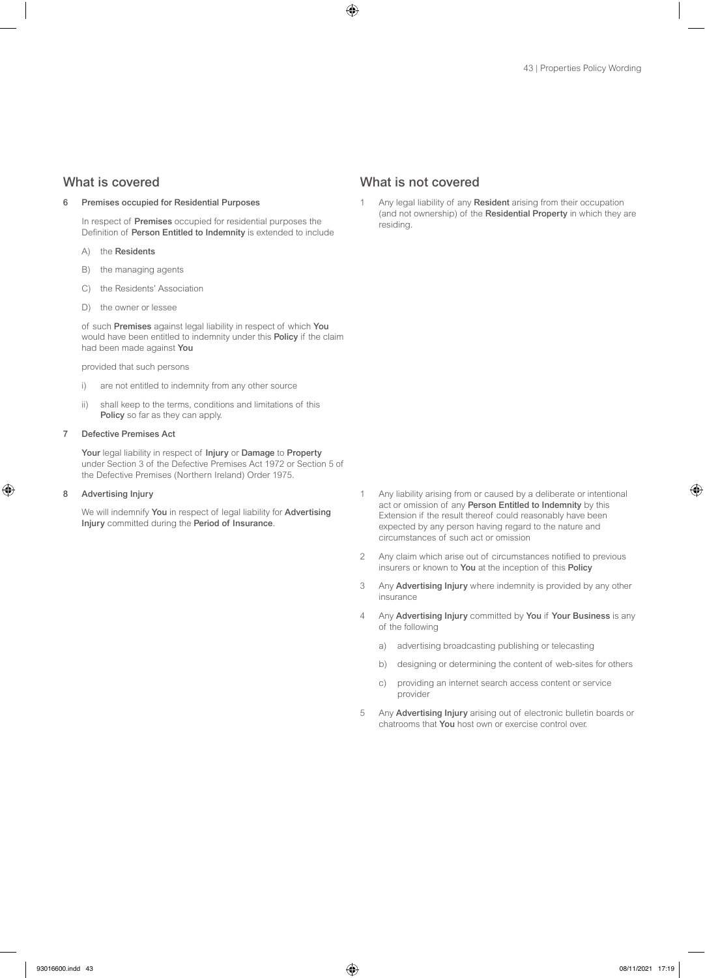### 6 Premises occupied for Residential Purposes

In respect of Premises occupied for residential purposes the Definition of Person Entitled to Indemnity is extended to include

- A) the Residents
- B) the managing agents
- C) the Residents' Association
- D) the owner or lessee

of such Premises against legal liability in respect of which You would have been entitled to indemnity under this Policy if the claim had been made against You

### provided that such persons

- i) are not entitled to indemnity from any other source
- ii) shall keep to the terms, conditions and limitations of this Policy so far as they can apply.

## 7 Defective Premises Act

Your legal liability in respect of Injury or Damage to Property under Section 3 of the Defective Premises Act 1972 or Section 5 of the Defective Premises (Northern Ireland) Order 1975.

### 8 Advertising Injury

We will indemnify You in respect of legal liability for Advertising Injury committed during the Period of Insurance.

# What is covered What is not covered

Any legal liability of any Resident arising from their occupation (and not ownership) of the Residential Property in which they are residing.

- 1 Any liability arising from or caused by a deliberate or intentional act or omission of any Person Entitled to Indemnity by this Extension if the result thereof could reasonably have been expected by any person having regard to the nature and circumstances of such act or omission
- 2 Any claim which arise out of circumstances notified to previous insurers or known to You at the inception of this Policy
- 3 Any Advertising Injury where indemnity is provided by any other insurance
- 4 Any Advertising Injury committed by You if Your Business is any of the following
	- a) advertising broadcasting publishing or telecasting
	- b) designing or determining the content of web-sites for others
	- c) providing an internet search access content or service provider
- 5 Any Advertising Injury arising out of electronic bulletin boards or chatrooms that You host own or exercise control over.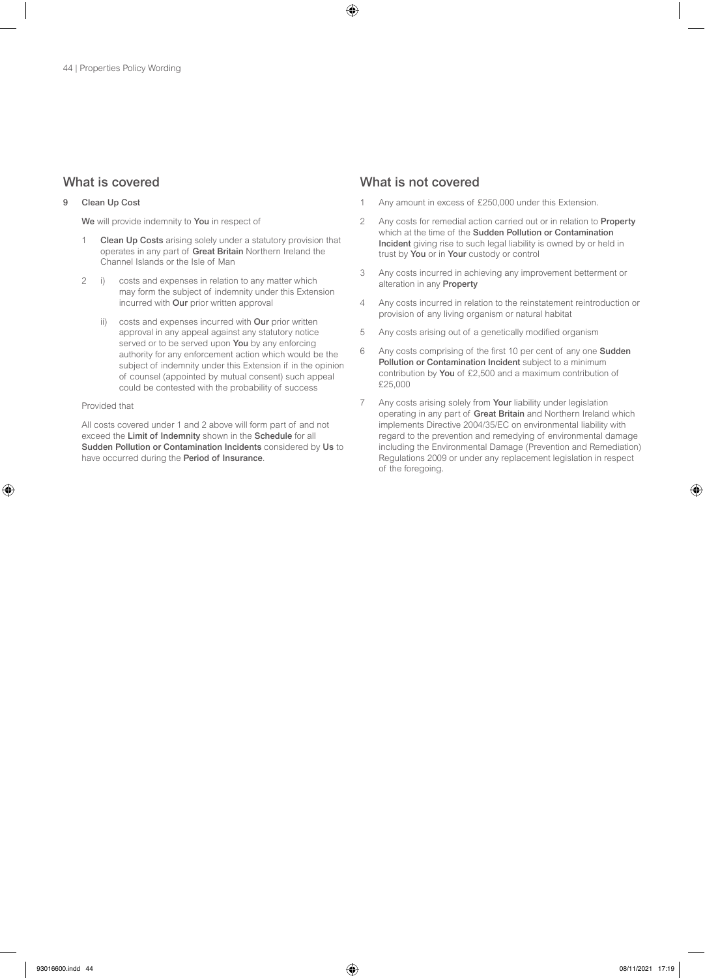# 9 Clean Up Cost

We will provide indemnity to You in respect of

- 1 Clean Up Costs arising solely under a statutory provision that operates in any part of Great Britain Northern Ireland the Channel Islands or the Isle of Man
- 2 i) costs and expenses in relation to any matter which may form the subject of indemnity under this Extension incurred with Our prior written approval
	- ii) costs and expenses incurred with Our prior written approval in any appeal against any statutory notice served or to be served upon **You** by any enforcing authority for any enforcement action which would be the subject of indemnity under this Extension if in the opinion of counsel (appointed by mutual consent) such appeal could be contested with the probability of success

### Provided that

All costs covered under 1 and 2 above will form part of and not exceed the Limit of Indemnity shown in the Schedule for all Sudden Pollution or Contamination Incidents considered by Us to have occurred during the Period of Insurance.

# What is covered **What is not covered** What is not covered

- Any amount in excess of £250,000 under this Extension.
- 2 Any costs for remedial action carried out or in relation to Property which at the time of the Sudden Pollution or Contamination Incident giving rise to such legal liability is owned by or held in trust by You or in Your custody or control
- 3 Any costs incurred in achieving any improvement betterment or alteration in any Property
- 4 Any costs incurred in relation to the reinstatement reintroduction or provision of any living organism or natural habitat
- 5 Any costs arising out of a genetically modified organism
- 6 Any costs comprising of the first 10 per cent of any one Sudden Pollution or Contamination Incident subject to a minimum contribution by You of £2,500 and a maximum contribution of £25,000
- 7 Any costs arising solely from Your liability under legislation operating in any part of Great Britain and Northern Ireland which implements Directive 2004/35/EC on environmental liability with regard to the prevention and remedying of environmental damage including the Environmental Damage (Prevention and Remediation) Regulations 2009 or under any replacement legislation in respect of the foregoing.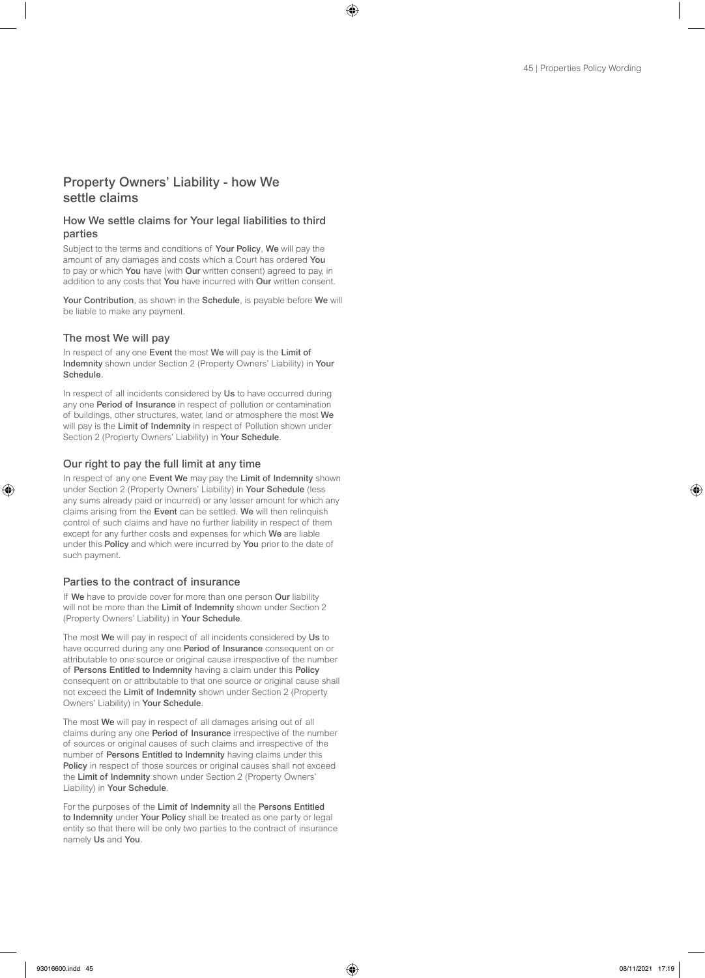# Property Owners' Liability - how We settle claims

# How We settle claims for Your legal liabilities to third parties

Subject to the terms and conditions of Your Policy, We will pay the amount of any damages and costs which a Court has ordered You to pay or which You have (with Our written consent) agreed to pay, in addition to any costs that You have incurred with Our written consent.

Your Contribution, as shown in the Schedule, is payable before We will be liable to make any payment.

## The most We will pay

In respect of any one Event the most We will pay is the Limit of Indemnity shown under Section 2 (Property Owners' Liability) in Your Schedule.

In respect of all incidents considered by Us to have occurred during any one Period of Insurance in respect of pollution or contamination of buildings, other structures, water, land or atmosphere the most We will pay is the Limit of Indemnity in respect of Pollution shown under Section 2 (Property Owners' Liability) in Your Schedule.

## Our right to pay the full limit at any time

In respect of any one Event We may pay the Limit of Indemnity shown under Section 2 (Property Owners' Liability) in Your Schedule (less any sums already paid or incurred) or any lesser amount for which any claims arising from the Event can be settled. We will then relinquish control of such claims and have no further liability in respect of them except for any further costs and expenses for which We are liable under this Policy and which were incurred by You prior to the date of such payment.

## Parties to the contract of insurance

If We have to provide cover for more than one person Our liability will not be more than the Limit of Indemnity shown under Section 2 (Property Owners' Liability) in Your Schedule.

The most We will pay in respect of all incidents considered by Us to have occurred during any one Period of Insurance consequent on or attributable to one source or original cause irrespective of the number of Persons Entitled to Indemnity having a claim under this Policy consequent on or attributable to that one source or original cause shall not exceed the Limit of Indemnity shown under Section 2 (Property Owners' Liability) in Your Schedule.

The most We will pay in respect of all damages arising out of all claims during any one Period of Insurance irrespective of the number of sources or original causes of such claims and irrespective of the number of Persons Entitled to Indemnity having claims under this Policy in respect of those sources or original causes shall not exceed the Limit of Indemnity shown under Section 2 (Property Owners' Liability) in Your Schedule.

For the purposes of the Limit of Indemnity all the Persons Entitled to Indemnity under Your Policy shall be treated as one party or legal entity so that there will be only two parties to the contract of insurance namely Us and You.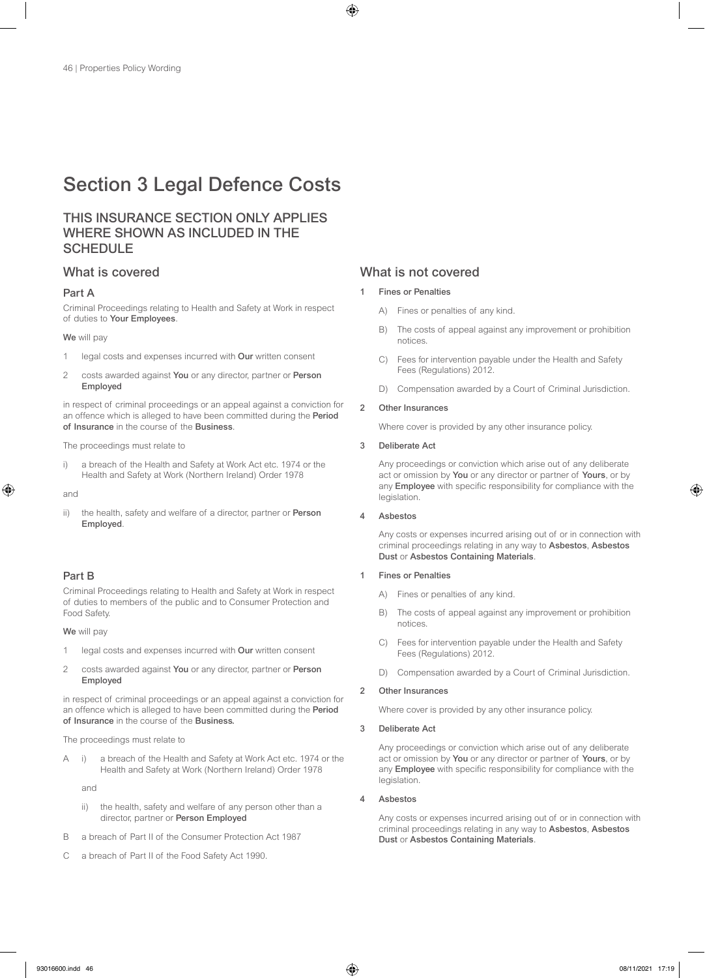# Section 3 Legal Defence Costs

# THIS INSURANCE SECTION ONLY APPLIES WHERE SHOWN AS INCLUDED IN THE SCHEDULE

## Part A

Criminal Proceedings relating to Health and Safety at Work in respect of duties to Your Employees.

### We will pay

- 1 legal costs and expenses incurred with Our written consent
- 2 costs awarded against You or any director, partner or Person Employed

in respect of criminal proceedings or an appeal against a conviction for an offence which is alleged to have been committed during the Period of Insurance in the course of the Business.

The proceedings must relate to

i) a breach of the Health and Safety at Work Act etc. 1974 or the Health and Safety at Work (Northern Ireland) Order 1978

and

ii) the health, safety and welfare of a director, partner or Person Employed.

# Part B

Criminal Proceedings relating to Health and Safety at Work in respect of duties to members of the public and to Consumer Protection and Food Safety.

We will pay

- 1 legal costs and expenses incurred with Our written consent
- 2 costs awarded against You or any director, partner or Person Employed

in respect of criminal proceedings or an appeal against a conviction for an offence which is alleged to have been committed during the Period of Insurance in the course of the Business.

The proceedings must relate to

A i) a breach of the Health and Safety at Work Act etc. 1974 or the Health and Safety at Work (Northern Ireland) Order 1978

and

- ii) the health, safety and welfare of any person other than a director, partner or Person Employed
- B a breach of Part II of the Consumer Protection Act 1987
- C a breach of Part II of the Food Safety Act 1990.

# What is covered **What is not covered** What is not covered

- **Fines or Penalties** 
	- A) Fines or penalties of any kind.
	- B) The costs of appeal against any improvement or prohibition notices.
	- C) Fees for intervention payable under the Health and Safety Fees (Regulations) 2012.
	- D) Compensation awarded by a Court of Criminal Jurisdiction.

### 2 Other Insurances

Where cover is provided by any other insurance policy.

## 3 Deliberate Act

Any proceedings or conviction which arise out of any deliberate act or omission by You or any director or partner of Yours, or by any Employee with specific responsibility for compliance with the legislation.

4 Asbestos

Any costs or expenses incurred arising out of or in connection with criminal proceedings relating in any way to Asbestos, Asbestos Dust or Asbestos Containing Materials.

# 1 Fines or Penalties

- A) Fines or penalties of any kind.
- B) The costs of appeal against any improvement or prohibition notices.
- C) Fees for intervention payable under the Health and Safety Fees (Regulations) 2012.
- D) Compensation awarded by a Court of Criminal Jurisdiction.

## 2 Other Insurances

Where cover is provided by any other insurance policy.

### 3 Deliberate Act

Any proceedings or conviction which arise out of any deliberate act or omission by You or any director or partner of Yours, or by any Employee with specific responsibility for compliance with the legislation.

## 4 Asbestos

Any costs or expenses incurred arising out of or in connection with criminal proceedings relating in any way to Asbestos, Asbestos Dust or Asbestos Containing Materials.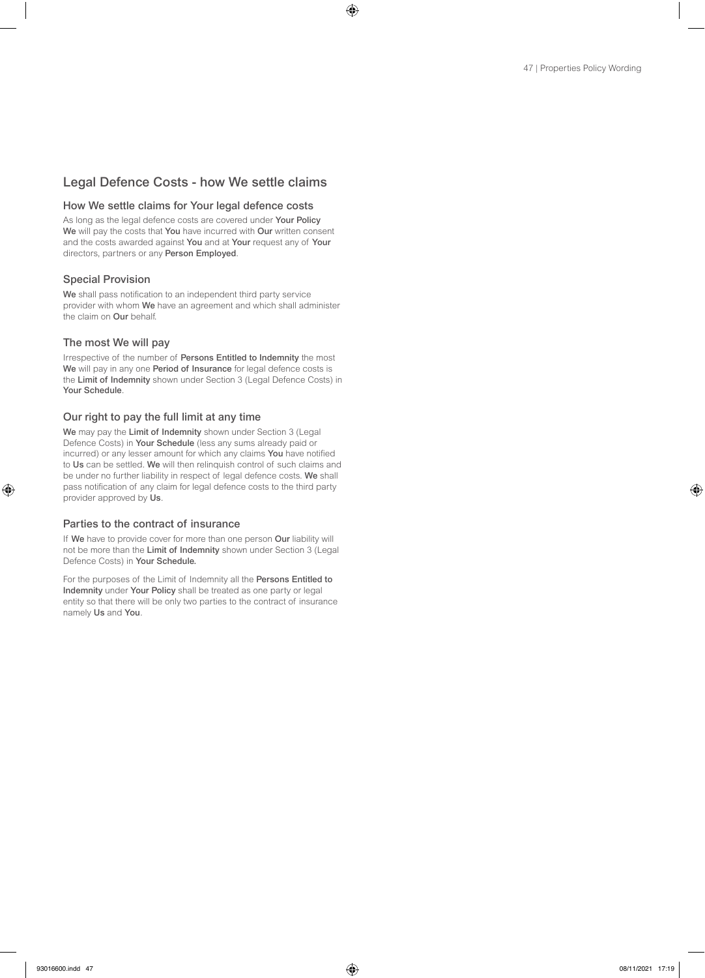# Legal Defence Costs - how We settle claims

# How We settle claims for Your legal defence costs

As long as the legal defence costs are covered under Your Policy We will pay the costs that You have incurred with Our written consent and the costs awarded against You and at Your request any of Your directors, partners or any Person Employed.

# Special Provision

We shall pass notification to an independent third party service provider with whom We have an agreement and which shall administer the claim on **Our** behalf.

# The most We will pay

Irrespective of the number of Persons Entitled to Indemnity the most We will pay in any one Period of Insurance for legal defence costs is the Limit of Indemnity shown under Section 3 (Legal Defence Costs) in Your Schedule.

# Our right to pay the full limit at any time

We may pay the Limit of Indemnity shown under Section 3 (Legal Defence Costs) in Your Schedule (less any sums already paid or incurred) or any lesser amount for which any claims You have notified to Us can be settled. We will then relinquish control of such claims and be under no further liability in respect of legal defence costs. We shall pass notification of any claim for legal defence costs to the third party provider approved by Us.

# Parties to the contract of insurance

If We have to provide cover for more than one person Our liability will not be more than the Limit of Indemnity shown under Section 3 (Legal Defence Costs) in Your Schedule.

For the purposes of the Limit of Indemnity all the Persons Entitled to Indemnity under Your Policy shall be treated as one party or legal entity so that there will be only two parties to the contract of insurance namely Us and You.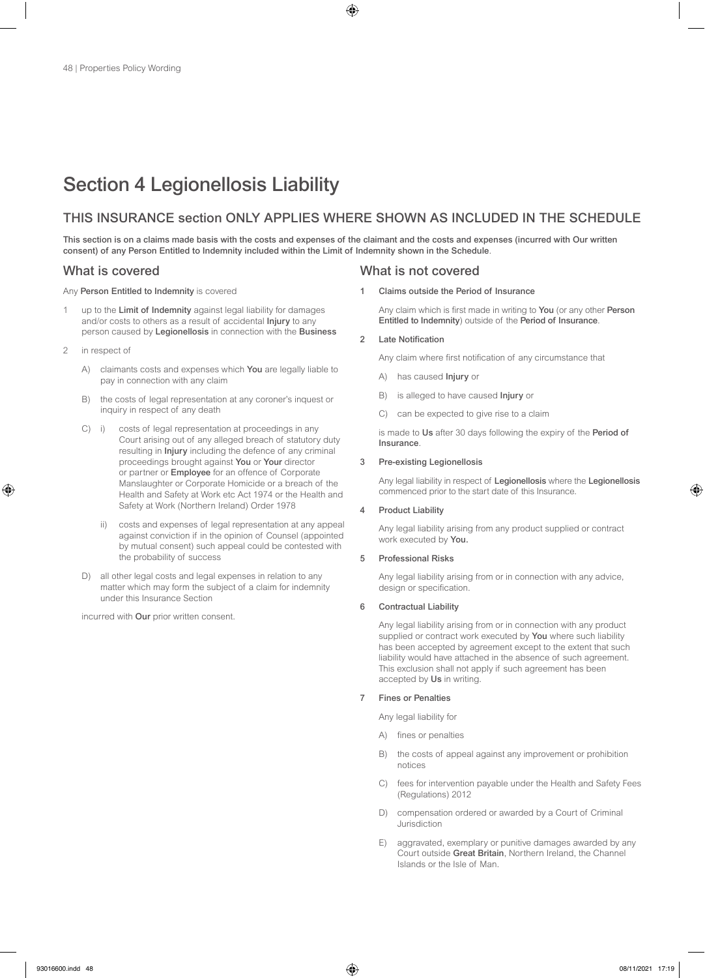# Section 4 Legionellosis Liability

# THIS INSURANCE section ONLY APPLIES WHERE SHOWN AS INCLUDED IN THE SCHEDULE

This section is on a claims made basis with the costs and expenses of the claimant and the costs and expenses (incurred with Our written consent) of any Person Entitled to Indemnity included within the Limit of Indemnity shown in the Schedule.

Any Person Entitled to Indemnity is covered

- up to the Limit of Indemnity against legal liability for damages and/or costs to others as a result of accidental Injury to any person caused by Legionellosis in connection with the Business
- 2 in respect of
	- A) claimants costs and expenses which You are legally liable to pay in connection with any claim
	- B) the costs of legal representation at any coroner's inquest or inquiry in respect of any death
	- C) i) costs of legal representation at proceedings in any Court arising out of any alleged breach of statutory duty resulting in Injury including the defence of any criminal proceedings brought against You or Your director or partner or **Employee** for an offence of Corporate Manslaughter or Corporate Homicide or a breach of the Health and Safety at Work etc Act 1974 or the Health and Safety at Work (Northern Ireland) Order 1978
		- ii) costs and expenses of legal representation at any appeal against conviction if in the opinion of Counsel (appointed by mutual consent) such appeal could be contested with the probability of success
	- D) all other legal costs and legal expenses in relation to any matter which may form the subject of a claim for indemnity under this Insurance Section

incurred with Our prior written consent.

# What is covered What is not covered

Claims outside the Period of Insurance

Any claim which is first made in writing to You (or any other Person Entitled to Indemnity) outside of the Period of Insurance.

### 2 Late Notification

Any claim where first notification of any circumstance that

- A) has caused **Injury** or
- B) is alleged to have caused Injury or
- C) can be expected to give rise to a claim

is made to Us after 30 days following the expiry of the Period of Insurance.

### 3 Pre-existing Legionellosis

 Any legal liability in respect of Legionellosis where the Legionellosis commenced prior to the start date of this Insurance.

### 4 Product Liability

Any legal liability arising from any product supplied or contract work executed by You.

## 5 Professional Risks

Any legal liability arising from or in connection with any advice, design or specification.

## 6 Contractual Liability

Any legal liability arising from or in connection with any product supplied or contract work executed by You where such liability has been accepted by agreement except to the extent that such liability would have attached in the absence of such agreement. This exclusion shall not apply if such agreement has been accepted by Us in writing.

### 7 Fines or Penalties

Any legal liability for

- A) fines or penalties
- B) the costs of appeal against any improvement or prohibition notices
- C) fees for intervention payable under the Health and Safety Fees (Regulations) 2012
- D) compensation ordered or awarded by a Court of Criminal Jurisdiction
- E) aggravated, exemplary or punitive damages awarded by any Court outside Great Britain, Northern Ireland, the Channel Islands or the Isle of Man.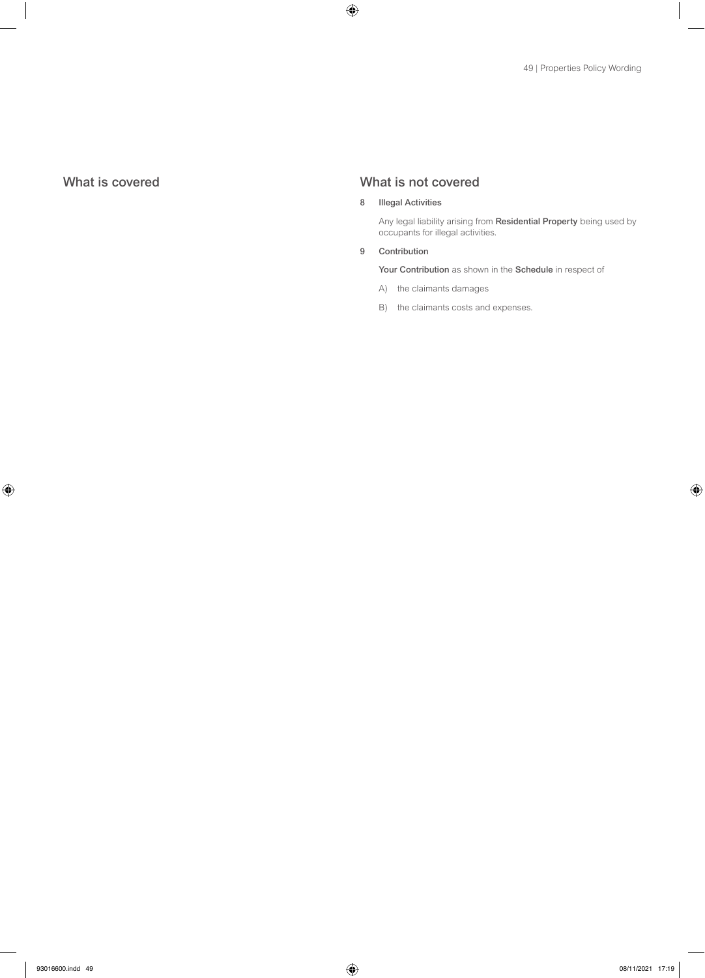# What is covered What is not covered

# 8 Illegal Activities

Any legal liability arising from Residential Property being used by occupants for illegal activities.

### 9 Contribution

Your Contribution as shown in the Schedule in respect of

- A) the claimants damages
- B) the claimants costs and expenses.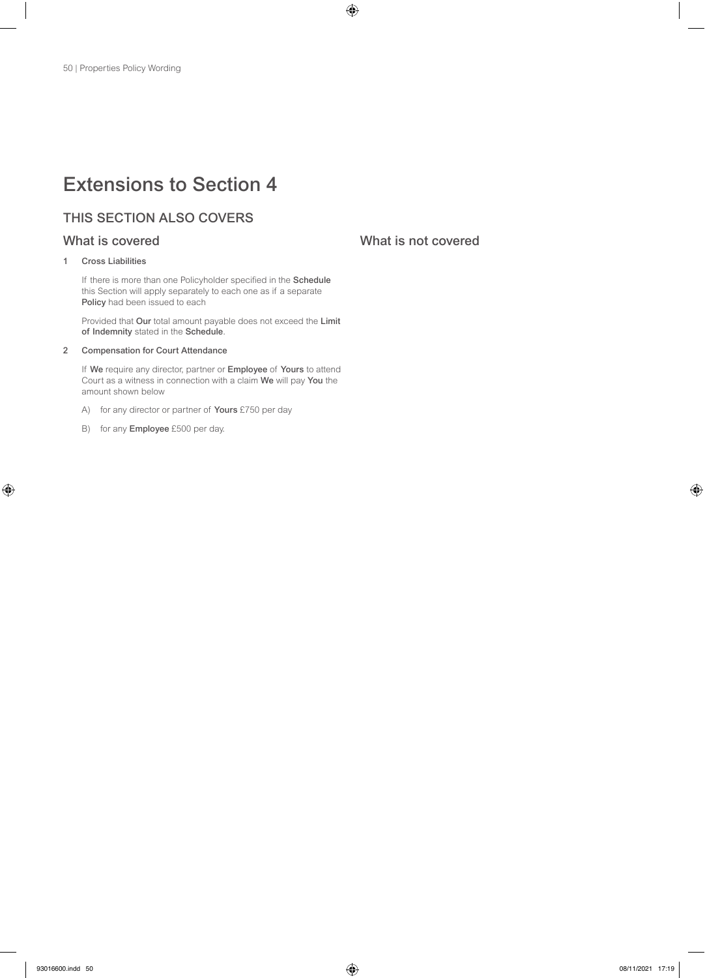# Extensions to Section 4

# THIS SECTION ALSO COVERS

# 1 Cross Liabilities

If there is more than one Policyholder specified in the Schedule this Section will apply separately to each one as if a separate Policy had been issued to each

Provided that Our total amount payable does not exceed the Limit of Indemnity stated in the Schedule.

# 2 Compensation for Court Attendance

If We require any director, partner or Employee of Yours to attend Court as a witness in connection with a claim We will pay You the amount shown below

- A) for any director or partner of **Yours** £750 per day
- B) for any **Employee** £500 per day.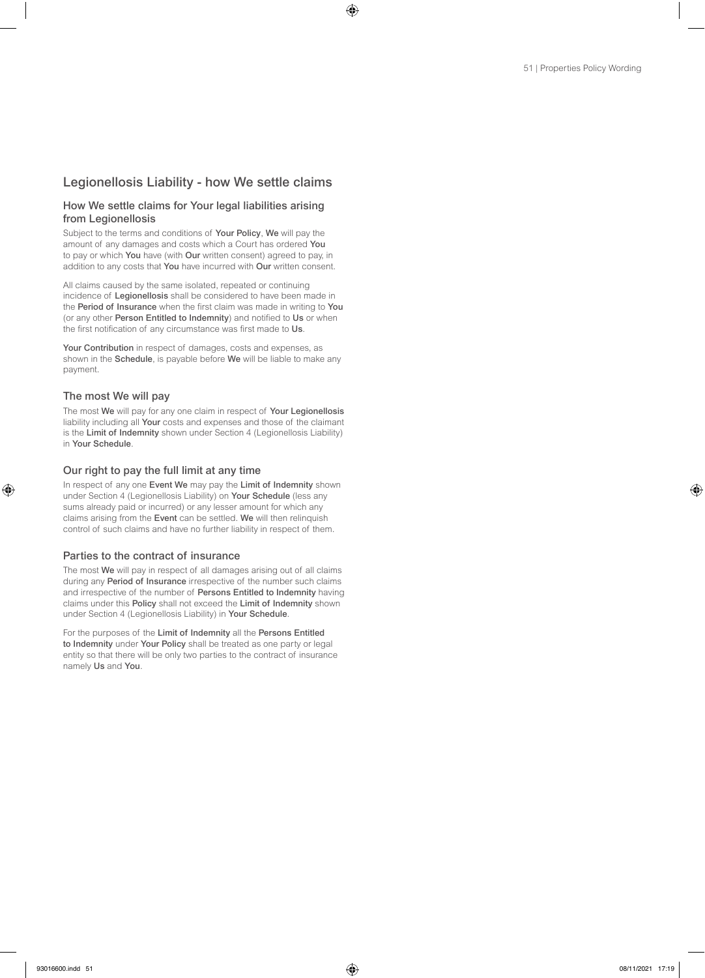# Legionellosis Liability - how We settle claims

# How We settle claims for Your legal liabilities arising from Legionellosis

Subject to the terms and conditions of Your Policy, We will pay the amount of any damages and costs which a Court has ordered You to pay or which You have (with Our written consent) agreed to pay, in addition to any costs that You have incurred with Our written consent.

All claims caused by the same isolated, repeated or continuing incidence of Legionellosis shall be considered to have been made in the Period of Insurance when the first claim was made in writing to You (or any other Person Entitled to Indemnity) and notified to Us or when the first notification of any circumstance was first made to Us.

Your Contribution in respect of damages, costs and expenses, as shown in the Schedule, is payable before We will be liable to make any payment.

# The most We will pay

The most We will pay for any one claim in respect of Your Legionellosis liability including all Your costs and expenses and those of the claimant is the Limit of Indemnity shown under Section 4 (Legionellosis Liability) in Your Schedule.

# Our right to pay the full limit at any time

In respect of any one Event We may pay the Limit of Indemnity shown under Section 4 (Legionellosis Liability) on Your Schedule (less any sums already paid or incurred) or any lesser amount for which any claims arising from the Event can be settled. We will then relinquish control of such claims and have no further liability in respect of them.

# Parties to the contract of insurance

The most We will pay in respect of all damages arising out of all claims during any Period of Insurance irrespective of the number such claims and irrespective of the number of Persons Entitled to Indemnity having claims under this Policy shall not exceed the Limit of Indemnity shown under Section 4 (Legionellosis Liability) in Your Schedule.

For the purposes of the Limit of Indemnity all the Persons Entitled to Indemnity under Your Policy shall be treated as one party or legal entity so that there will be only two parties to the contract of insurance namely Us and You.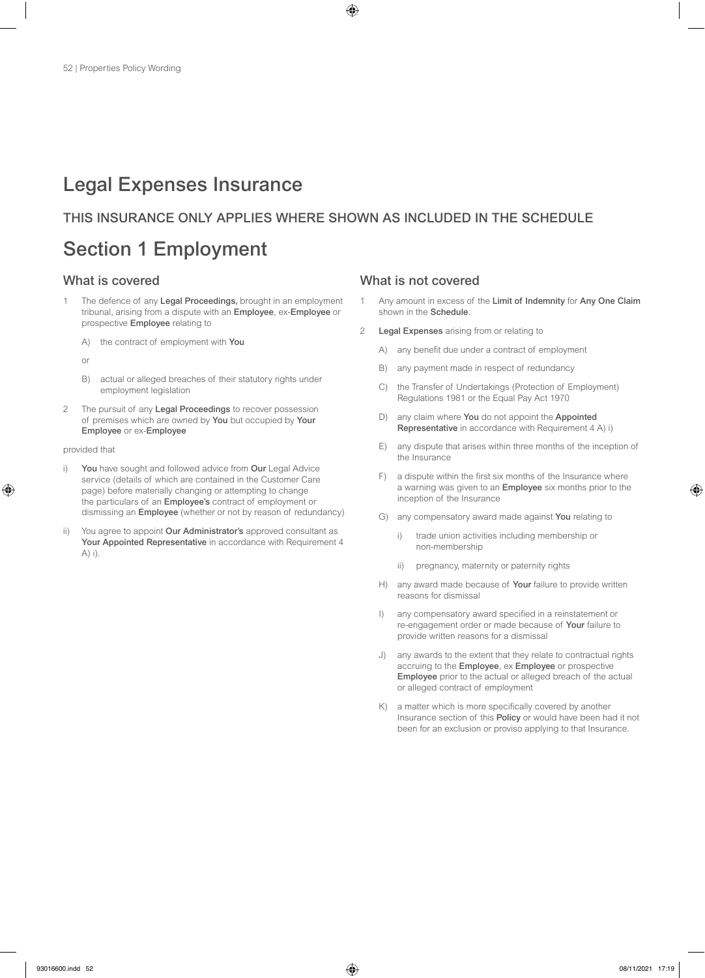# Legal Expenses Insurance

# THIS INSURANCE ONLY APPLIES WHERE SHOWN AS INCLUDED IN THE SCHEDULE

# Section 1 Employment

- 1 The defence of any Legal Proceedings, brought in an employment tribunal, arising from a dispute with an Employee, ex-Employee or prospective Employee relating to
	- A) the contract of employment with You

or

- B) actual or alleged breaches of their statutory rights under employment legislation
- 2 The pursuit of any Legal Proceedings to recover possession of premises which are owned by You but occupied by Your Employee or ex-Employee

provided that

- i) You have sought and followed advice from Our Legal Advice service (details of which are contained in the Customer Care page) before materially changing or attempting to change the particulars of an Employee's contract of employment or dismissing an Employee (whether or not by reason of redundancy)
- ii) You agree to appoint Our Administrator's approved consultant as Your Appointed Representative in accordance with Requirement 4 A) i).

- 1 Any amount in excess of the Limit of Indemnity for Any One Claim shown in the Schedule.
- Legal Expenses arising from or relating to
	- A) any benefit due under a contract of employment
	- B) any payment made in respect of redundancy
	- C) the Transfer of Undertakings (Protection of Employment) Regulations 1981 or the Equal Pay Act 1970
	- D) any claim where You do not appoint the Appointed Representative in accordance with Requirement 4 A) i)
	- E) any dispute that arises within three months of the inception of the Insurance
	- F) a dispute within the first six months of the Insurance where a warning was given to an Employee six months prior to the inception of the Insurance
	- G) any compensatory award made against You relating to
		- i) trade union activities including membership or non-membership
		- ii) pregnancy, maternity or paternity rights
	- H) any award made because of Your failure to provide written reasons for dismissal
	- I) any compensatory award specified in a reinstatement or re-engagement order or made because of Your failure to provide written reasons for a dismissal
	- J) any awards to the extent that they relate to contractual rights accruing to the Employee, ex Employee or prospective Employee prior to the actual or alleged breach of the actual or alleged contract of employment
	- K) a matter which is more specifically covered by another Insurance section of this Policy or would have been had it not been for an exclusion or proviso applying to that Insurance.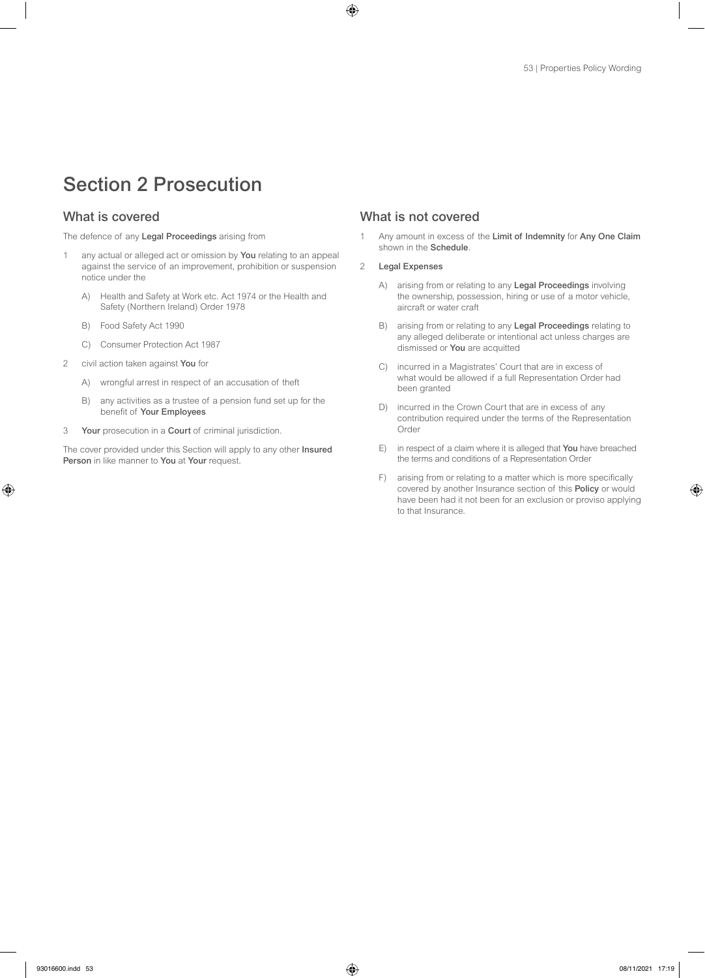# Section 2 Prosecution

The defence of any Legal Proceedings arising from

- 1 any actual or alleged act or omission by You relating to an appeal against the service of an improvement, prohibition or suspension notice under the
	- A) Health and Safety at Work etc. Act 1974 or the Health and Safety (Northern Ireland) Order 1978
	- B) Food Safety Act 1990
	- C) Consumer Protection Act 1987
- 2 civil action taken against You for
	- A) wrongful arrest in respect of an accusation of theft
	- B) any activities as a trustee of a pension fund set up for the benefit of Your Employees
- 3 Your prosecution in a Court of criminal jurisdiction.

The cover provided under this Section will apply to any other Insured Person in like manner to You at Your request.

# What is covered What is not covered

1 Any amount in excess of the Limit of Indemnity for Any One Claim shown in the Schedule.

### 2 Legal Expenses

- A) arising from or relating to any Legal Proceedings involving the ownership, possession, hiring or use of a motor vehicle, aircraft or water craft
- B) arising from or relating to any Legal Proceedings relating to any alleged deliberate or intentional act unless charges are dismissed or You are acquitted
- C) incurred in a Magistrates' Court that are in excess of what would be allowed if a full Representation Order had been granted
- D) incurred in the Crown Court that are in excess of any contribution required under the terms of the Representation Order
- E) in respect of a claim where it is alleged that You have breached the terms and conditions of a Representation Order
- F) arising from or relating to a matter which is more specifically covered by another Insurance section of this Policy or would have been had it not been for an exclusion or proviso applying to that Insurance.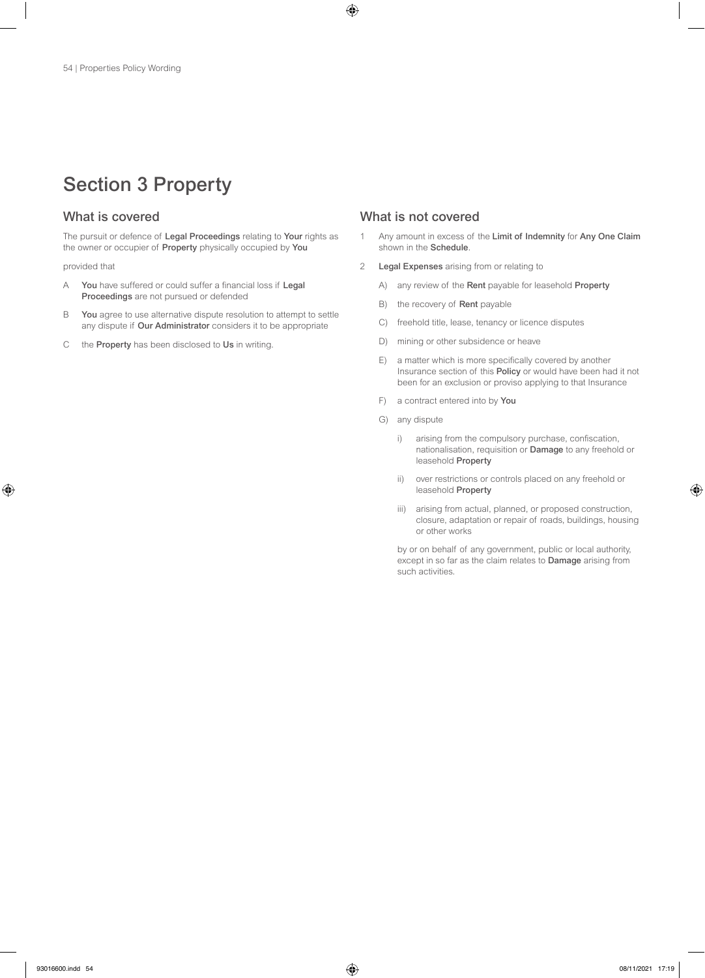# Section 3 Property

The pursuit or defence of Legal Proceedings relating to Your rights as the owner or occupier of Property physically occupied by You

provided that

- A You have suffered or could suffer a financial loss if Legal Proceedings are not pursued or defended
- B You agree to use alternative dispute resolution to attempt to settle any dispute if Our Administrator considers it to be appropriate
- C the Property has been disclosed to Us in writing.

# What is covered What is not covered

- 1 Any amount in excess of the Limit of Indemnity for Any One Claim shown in the Schedule.
- 2 Legal Expenses arising from or relating to
	- A) any review of the Rent payable for leasehold Property
	- B) the recovery of Rent payable
	- C) freehold title, lease, tenancy or licence disputes
	- D) mining or other subsidence or heave
	- E) a matter which is more specifically covered by another Insurance section of this Policy or would have been had it not been for an exclusion or proviso applying to that Insurance
	- F) a contract entered into by You
	- G) any dispute
		- i) arising from the compulsory purchase, confiscation, nationalisation, requisition or Damage to any freehold or leasehold Property
		- ii) over restrictions or controls placed on any freehold or leasehold Property
		- iii) arising from actual, planned, or proposed construction, closure, adaptation or repair of roads, buildings, housing or other works

by or on behalf of any government, public or local authority, except in so far as the claim relates to Damage arising from such activities.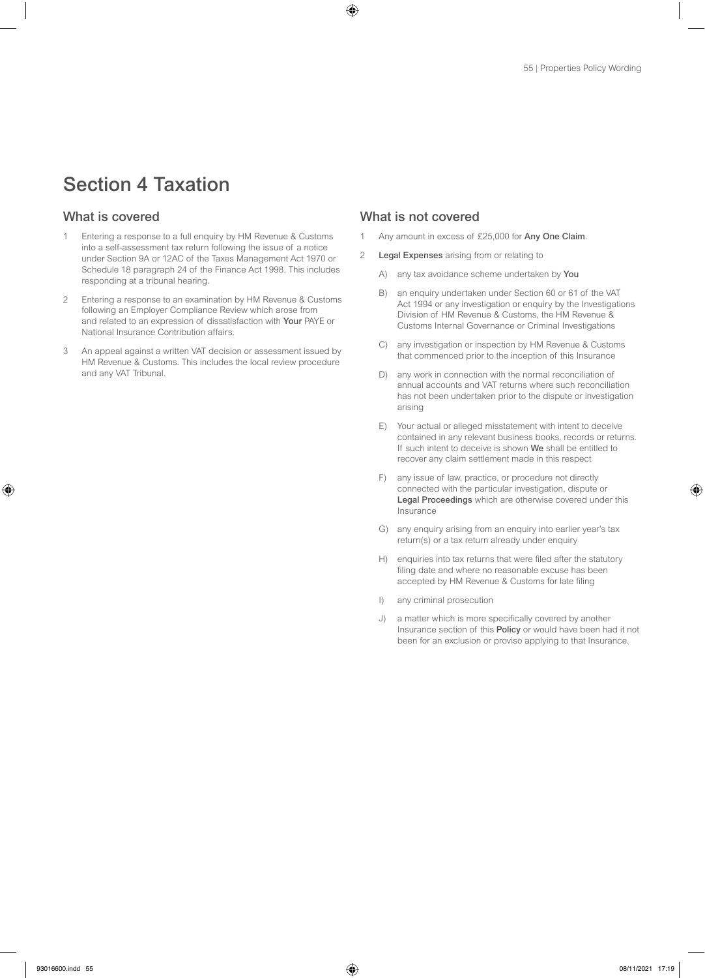# Section 4 Taxation

- 1 Entering a response to a full enquiry by HM Revenue & Customs into a self-assessment tax return following the issue of a notice under Section 9A or 12AC of the Taxes Management Act 1970 or Schedule 18 paragraph 24 of the Finance Act 1998. This includes responding at a tribunal hearing.
- 2 Entering a response to an examination by HM Revenue & Customs following an Employer Compliance Review which arose from and related to an expression of dissatisfaction with Your PAYE or National Insurance Contribution affairs.
- 3 An appeal against a written VAT decision or assessment issued by HM Revenue & Customs. This includes the local review procedure and any VAT Tribunal.

- 1 Any amount in excess of £25,000 for Any One Claim.
- 2 Legal Expenses arising from or relating to
	- A) any tax avoidance scheme undertaken by You
	- B) an enquiry undertaken under Section 60 or 61 of the VAT Act 1994 or any investigation or enquiry by the Investigations Division of HM Revenue & Customs, the HM Revenue & Customs Internal Governance or Criminal Investigations
	- C) any investigation or inspection by HM Revenue & Customs that commenced prior to the inception of this Insurance
	- D) any work in connection with the normal reconciliation of annual accounts and VAT returns where such reconciliation has not been undertaken prior to the dispute or investigation arising
	- E) Your actual or alleged misstatement with intent to deceive contained in any relevant business books, records or returns. If such intent to deceive is shown We shall be entitled to recover any claim settlement made in this respect
	- F) any issue of law, practice, or procedure not directly connected with the particular investigation, dispute or Legal Proceedings which are otherwise covered under this Insurance
	- G) any enquiry arising from an enquiry into earlier year's tax return(s) or a tax return already under enquiry
	- H) enquiries into tax returns that were filed after the statutory filing date and where no reasonable excuse has been accepted by HM Revenue & Customs for late filing
	- I) any criminal prosecution
	- J) a matter which is more specifically covered by another Insurance section of this Policy or would have been had it not been for an exclusion or proviso applying to that Insurance.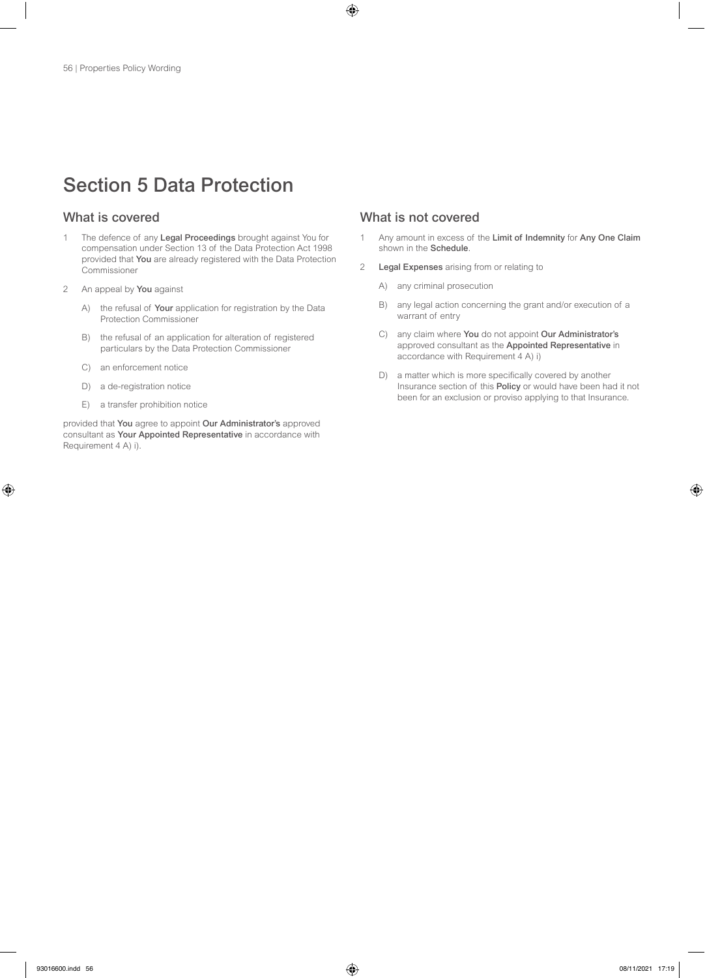# Section 5 Data Protection

- 1 The defence of any Legal Proceedings brought against You for compensation under Section 13 of the Data Protection Act 1998 provided that You are already registered with the Data Protection Commissioner
- 2 An appeal by You against
	- A) the refusal of Your application for registration by the Data Protection Commissioner
	- B) the refusal of an application for alteration of registered particulars by the Data Protection Commissioner
	- C) an enforcement notice
	- D) a de-registration notice
	- E) a transfer prohibition notice

provided that You agree to appoint Our Administrator's approved consultant as Your Appointed Representative in accordance with Requirement 4 A) i).

- 1 Any amount in excess of the Limit of Indemnity for Any One Claim shown in the Schedule.
- 2 Legal Expenses arising from or relating to
	- A) any criminal prosecution
	- B) any legal action concerning the grant and/or execution of a warrant of entry
	- C) any claim where You do not appoint Our Administrator's approved consultant as the Appointed Representative in accordance with Requirement 4 A) i)
	- D) a matter which is more specifically covered by another Insurance section of this Policy or would have been had it not been for an exclusion or proviso applying to that Insurance.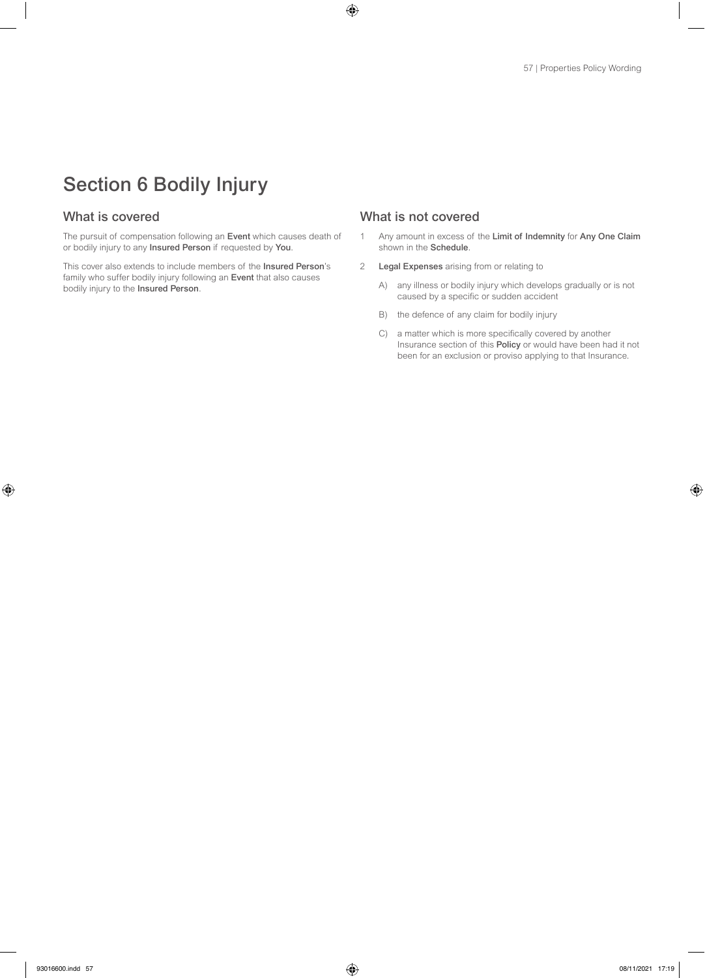# Section 6 Bodily Injury

The pursuit of compensation following an Event which causes death of or bodily injury to any Insured Person if requested by You.

This cover also extends to include members of the Insured Person's family who suffer bodily injury following an Event that also causes bodily injury to the Insured Person.

- 1 Any amount in excess of the Limit of Indemnity for Any One Claim shown in the Schedule.
- 2 Legal Expenses arising from or relating to
	- A) any illness or bodily injury which develops gradually or is not caused by a specific or sudden accident
	- B) the defence of any claim for bodily injury
	- C) a matter which is more specifically covered by another Insurance section of this Policy or would have been had it not been for an exclusion or proviso applying to that Insurance.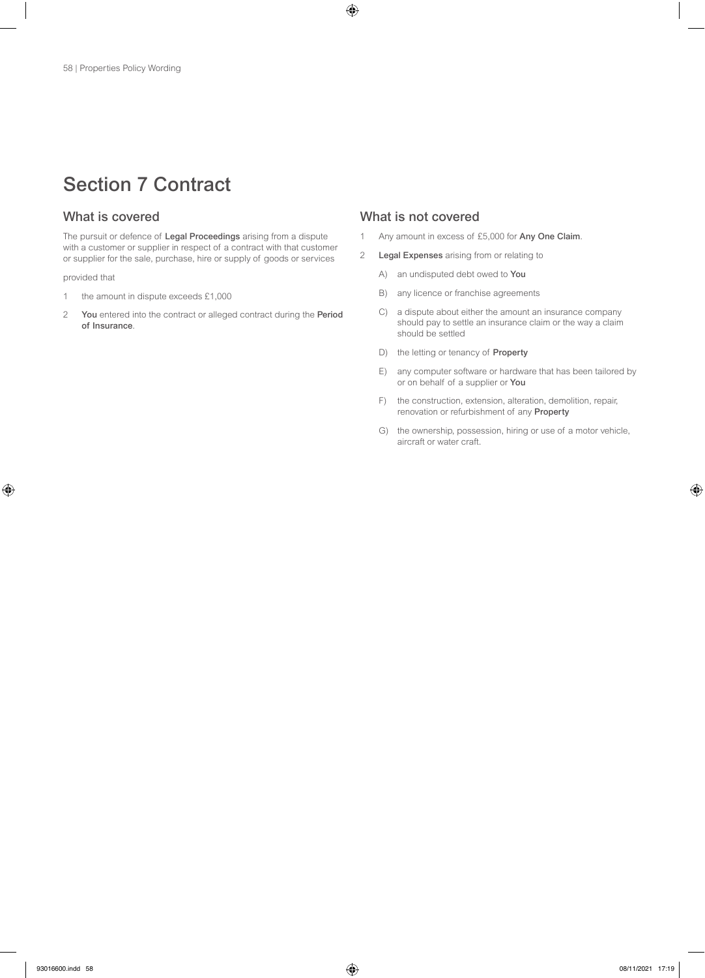# Section 7 Contract

The pursuit or defence of Legal Proceedings arising from a dispute with a customer or supplier in respect of a contract with that customer or supplier for the sale, purchase, hire or supply of goods or services

provided that

- 1 the amount in dispute exceeds £1,000
- 2 You entered into the contract or alleged contract during the Period of Insurance.

- 1 Any amount in excess of £5,000 for Any One Claim.
- 2 Legal Expenses arising from or relating to
	- A) an undisputed debt owed to You
	- B) any licence or franchise agreements
	- C) a dispute about either the amount an insurance company should pay to settle an insurance claim or the way a claim should be settled
	- D) the letting or tenancy of **Property**
	- E) any computer software or hardware that has been tailored by or on behalf of a supplier or You
	- F) the construction, extension, alteration, demolition, repair, renovation or refurbishment of any Property
	- G) the ownership, possession, hiring or use of a motor vehicle, aircraft or water craft.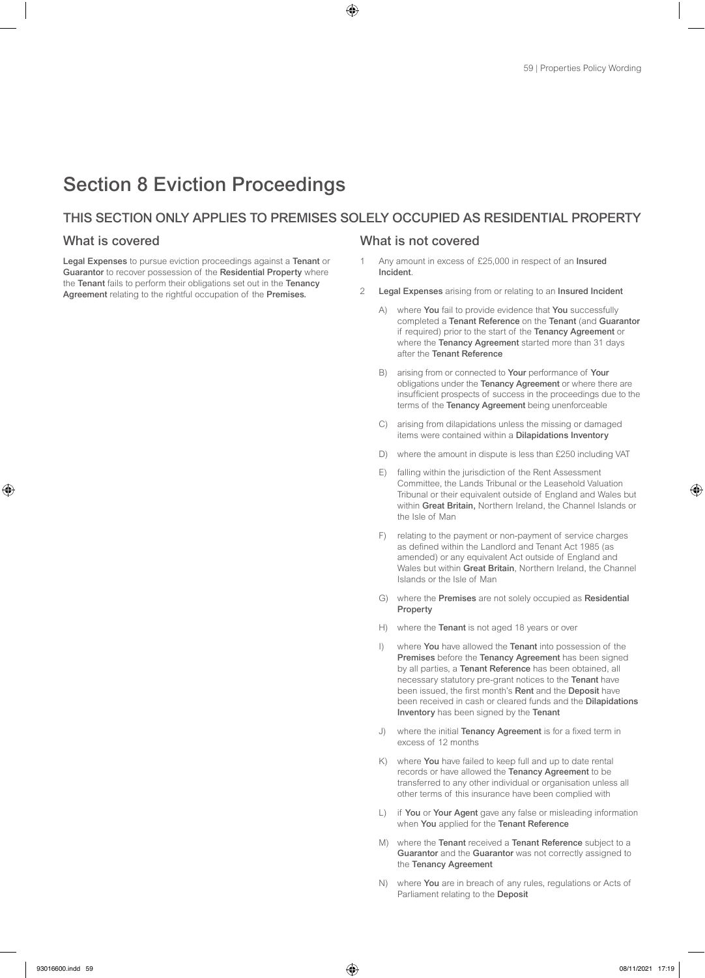# Section 8 Eviction Proceedings

# THIS SECTION ONLY APPLIES TO PREMISES SOLELY OCCUPIED AS RESIDENTIAL PROPERTY

Legal Expenses to pursue eviction proceedings against a Tenant or Guarantor to recover possession of the Residential Property where the Tenant fails to perform their obligations set out in the Tenancy Agreement relating to the rightful occupation of the Premises.

- 1 Any amount in excess of £25,000 in respect of an Insured Incident.
- 2 Legal Expenses arising from or relating to an Insured Incident
	- A) where You fail to provide evidence that You successfully completed a Tenant Reference on the Tenant (and Guarantor if required) prior to the start of the Tenancy Agreement or where the **Tenancy Agreement** started more than 31 days after the Tenant Reference
	- B) arising from or connected to Your performance of Your obligations under the Tenancy Agreement or where there are insufficient prospects of success in the proceedings due to the terms of the Tenancy Agreement being unenforceable
	- C) arising from dilapidations unless the missing or damaged items were contained within a Dilapidations Inventory
	- D) where the amount in dispute is less than £250 including VAT
	- E) falling within the jurisdiction of the Rent Assessment Committee, the Lands Tribunal or the Leasehold Valuation Tribunal or their equivalent outside of England and Wales but within Great Britain, Northern Ireland, the Channel Islands or the Isle of Man
	- F) relating to the payment or non-payment of service charges as defined within the Landlord and Tenant Act 1985 (as amended) or any equivalent Act outside of England and Wales but within Great Britain, Northern Ireland, the Channel Islands or the Isle of Man
	- G) where the Premises are not solely occupied as Residential Property
	- H) where the Tenant is not aged 18 years or over
	- I) where You have allowed the Tenant into possession of the Premises before the Tenancy Agreement has been signed by all parties, a Tenant Reference has been obtained, all necessary statutory pre-grant notices to the Tenant have been issued, the first month's Rent and the Deposit have been received in cash or cleared funds and the Dilapidations Inventory has been signed by the Tenant
	- J) where the initial Tenancy Agreement is for a fixed term in excess of 12 months
	- K) where You have failed to keep full and up to date rental records or have allowed the Tenancy Agreement to be transferred to any other individual or organisation unless all other terms of this insurance have been complied with
	- L) if You or Your Agent gave any false or misleading information when You applied for the Tenant Reference
	- M) where the Tenant received a Tenant Reference subject to a Guarantor and the Guarantor was not correctly assigned to the Tenancy Agreement
	- N) where You are in breach of any rules, regulations or Acts of Parliament relating to the Deposit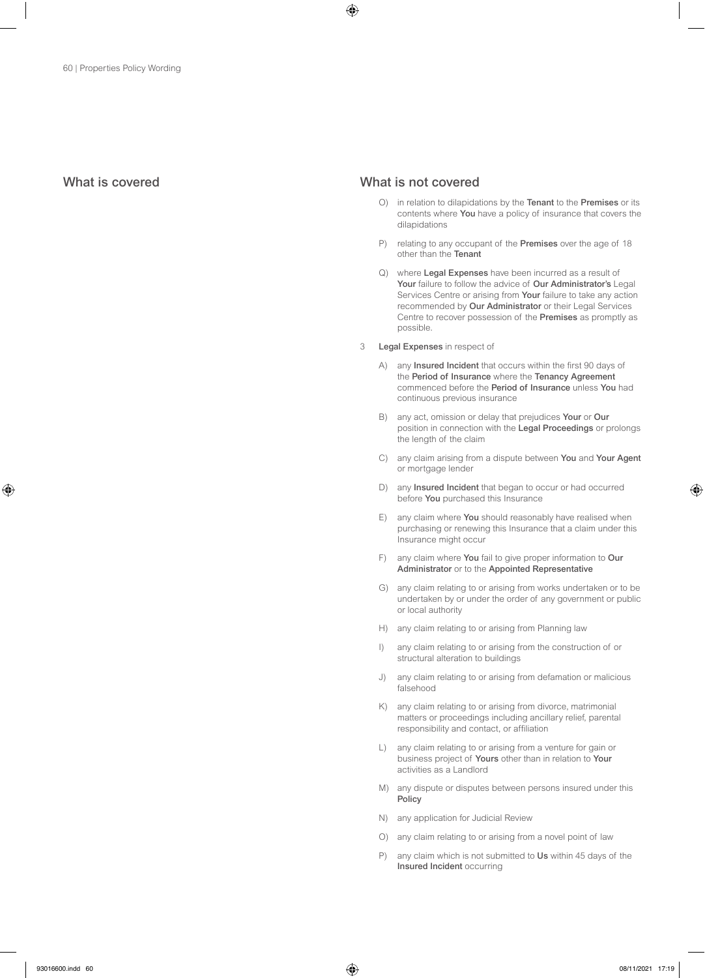- O) in relation to dilapidations by the Tenant to the Premises or its contents where You have a policy of insurance that covers the dilapidations
- P) relating to any occupant of the Premises over the age of 18 other than the Tenant
- Q) where Legal Expenses have been incurred as a result of Your failure to follow the advice of Our Administrator's Legal Services Centre or arising from Your failure to take any action recommended by Our Administrator or their Legal Services Centre to recover possession of the Premises as promptly as possible.
- 3 Legal Expenses in respect of
	- A) any **Insured Incident** that occurs within the first 90 days of the Period of Insurance where the Tenancy Agreement commenced before the Period of Insurance unless You had continuous previous insurance
	- B) any act, omission or delay that prejudices Your or Our position in connection with the Legal Proceedings or prolongs the length of the claim
	- C) any claim arising from a dispute between You and Your Agent or mortgage lender
	- D) any Insured Incident that began to occur or had occurred before You purchased this Insurance
	- E) any claim where You should reasonably have realised when purchasing or renewing this Insurance that a claim under this Insurance might occur
	- F) any claim where You fail to give proper information to Our Administrator or to the Appointed Representative
	- G) any claim relating to or arising from works undertaken or to be undertaken by or under the order of any government or public or local authority
	- H) any claim relating to or arising from Planning law
	- I) any claim relating to or arising from the construction of or structural alteration to buildings
	- J) any claim relating to or arising from defamation or malicious falsehood
	- K) any claim relating to or arising from divorce, matrimonial matters or proceedings including ancillary relief, parental responsibility and contact, or affiliation
	- L) any claim relating to or arising from a venture for gain or business project of Yours other than in relation to Your activities as a Landlord
	- M) any dispute or disputes between persons insured under this Policy
	- N) any application for Judicial Review
	- O) any claim relating to or arising from a novel point of law
	- P) any claim which is not submitted to Us within 45 days of the Insured Incident occurring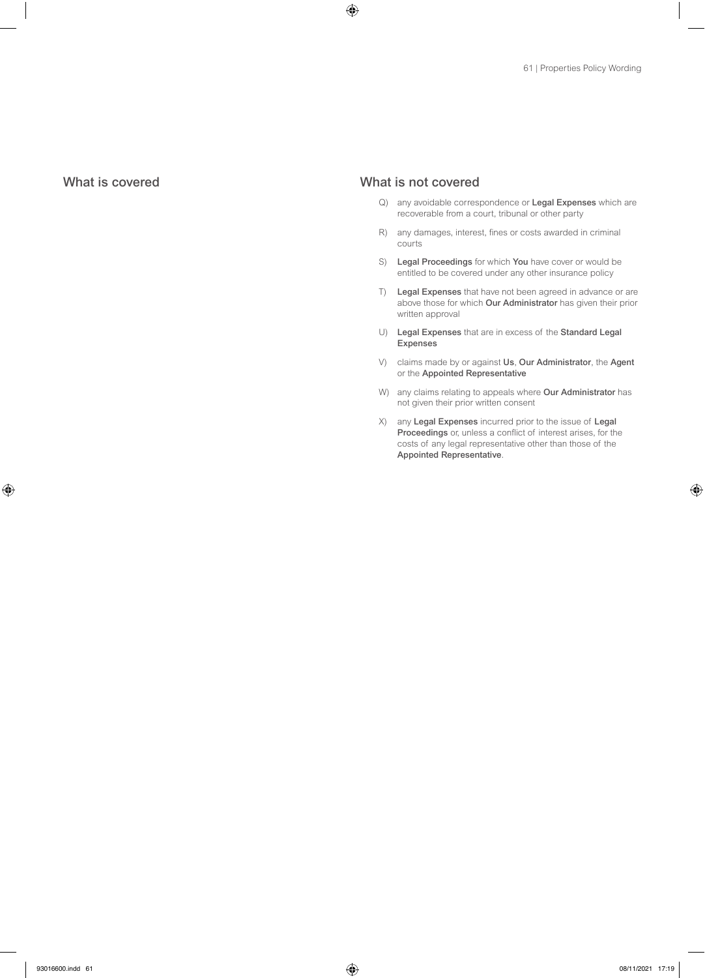- Q) any avoidable correspondence or Legal Expenses which are recoverable from a court, tribunal or other party
- R) any damages, interest, fines or costs awarded in criminal courts
- S) Legal Proceedings for which You have cover or would be entitled to be covered under any other insurance policy
- T) Legal Expenses that have not been agreed in advance or are above those for which Our Administrator has given their prior written approval
- U) Legal Expenses that are in excess of the Standard Legal Expenses
- V) claims made by or against Us, Our Administrator, the Agent or the Appointed Representative
- W) any claims relating to appeals where Our Administrator has not given their prior written consent
- X) any Legal Expenses incurred prior to the issue of Legal Proceedings or, unless a conflict of interest arises, for the costs of any legal representative other than those of the Appointed Representative.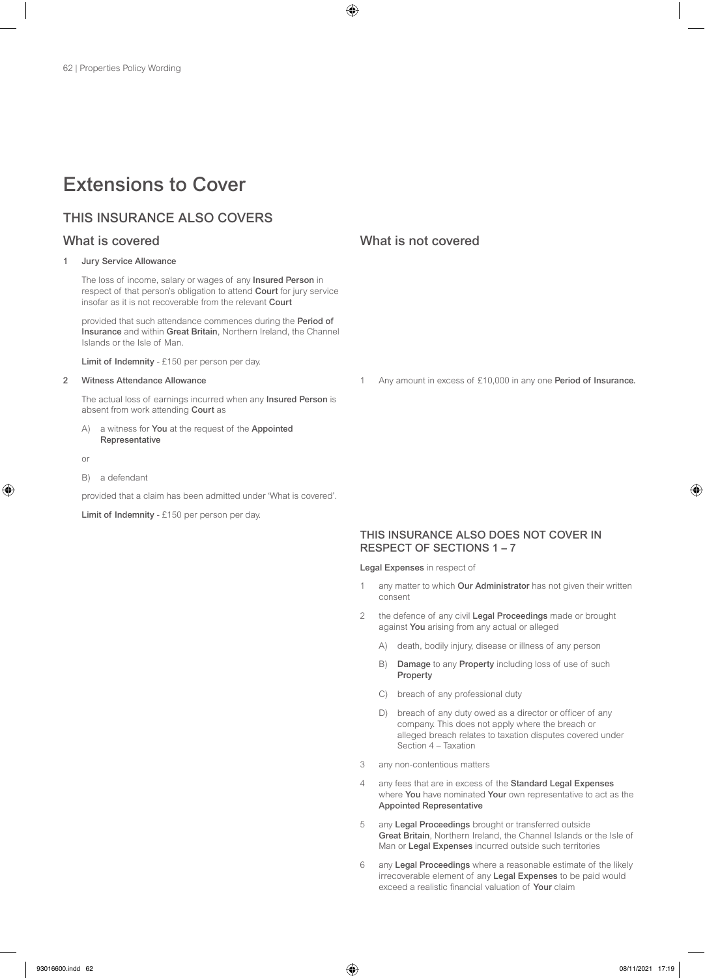# Extensions to Cover

# THIS INSURANCE ALSO COVERS

### 1 Jury Service Allowance

The loss of income, salary or wages of any Insured Person in respect of that person's obligation to attend Court for jury service insofar as it is not recoverable from the relevant Court

provided that such attendance commences during the Period of Insurance and within Great Britain, Northern Ireland, the Channel Islands or the Isle of Man.

Limit of Indemnity - £150 per person per day.

## 2 Witness Attendance Allowance

The actual loss of earnings incurred when any Insured Person is absent from work attending Court as

a witness for You at the request of the Appointed Representative

or

B) a defendant

provided that a claim has been admitted under 'What is covered'.

Limit of Indemnity - £150 per person per day.

# What is covered What is not covered

Any amount in excess of £10,000 in any one Period of Insurance.

# THIS INSURANCE ALSO DOES NOT COVER IN RESPECT OF SECTIONS 1 – 7

Legal Expenses in respect of

- any matter to which Our Administrator has not given their written consent
- 2 the defence of any civil Legal Proceedings made or brought against You arising from any actual or alleged
	- A) death, bodily injury, disease or illness of any person
	- B) Damage to any Property including loss of use of such Property
	- C) breach of any professional duty
	- D) breach of any duty owed as a director or officer of any company. This does not apply where the breach or alleged breach relates to taxation disputes covered under Section 4 – Taxation
- 3 any non-contentious matters
- 4 any fees that are in excess of the Standard Legal Expenses where You have nominated Your own representative to act as the Appointed Representative
- 5 any Legal Proceedings brought or transferred outside Great Britain, Northern Ireland, the Channel Islands or the Isle of Man or Legal Expenses incurred outside such territories
- 6 any Legal Proceedings where a reasonable estimate of the likely irrecoverable element of any Legal Expenses to be paid would exceed a realistic financial valuation of Your claim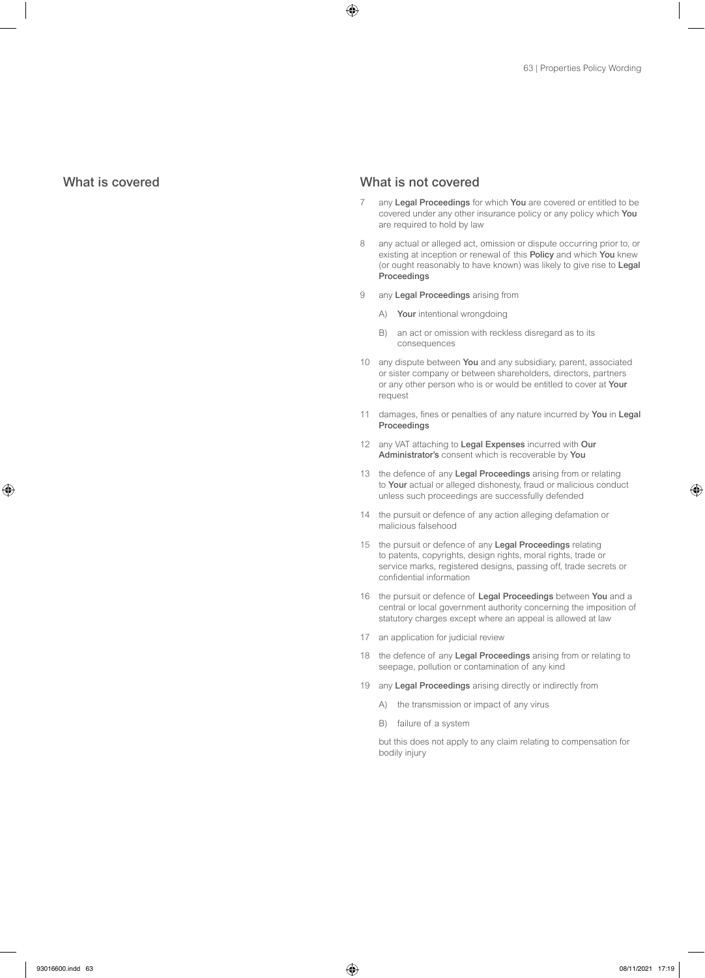# What is covered What is not covered

- 7 any Legal Proceedings for which You are covered or entitled to be covered under any other insurance policy or any policy which You are required to hold by law
- 8 any actual or alleged act, omission or dispute occurring prior to, or existing at inception or renewal of this Policy and which You knew (or ought reasonably to have known) was likely to give rise to Legal Proceedings
- 9 any Legal Proceedings arising from
	- A) Your intentional wrongdoing
	- B) an act or omission with reckless disregard as to its consequences
- 10 any dispute between You and any subsidiary, parent, associated or sister company or between shareholders, directors, partners or any other person who is or would be entitled to cover at Your request
- 11 damages, fines or penalties of any nature incurred by You in Legal Proceedings
- 12 any VAT attaching to Legal Expenses incurred with Our Administrator's consent which is recoverable by You
- 13 the defence of any Legal Proceedings arising from or relating to Your actual or alleged dishonesty, fraud or malicious conduct unless such proceedings are successfully defended
- 14 the pursuit or defence of any action alleging defamation or malicious falsehood
- 15 the pursuit or defence of any Legal Proceedings relating to patents, copyrights, design rights, moral rights, trade or service marks, registered designs, passing off, trade secrets or confidential information
- 16 the pursuit or defence of Legal Proceedings between You and a central or local government authority concerning the imposition of statutory charges except where an appeal is allowed at law
- 17 an application for judicial review
- 18 the defence of any Legal Proceedings arising from or relating to seepage, pollution or contamination of any kind
- 19 any Legal Proceedings arising directly or indirectly from
	- A) the transmission or impact of any virus
	- B) failure of a system

but this does not apply to any claim relating to compensation for bodily injury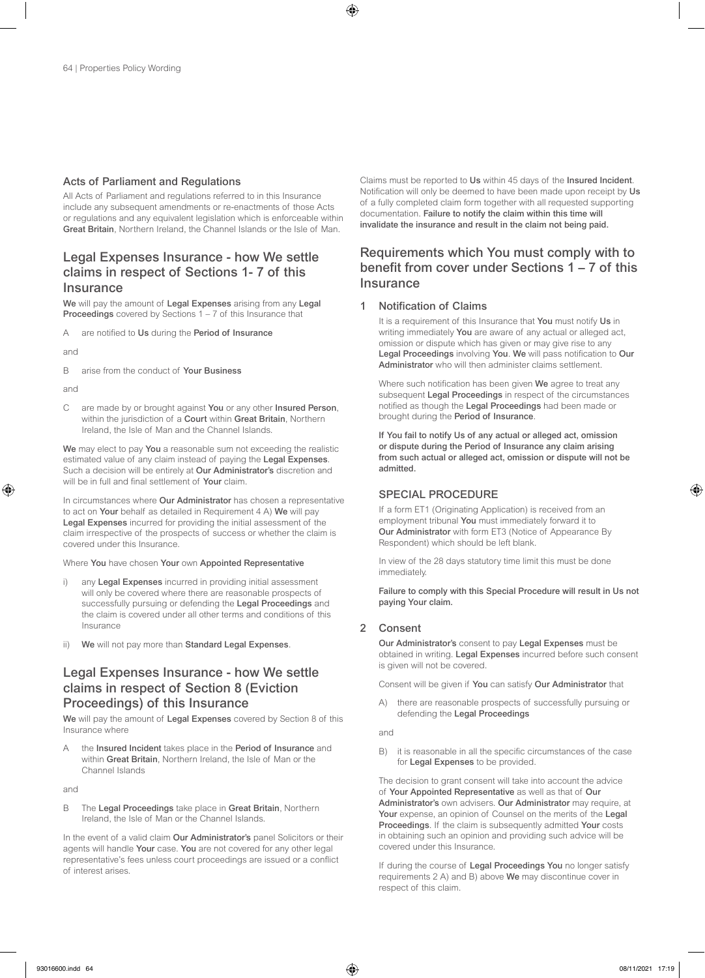## Acts of Parliament and Regulations

All Acts of Parliament and regulations referred to in this Insurance include any subsequent amendments or re-enactments of those Acts or regulations and any equivalent legislation which is enforceable within Great Britain, Northern Ireland, the Channel Islands or the Isle of Man.

# Legal Expenses Insurance - how We settle claims in respect of Sections 1- 7 of this **Insurance**

We will pay the amount of Legal Expenses arising from any Legal Proceedings covered by Sections 1 – 7 of this Insurance that

A are notified to Us during the Period of Insurance

and

B arise from the conduct of Your Business

and

C are made by or brought against You or any other Insured Person, within the jurisdiction of a Court within Great Britain, Northern Ireland, the Isle of Man and the Channel Islands.

We may elect to pay You a reasonable sum not exceeding the realistic estimated value of any claim instead of paying the Legal Expenses. Such a decision will be entirely at Our Administrator's discretion and will be in full and final settlement of Your claim.

In circumstances where Our Administrator has chosen a representative to act on Your behalf as detailed in Requirement 4 A) We will pay Legal Expenses incurred for providing the initial assessment of the claim irrespective of the prospects of success or whether the claim is covered under this Insurance.

Where You have chosen Your own Appointed Representative

- any Legal Expenses incurred in providing initial assessment will only be covered where there are reasonable prospects of successfully pursuing or defending the Legal Proceedings and the claim is covered under all other terms and conditions of this Insurance
- We will not pay more than Standard Legal Expenses.

# Legal Expenses Insurance - how We settle claims in respect of Section 8 (Eviction Proceedings) of this Insurance

We will pay the amount of Legal Expenses covered by Section 8 of this Insurance where

A the Insured Incident takes place in the Period of Insurance and within Great Britain, Northern Ireland, the Isle of Man or the Channel Islands

and

B The Legal Proceedings take place in Great Britain, Northern Ireland, the Isle of Man or the Channel Islands.

In the event of a valid claim Our Administrator's panel Solicitors or their agents will handle Your case. You are not covered for any other legal representative's fees unless court proceedings are issued or a conflict of interest arises.

Claims must be reported to Us within 45 days of the Insured Incident. Notification will only be deemed to have been made upon receipt by Us of a fully completed claim form together with all requested supporting documentation. Failure to notify the claim within this time will invalidate the insurance and result in the claim not being paid.

# Requirements which You must comply with to benefit from cover under Sections 1 – 7 of this **Insurance**

## 1 Notification of Claims

It is a requirement of this Insurance that You must notify Us in writing immediately You are aware of any actual or alleged act, omission or dispute which has given or may give rise to any Legal Proceedings involving You. We will pass notification to Our Administrator who will then administer claims settlement.

Where such notification has been given We agree to treat any subsequent Legal Proceedings in respect of the circumstances notified as though the Legal Proceedings had been made or brought during the Period of Insurance.

If You fail to notify Us of any actual or alleged act, omission or dispute during the Period of Insurance any claim arising from such actual or alleged act, omission or dispute will not be admitted.

# SPECIAL PROCEDURE

If a form ET1 (Originating Application) is received from an employment tribunal You must immediately forward it to Our Administrator with form ET3 (Notice of Appearance By Respondent) which should be left blank.

In view of the 28 days statutory time limit this must be done immediately.

Failure to comply with this Special Procedure will result in Us not paying Your claim.

## 2 Consent

Our Administrator's consent to pay Legal Expenses must be obtained in writing. Legal Expenses incurred before such consent is given will not be covered.

Consent will be given if You can satisfy Our Administrator that

A) there are reasonable prospects of successfully pursuing or defending the Legal Proceedings

and

B) it is reasonable in all the specific circumstances of the case for Legal Expenses to be provided.

The decision to grant consent will take into account the advice of Your Appointed Representative as well as that of Our Administrator's own advisers. Our Administrator may require, at Your expense, an opinion of Counsel on the merits of the Legal Proceedings. If the claim is subsequently admitted Your costs in obtaining such an opinion and providing such advice will be covered under this Insurance.

If during the course of Legal Proceedings You no longer satisfy requirements 2 A) and B) above We may discontinue cover in respect of this claim.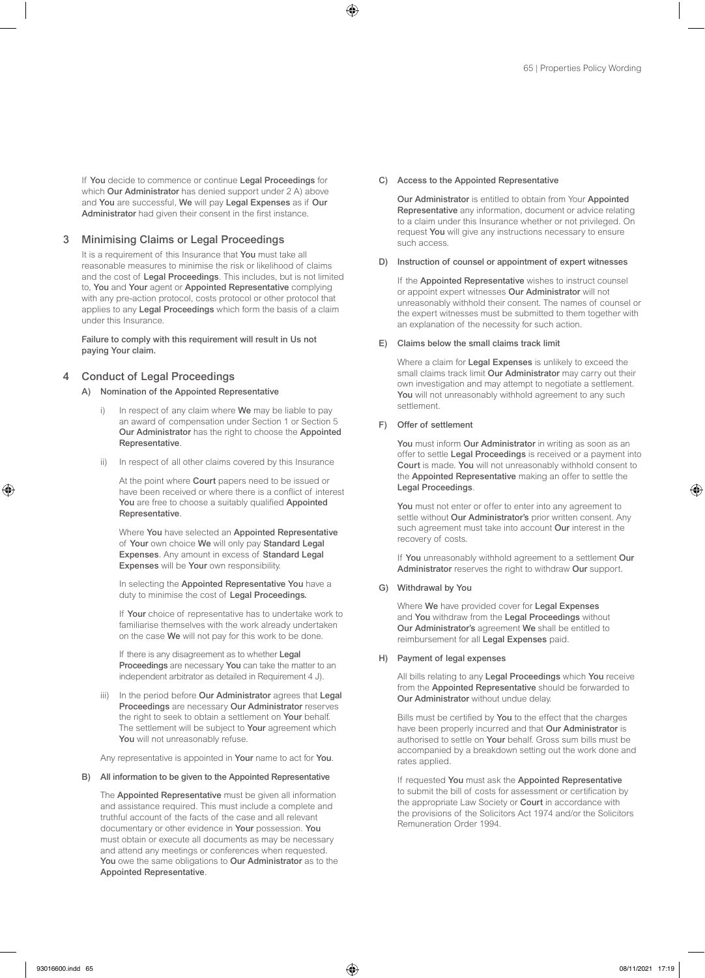If You decide to commence or continue Legal Proceedings for which **Our Administrator** has denied support under 2 A) above and You are successful, We will pay Legal Expenses as if Our Administrator had given their consent in the first instance.

## 3 Minimising Claims or Legal Proceedings

It is a requirement of this Insurance that You must take all reasonable measures to minimise the risk or likelihood of claims and the cost of Legal Proceedings. This includes, but is not limited to, You and Your agent or Appointed Representative complying with any pre-action protocol, costs protocol or other protocol that applies to any Legal Proceedings which form the basis of a claim under this Insurance.

Failure to comply with this requirement will result in Us not paying Your claim.

# **Conduct of Legal Proceedings**

### A) Nomination of the Appointed Representative

- In respect of any claim where We may be liable to pay an award of compensation under Section 1 or Section 5 Our Administrator has the right to choose the Appointed Representative.
- ii) In respect of all other claims covered by this Insurance

At the point where **Court** papers need to be issued or have been received or where there is a conflict of interest You are free to choose a suitably qualified Appointed Representative.

Where You have selected an Appointed Representative of Your own choice We will only pay Standard Legal Expenses. Any amount in excess of Standard Legal Expenses will be Your own responsibility.

In selecting the Appointed Representative You have a duty to minimise the cost of Legal Proceedings.

If Your choice of representative has to undertake work to familiarise themselves with the work already undertaken on the case We will not pay for this work to be done.

If there is any disagreement as to whether Legal Proceedings are necessary You can take the matter to an independent arbitrator as detailed in Requirement 4 J).

iii) In the period before Our Administrator agrees that Legal Proceedings are necessary Our Administrator reserves the right to seek to obtain a settlement on Your behalf. The settlement will be subject to Your agreement which You will not unreasonably refuse.

Any representative is appointed in Your name to act for You.

## B) All information to be given to the Appointed Representative

The Appointed Representative must be given all information and assistance required. This must include a complete and truthful account of the facts of the case and all relevant documentary or other evidence in Your possession. You must obtain or execute all documents as may be necessary and attend any meetings or conferences when requested. You owe the same obligations to Our Administrator as to the Appointed Representative.

### C) Access to the Appointed Representative

Our Administrator is entitled to obtain from Your Appointed Representative any information, document or advice relating to a claim under this Insurance whether or not privileged. On request You will give any instructions necessary to ensure such access.

### D) Instruction of counsel or appointment of expert witnesses

If the Appointed Representative wishes to instruct counsel or appoint expert witnesses Our Administrator will not unreasonably withhold their consent. The names of counsel or the expert witnesses must be submitted to them together with an explanation of the necessity for such action.

### E) Claims below the small claims track limit

Where a claim for Legal Expenses is unlikely to exceed the small claims track limit Our Administrator may carry out their own investigation and may attempt to negotiate a settlement. You will not unreasonably withhold agreement to any such settlement.

### F) Offer of settlement

You must inform Our Administrator in writing as soon as an offer to settle Legal Proceedings is received or a payment into Court is made. You will not unreasonably withhold consent to the Appointed Representative making an offer to settle the Legal Proceedings.

You must not enter or offer to enter into any agreement to settle without Our Administrator's prior written consent. Any such agreement must take into account **Our** interest in the recovery of costs.

If You unreasonably withhold agreement to a settlement Our Administrator reserves the right to withdraw Our support.

### G) Withdrawal by You

Where We have provided cover for Legal Expenses and You withdraw from the Legal Proceedings without Our Administrator's agreement We shall be entitled to reimbursement for all Legal Expenses paid.

### H) Payment of legal expenses

All bills relating to any Legal Proceedings which You receive from the Appointed Representative should be forwarded to Our Administrator without undue delay.

Bills must be certified by You to the effect that the charges have been properly incurred and that Our Administrator is authorised to settle on Your behalf. Gross sum bills must be accompanied by a breakdown setting out the work done and rates applied.

If requested You must ask the Appointed Representative to submit the bill of costs for assessment or certification by the appropriate Law Society or Court in accordance with the provisions of the Solicitors Act 1974 and/or the Solicitors Remuneration Order 1994.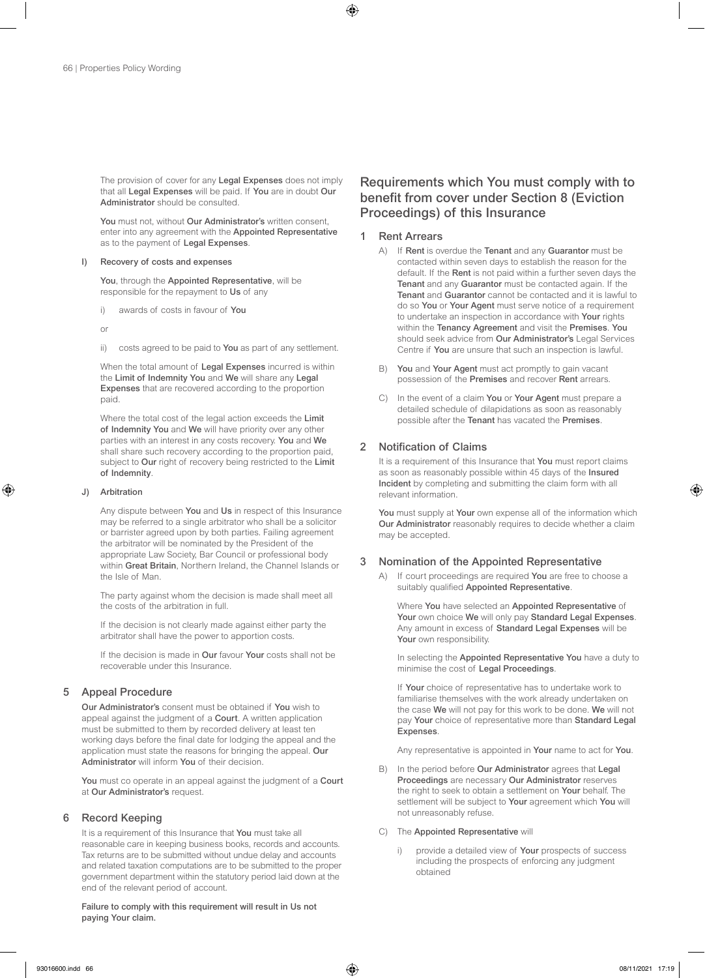The provision of cover for any Legal Expenses does not imply that all Legal Expenses will be paid. If You are in doubt Our Administrator should be consulted.

You must not, without Our Administrator's written consent, enter into any agreement with the Appointed Representative as to the payment of Legal Expenses.

### I) Recovery of costs and expenses

You, through the Appointed Representative, will be responsible for the repayment to Us of any

i) awards of costs in favour of You

or

ii) costs agreed to be paid to You as part of any settlement.

When the total amount of Legal Expenses incurred is within the Limit of Indemnity You and We will share any Legal Expenses that are recovered according to the proportion paid.

Where the total cost of the legal action exceeds the Limit of Indemnity You and We will have priority over any other parties with an interest in any costs recovery. You and We shall share such recovery according to the proportion paid, subject to Our right of recovery being restricted to the Limit of Indemnity.

### J) Arbitration

Any dispute between You and Us in respect of this Insurance may be referred to a single arbitrator who shall be a solicitor or barrister agreed upon by both parties. Failing agreement the arbitrator will be nominated by the President of the appropriate Law Society, Bar Council or professional body within Great Britain, Northern Ireland, the Channel Islands or the Isle of Man.

The party against whom the decision is made shall meet all the costs of the arbitration in full.

If the decision is not clearly made against either party the arbitrator shall have the power to apportion costs.

If the decision is made in Our favour Your costs shall not be recoverable under this Insurance.

# 5 Appeal Procedure

Our Administrator's consent must be obtained if You wish to appeal against the judgment of a Court. A written application must be submitted to them by recorded delivery at least ten working days before the final date for lodging the appeal and the application must state the reasons for bringing the appeal. Our Administrator will inform You of their decision.

You must co operate in an appeal against the judgment of a Court at Our Administrator's request.

## 6 Record Keeping

It is a requirement of this Insurance that You must take all reasonable care in keeping business books, records and accounts. Tax returns are to be submitted without undue delay and accounts and related taxation computations are to be submitted to the proper government department within the statutory period laid down at the end of the relevant period of account.

Failure to comply with this requirement will result in Us not paying Your claim.

# Requirements which You must comply with to benefit from cover under Section 8 (Eviction Proceedings) of this Insurance

# 1 Rent Arrears

- A) If Rent is overdue the Tenant and any Guarantor must be contacted within seven days to establish the reason for the default. If the Rent is not paid within a further seven days the Tenant and any Guarantor must be contacted again. If the Tenant and Guarantor cannot be contacted and it is lawful to do so You or Your Agent must serve notice of a requirement to undertake an inspection in accordance with Your rights within the Tenancy Agreement and visit the Premises. You should seek advice from Our Administrator's Legal Services Centre if You are unsure that such an inspection is lawful.
- B) You and Your Agent must act promptly to gain vacant possession of the Premises and recover Rent arrears.
- C) In the event of a claim You or Your Agent must prepare a detailed schedule of dilapidations as soon as reasonably possible after the Tenant has vacated the Premises.

# 2 Notification of Claims

It is a requirement of this Insurance that You must report claims as soon as reasonably possible within 45 days of the Insured Incident by completing and submitting the claim form with all relevant information.

You must supply at Your own expense all of the information which Our Administrator reasonably requires to decide whether a claim may be accepted.

# 3 Nomination of the Appointed Representative

A) If court proceedings are required You are free to choose a suitably qualified Appointed Representative.

Where You have selected an Appointed Representative of Your own choice We will only pay Standard Legal Expenses. Any amount in excess of Standard Legal Expenses will be Your own responsibility.

In selecting the Appointed Representative You have a duty to minimise the cost of Legal Proceedings.

If Your choice of representative has to undertake work to familiarise themselves with the work already undertaken on the case We will not pay for this work to be done. We will not pay Your choice of representative more than Standard Legal Expenses.

Any representative is appointed in Your name to act for You.

- B) In the period before Our Administrator agrees that Legal Proceedings are necessary Our Administrator reserves the right to seek to obtain a settlement on Your behalf. The settlement will be subject to Your agreement which You will not unreasonably refuse.
- C) The Appointed Representative will
	- provide a detailed view of Your prospects of success including the prospects of enforcing any judgment obtained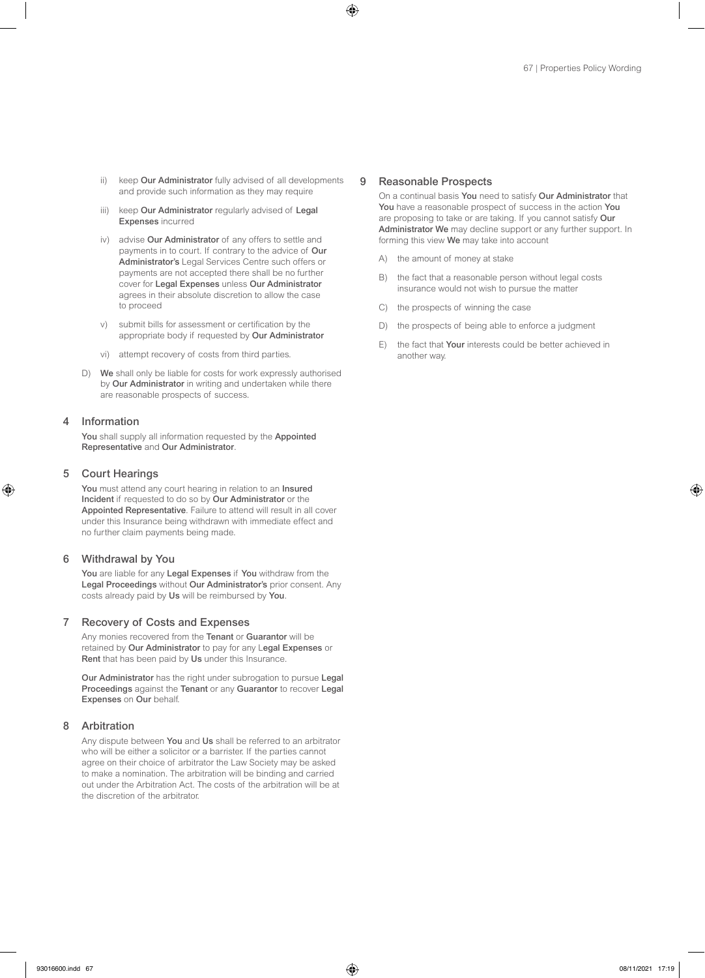- ii) keep Our Administrator fully advised of all developments and provide such information as they may require
- iii) keep Our Administrator regularly advised of Legal Expenses incurred
- iv) advise Our Administrator of any offers to settle and payments in to court. If contrary to the advice of Our Administrator's Legal Services Centre such offers or payments are not accepted there shall be no further cover for Legal Expenses unless Our Administrator agrees in their absolute discretion to allow the case to proceed
- v) submit bills for assessment or certification by the appropriate body if requested by Our Administrator
- vi) attempt recovery of costs from third parties.
- D) We shall only be liable for costs for work expressly authorised by Our Administrator in writing and undertaken while there are reasonable prospects of success.

## 4 Information

You shall supply all information requested by the Appointed Representative and Our Administrator.

### 5 Court Hearings

You must attend any court hearing in relation to an Insured Incident if requested to do so by Our Administrator or the Appointed Representative. Failure to attend will result in all cover under this Insurance being withdrawn with immediate effect and no further claim payments being made.

### 6 Withdrawal by You

You are liable for any Legal Expenses if You withdraw from the Legal Proceedings without Our Administrator's prior consent. Any costs already paid by Us will be reimbursed by You.

# 7 Recovery of Costs and Expenses

Any monies recovered from the Tenant or Guarantor will be retained by Our Administrator to pay for any Legal Expenses or Rent that has been paid by Us under this Insurance.

Our Administrator has the right under subrogation to pursue Legal Proceedings against the Tenant or any Guarantor to recover Legal Expenses on Our behalf.

# 8 Arbitration

Any dispute between You and Us shall be referred to an arbitrator who will be either a solicitor or a barrister. If the parties cannot agree on their choice of arbitrator the Law Society may be asked to make a nomination. The arbitration will be binding and carried out under the Arbitration Act. The costs of the arbitration will be at the discretion of the arbitrator.

### 9 Reasonable Prospects

On a continual basis You need to satisfy Our Administrator that You have a reasonable prospect of success in the action You are proposing to take or are taking. If you cannot satisfy Our Administrator We may decline support or any further support. In forming this view We may take into account

- A) the amount of money at stake
- B) the fact that a reasonable person without legal costs insurance would not wish to pursue the matter
- C) the prospects of winning the case
- D) the prospects of being able to enforce a judgment
- E) the fact that Your interests could be better achieved in another way.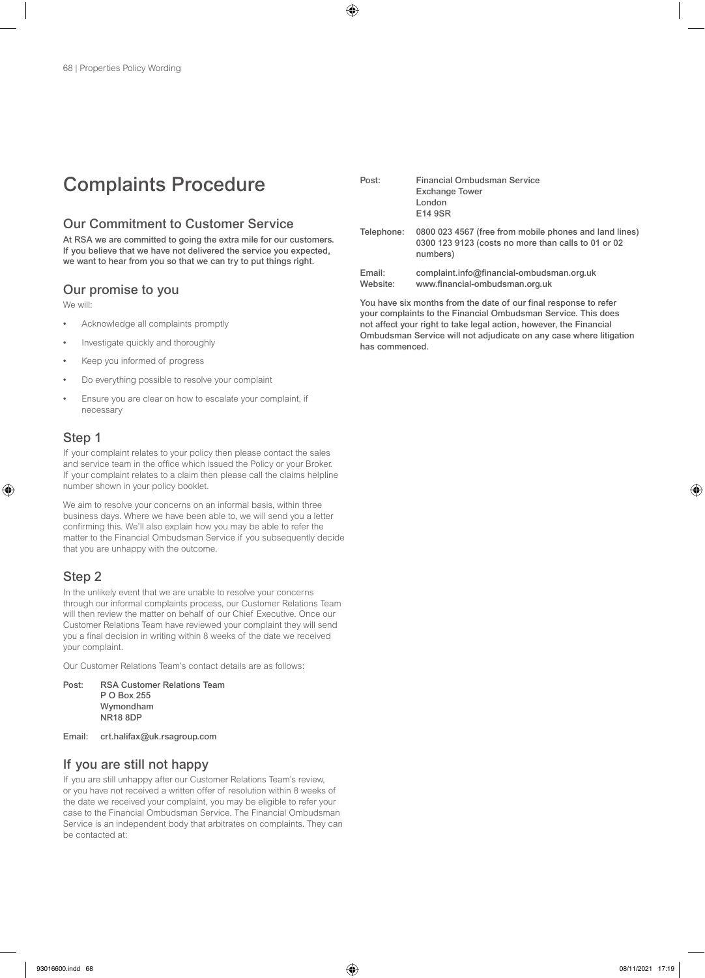# Complaints Procedure

# Our Commitment to Customer Service

At RSA we are committed to going the extra mile for our customers. If you believe that we have not delivered the service you expected, we want to hear from you so that we can try to put things right.

# Our promise to you

We will:

- Acknowledge all complaints promptly
- Investigate quickly and thoroughly
- Keep you informed of progress
- Do everything possible to resolve your complaint
- Ensure you are clear on how to escalate your complaint, if necessary

# Step 1

If your complaint relates to your policy then please contact the sales and service team in the office which issued the Policy or your Broker. If your complaint relates to a claim then please call the claims helpline number shown in your policy booklet.

We aim to resolve your concerns on an informal basis, within three business days. Where we have been able to, we will send you a letter confirming this. We'll also explain how you may be able to refer the matter to the Financial Ombudsman Service if you subsequently decide that you are unhappy with the outcome.

# Step 2

In the unlikely event that we are unable to resolve your concerns through our informal complaints process, our Customer Relations Team will then review the matter on behalf of our Chief Executive. Once our Customer Relations Team have reviewed your complaint they will send you a final decision in writing within 8 weeks of the date we received your complaint.

Our Customer Relations Team's contact details are as follows:

| Post: | <b>RSA Customer Relations Team</b> |
|-------|------------------------------------|
|       | P O Box 255                        |
|       | Wymondham                          |
|       | <b>NR18 8DP</b>                    |
|       |                                    |

Email: crt.halifax@uk.rsagroup.com

# If you are still not happy

If you are still unhappy after our Customer Relations Team's review, or you have not received a written offer of resolution within 8 weeks of the date we received your complaint, you may be eligible to refer your case to the Financial Ombudsman Service. The Financial Ombudsman Service is an independent body that arbitrates on complaints. They can be contacted at:

| Post:              | Financial Ombudsman Service<br><b>Exchange Tower</b><br>London<br>E14 9SR                                                 |
|--------------------|---------------------------------------------------------------------------------------------------------------------------|
| Telephone:         | 0800 023 4567 (free from mobile phones and land lines)<br>0300 123 9123 (costs no more than calls to 01 or 02<br>numbers) |
| Email:<br>Website: | complaint.info@financial-ombudsman.org.uk<br>www.financial-ombudsman.org.uk                                               |

You have six months from the date of our final response to refer your complaints to the Financial Ombudsman Service. This does not affect your right to take legal action, however, the Financial Ombudsman Service will not adjudicate on any case where litigation has commenced.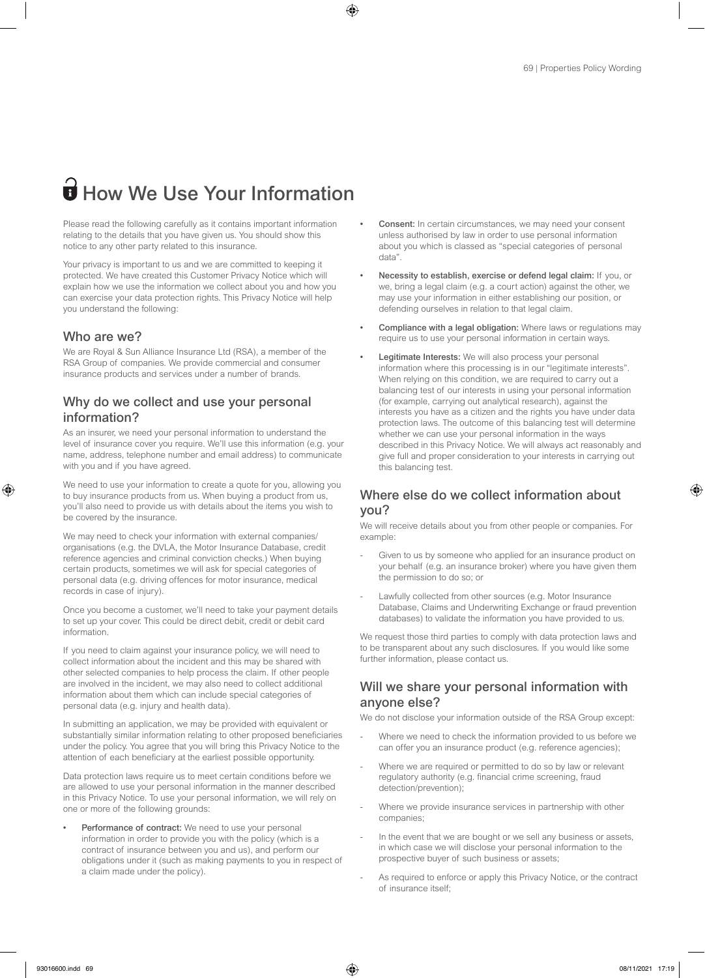# $\widehat{\mathbf{B}}$  How We Use Your Information

Please read the following carefully as it contains important information relating to the details that you have given us. You should show this notice to any other party related to this insurance.

Your privacy is important to us and we are committed to keeping it protected. We have created this Customer Privacy Notice which will explain how we use the information we collect about you and how you can exercise your data protection rights. This Privacy Notice will help you understand the following:

# Who are we?

We are Royal & Sun Alliance Insurance Ltd (RSA), a member of the RSA Group of companies. We provide commercial and consumer insurance products and services under a number of brands.

# Why do we collect and use your personal information?

As an insurer, we need your personal information to understand the level of insurance cover you require. We'll use this information (e.g. your name, address, telephone number and email address) to communicate with you and if you have agreed.

We need to use your information to create a quote for you, allowing you to buy insurance products from us. When buying a product from us, you'll also need to provide us with details about the items you wish to be covered by the insurance.

We may need to check your information with external companies/ organisations (e.g. the DVLA, the Motor Insurance Database, credit reference agencies and criminal conviction checks.) When buying certain products, sometimes we will ask for special categories of personal data (e.g. driving offences for motor insurance, medical records in case of injury).

Once you become a customer, we'll need to take your payment details to set up your cover. This could be direct debit, credit or debit card information.

If you need to claim against your insurance policy, we will need to collect information about the incident and this may be shared with other selected companies to help process the claim. If other people are involved in the incident, we may also need to collect additional information about them which can include special categories of personal data (e.g. injury and health data).

In submitting an application, we may be provided with equivalent or substantially similar information relating to other proposed beneficiaries under the policy. You agree that you will bring this Privacy Notice to the attention of each beneficiary at the earliest possible opportunity.

Data protection laws require us to meet certain conditions before we are allowed to use your personal information in the manner described in this Privacy Notice. To use your personal information, we will rely on one or more of the following grounds:

Performance of contract: We need to use your personal information in order to provide you with the policy (which is a contract of insurance between you and us), and perform our obligations under it (such as making payments to you in respect of a claim made under the policy).

- Consent: In certain circumstances, we may need your consent unless authorised by law in order to use personal information about you which is classed as "special categories of personal data".
- Necessity to establish, exercise or defend legal claim: If you, or we, bring a legal claim (e.g. a court action) against the other, we may use your information in either establishing our position, or defending ourselves in relation to that legal claim.
- Compliance with a legal obligation: Where laws or regulations may require us to use your personal information in certain ways.
- Legitimate Interests: We will also process your personal information where this processing is in our "legitimate interests". When relying on this condition, we are required to carry out a balancing test of our interests in using your personal information (for example, carrying out analytical research), against the interests you have as a citizen and the rights you have under data protection laws. The outcome of this balancing test will determine whether we can use your personal information in the ways described in this Privacy Notice. We will always act reasonably and give full and proper consideration to your interests in carrying out this balancing test.

# Where else do we collect information about you?

We will receive details about you from other people or companies. For example:

- Given to us by someone who applied for an insurance product on your behalf (e.g. an insurance broker) where you have given them the permission to do so; or
- Lawfully collected from other sources (e.g. Motor Insurance Database, Claims and Underwriting Exchange or fraud prevention databases) to validate the information you have provided to us.

We request those third parties to comply with data protection laws and to be transparent about any such disclosures. If you would like some further information, please contact us.

# Will we share your personal information with anyone else?

We do not disclose your information outside of the RSA Group except:

- Where we need to check the information provided to us before we can offer you an insurance product (e.g. reference agencies);
- Where we are required or permitted to do so by law or relevant regulatory authority (e.g. financial crime screening, fraud detection/prevention);
- Where we provide insurance services in partnership with other companies;
- In the event that we are bought or we sell any business or assets, in which case we will disclose your personal information to the prospective buyer of such business or assets;
- As required to enforce or apply this Privacy Notice, or the contract of insurance itself;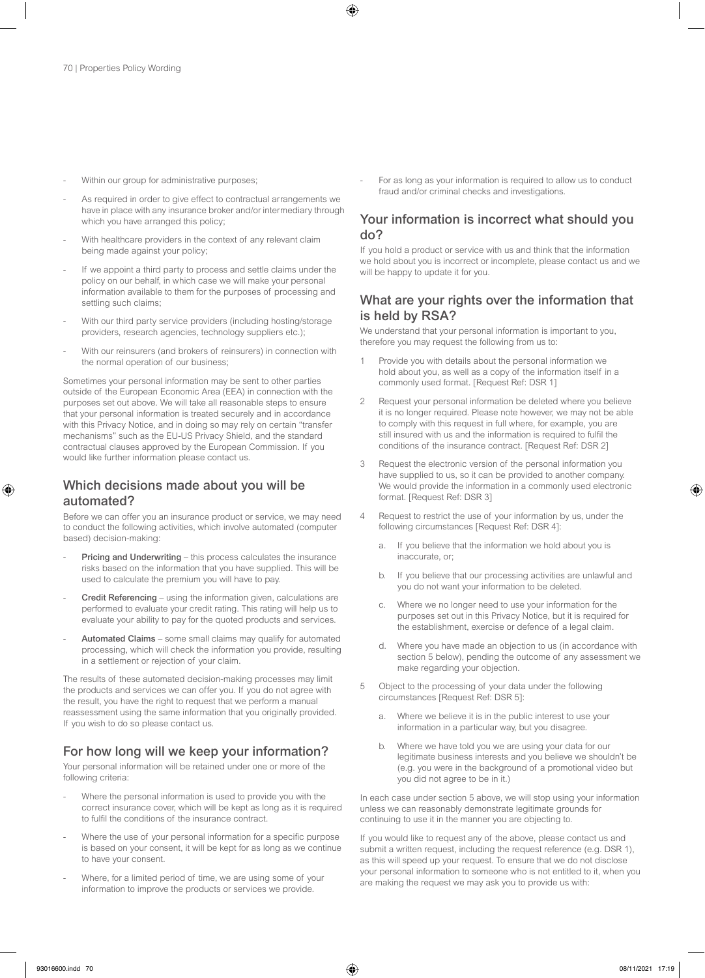- Within our group for administrative purposes;
- As required in order to give effect to contractual arrangements we have in place with any insurance broker and/or intermediary through which you have arranged this policy;
- With healthcare providers in the context of any relevant claim being made against your policy;
- If we appoint a third party to process and settle claims under the policy on our behalf, in which case we will make your personal information available to them for the purposes of processing and settling such claims;
- With our third party service providers (including hosting/storage providers, research agencies, technology suppliers etc.);
- With our reinsurers (and brokers of reinsurers) in connection with the normal operation of our business;

Sometimes your personal information may be sent to other parties outside of the European Economic Area (EEA) in connection with the purposes set out above. We will take all reasonable steps to ensure that your personal information is treated securely and in accordance with this Privacy Notice, and in doing so may rely on certain "transfer mechanisms" such as the EU-US Privacy Shield, and the standard contractual clauses approved by the European Commission. If you would like further information please contact us.

# Which decisions made about you will be automated?

Before we can offer you an insurance product or service, we may need to conduct the following activities, which involve automated (computer based) decision-making:

- Pricing and Underwriting this process calculates the insurance risks based on the information that you have supplied. This will be used to calculate the premium you will have to pay.
- Credit Referencing using the information given, calculations are performed to evaluate your credit rating. This rating will help us to evaluate your ability to pay for the quoted products and services.
- Automated Claims some small claims may qualify for automated processing, which will check the information you provide, resulting in a settlement or rejection of your claim.

The results of these automated decision-making processes may limit the products and services we can offer you. If you do not agree with the result, you have the right to request that we perform a manual reassessment using the same information that you originally provided. If you wish to do so please contact us.

# For how long will we keep your information?

Your personal information will be retained under one or more of the following criteria:

- Where the personal information is used to provide you with the correct insurance cover, which will be kept as long as it is required to fulfil the conditions of the insurance contract.
- Where the use of your personal information for a specific purpose is based on your consent, it will be kept for as long as we continue to have your consent.
- Where, for a limited period of time, we are using some of your information to improve the products or services we provide.

For as long as your information is required to allow us to conduct fraud and/or criminal checks and investigations.

# Your information is incorrect what should you do?

If you hold a product or service with us and think that the information we hold about you is incorrect or incomplete, please contact us and we will be happy to update it for you.

# What are your rights over the information that is held by RSA?

We understand that your personal information is important to you, therefore you may request the following from us to:

- Provide you with details about the personal information we hold about you, as well as a copy of the information itself in a commonly used format. [Request Ref: DSR 1]
- 2 Request your personal information be deleted where you believe it is no longer required. Please note however, we may not be able to comply with this request in full where, for example, you are still insured with us and the information is required to fulfil the conditions of the insurance contract. [Request Ref: DSR 2]
- 3 Request the electronic version of the personal information you have supplied to us, so it can be provided to another company. We would provide the information in a commonly used electronic format. [Request Ref: DSR 3]
- 4 Request to restrict the use of your information by us, under the following circumstances [Request Ref: DSR 4]:
	- a. If you believe that the information we hold about you is inaccurate, or;
	- b. If you believe that our processing activities are unlawful and you do not want your information to be deleted.
	- c. Where we no longer need to use your information for the purposes set out in this Privacy Notice, but it is required for the establishment, exercise or defence of a legal claim.
	- d. Where you have made an objection to us (in accordance with section 5 below), pending the outcome of any assessment we make regarding your objection.
- 5 Object to the processing of your data under the following circumstances [Request Ref: DSR 5]:
	- a. Where we believe it is in the public interest to use your information in a particular way, but you disagree.
	- b. Where we have told you we are using your data for our legitimate business interests and you believe we shouldn't be (e.g. you were in the background of a promotional video but you did not agree to be in it.)

In each case under section 5 above, we will stop using your information unless we can reasonably demonstrate legitimate grounds for continuing to use it in the manner you are objecting to.

If you would like to request any of the above, please contact us and submit a written request, including the request reference (e.g. DSR 1), as this will speed up your request. To ensure that we do not disclose your personal information to someone who is not entitled to it, when you are making the request we may ask you to provide us with: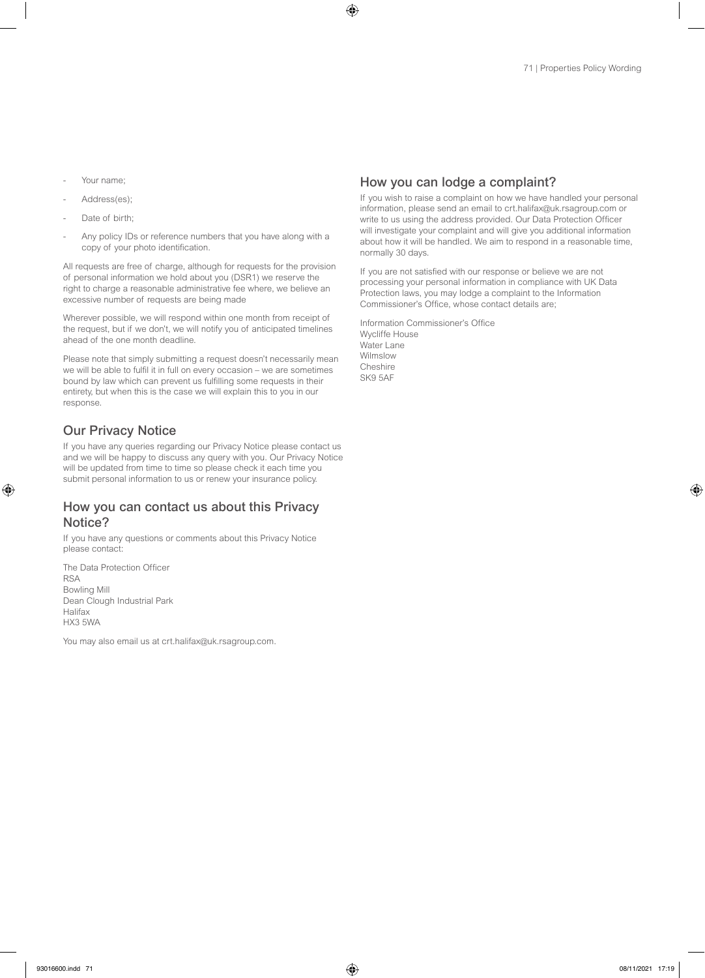- Your name;
- Address(es);
- Date of birth:
- Any policy IDs or reference numbers that you have along with a copy of your photo identification.

All requests are free of charge, although for requests for the provision of personal information we hold about you (DSR1) we reserve the right to charge a reasonable administrative fee where, we believe an excessive number of requests are being made

Wherever possible, we will respond within one month from receipt of the request, but if we don't, we will notify you of anticipated timelines ahead of the one month deadline.

Please note that simply submitting a request doesn't necessarily mean we will be able to fulfil it in full on every occasion – we are sometimes bound by law which can prevent us fulfilling some requests in their entirety, but when this is the case we will explain this to you in our response.

# Our Privacy Notice

If you have any queries regarding our Privacy Notice please contact us and we will be happy to discuss any query with you. Our Privacy Notice will be updated from time to time so please check it each time you submit personal information to us or renew your insurance policy.

# How you can contact us about this Privacy Notice?

If you have any questions or comments about this Privacy Notice please contact:

The Data Protection Officer RSA Bowling Mill Dean Clough Industrial Park Halifax HX3 5WA

You may also email us at crt.halifax@uk.rsagroup.com.

# How you can lodge a complaint?

If you wish to raise a complaint on how we have handled your personal information, please send an email to crt.halifax@uk.rsagroup.com or write to us using the address provided. Our Data Protection Officer will investigate your complaint and will give you additional information about how it will be handled. We aim to respond in a reasonable time, normally 30 days.

If you are not satisfied with our response or believe we are not processing your personal information in compliance with UK Data Protection laws, you may lodge a complaint to the Information Commissioner's Office, whose contact details are;

Information Commissioner's Office Wycliffe House Water Lane Wilmslow Cheshire SK9 5AF